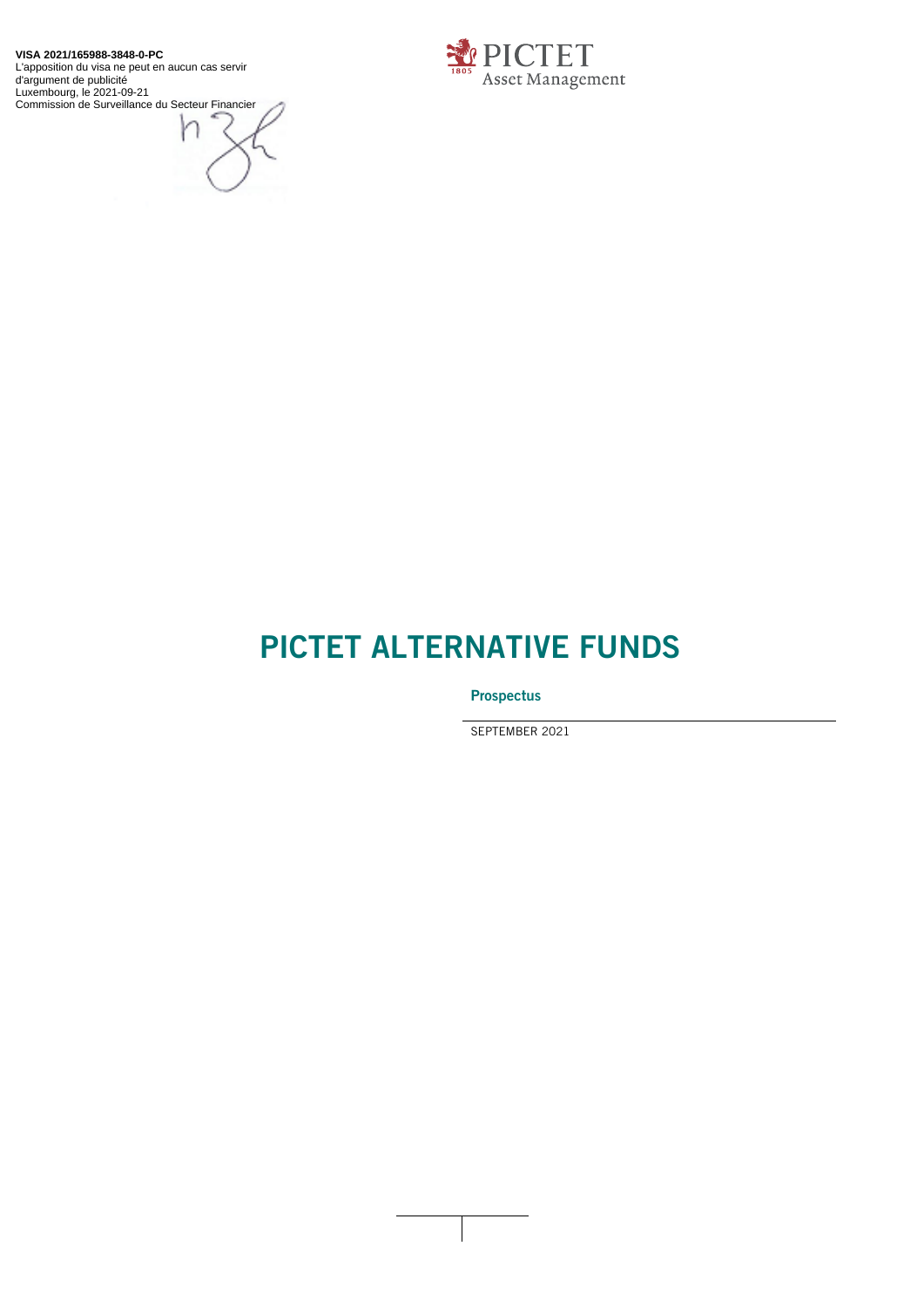**VISA 2021/165988-3848-0-PC** L'apposition du visa ne peut en aucun cas servir d'argument de publicité Luxembourg, le 2021-09-21 Commission de Surveillance du Secteur Financier





# **PICTET ALTERNATIVE FUNDS**

**Prospectus**

SEPTEMBER 2021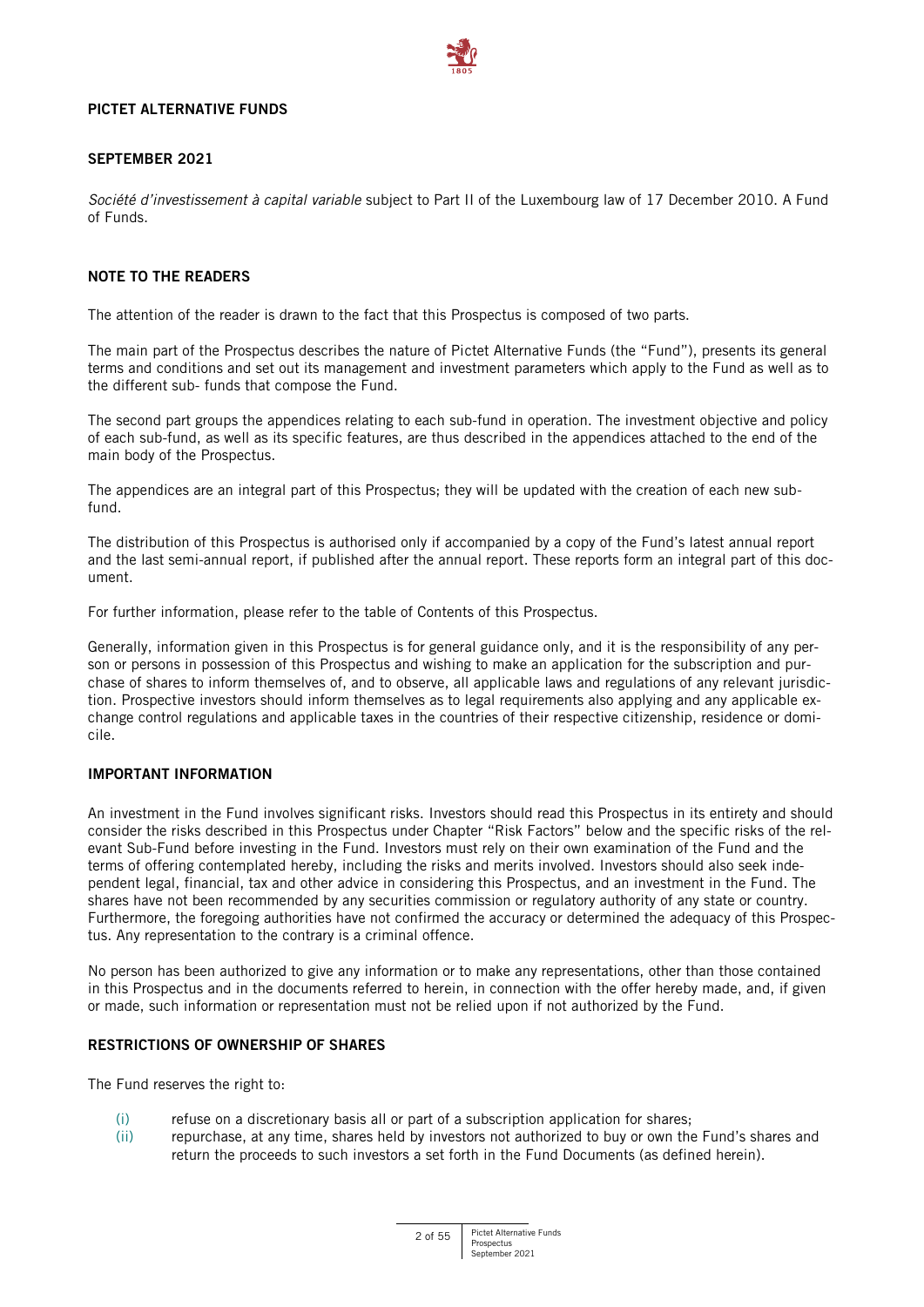

#### **PICTET ALTERNATIVE FUNDS**

# **SEPTEMBER 2021**

*Société d'investissement à capital variable* subject to Part II of the Luxembourg law of 17 December 2010. A Fund of Funds.

# **NOTE TO THE READERS**

The attention of the reader is drawn to the fact that this Prospectus is composed of two parts.

The main part of the Prospectus describes the nature of Pictet Alternative Funds (the "Fund"), presents its general terms and conditions and set out its management and investment parameters which apply to the Fund as well as to the different sub- funds that compose the Fund.

The second part groups the appendices relating to each sub-fund in operation. The investment objective and policy of each sub-fund, as well as its specific features, are thus described in the appendices attached to the end of the main body of the Prospectus.

The appendices are an integral part of this Prospectus; they will be updated with the creation of each new subfund.

The distribution of this Prospectus is authorised only if accompanied by a copy of the Fund's latest annual report and the last semi-annual report, if published after the annual report. These reports form an integral part of this document.

For further information, please refer to the table of Contents of this Prospectus.

Generally, information given in this Prospectus is for general guidance only, and it is the responsibility of any person or persons in possession of this Prospectus and wishing to make an application for the subscription and purchase of shares to inform themselves of, and to observe, all applicable laws and regulations of any relevant jurisdiction. Prospective investors should inform themselves as to legal requirements also applying and any applicable exchange control regulations and applicable taxes in the countries of their respective citizenship, residence or domicile.

# **IMPORTANT INFORMATION**

An investment in the Fund involves significant risks. Investors should read this Prospectus in its entirety and should consider the risks described in this Prospectus under Chapter "Risk Factors" below and the specific risks of the relevant Sub-Fund before investing in the Fund. Investors must rely on their own examination of the Fund and the terms of offering contemplated hereby, including the risks and merits involved. Investors should also seek independent legal, financial, tax and other advice in considering this Prospectus, and an investment in the Fund. The shares have not been recommended by any securities commission or regulatory authority of any state or country. Furthermore, the foregoing authorities have not confirmed the accuracy or determined the adequacy of this Prospectus. Any representation to the contrary is a criminal offence.

No person has been authorized to give any information or to make any representations, other than those contained in this Prospectus and in the documents referred to herein, in connection with the offer hereby made, and, if given or made, such information or representation must not be relied upon if not authorized by the Fund.

# **RESTRICTIONS OF OWNERSHIP OF SHARES**

The Fund reserves the right to:

- (i) refuse on a discretionary basis all or part of a subscription application for shares;
- (ii) repurchase, at any time, shares held by investors not authorized to buy or own the Fund's shares and return the proceeds to such investors a set forth in the Fund Documents (as defined herein).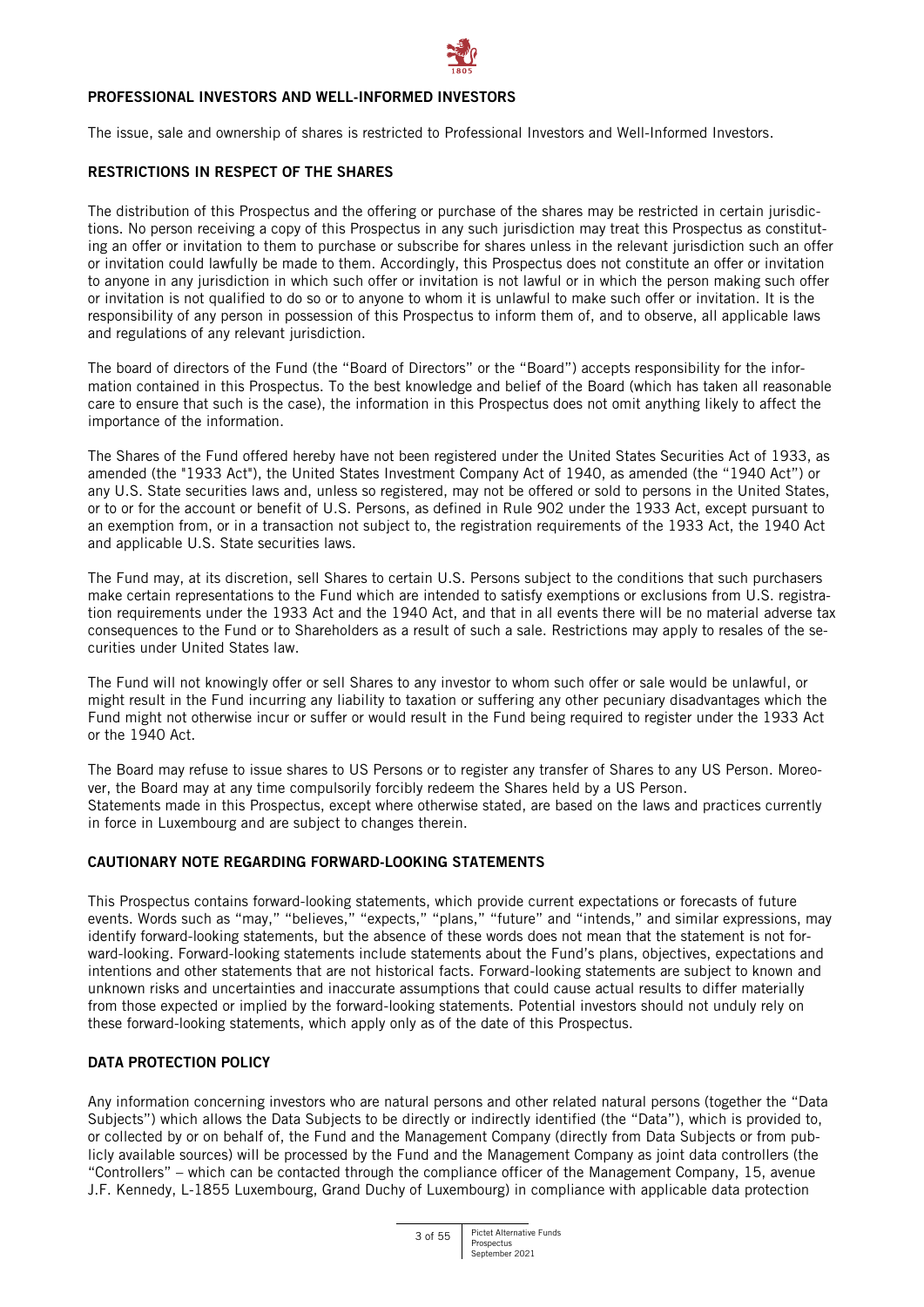

#### **PROFESSIONAL INVESTORS AND WELL-INFORMED INVESTORS**

The issue, sale and ownership of shares is restricted to Professional Investors and Well-Informed Investors.

#### **RESTRICTIONS IN RESPECT OF THE SHARES**

The distribution of this Prospectus and the offering or purchase of the shares may be restricted in certain jurisdictions. No person receiving a copy of this Prospectus in any such jurisdiction may treat this Prospectus as constituting an offer or invitation to them to purchase or subscribe for shares unless in the relevant jurisdiction such an offer or invitation could lawfully be made to them. Accordingly, this Prospectus does not constitute an offer or invitation to anyone in any jurisdiction in which such offer or invitation is not lawful or in which the person making such offer or invitation is not qualified to do so or to anyone to whom it is unlawful to make such offer or invitation. It is the responsibility of any person in possession of this Prospectus to inform them of, and to observe, all applicable laws and regulations of any relevant jurisdiction.

The board of directors of the Fund (the "Board of Directors" or the "Board") accepts responsibility for the information contained in this Prospectus. To the best knowledge and belief of the Board (which has taken all reasonable care to ensure that such is the case), the information in this Prospectus does not omit anything likely to affect the importance of the information.

The Shares of the Fund offered hereby have not been registered under the United States Securities Act of 1933, as amended (the "1933 Act"), the United States Investment Company Act of 1940, as amended (the "1940 Act") or any U.S. State securities laws and, unless so registered, may not be offered or sold to persons in the United States, or to or for the account or benefit of U.S. Persons, as defined in Rule 902 under the 1933 Act, except pursuant to an exemption from, or in a transaction not subject to, the registration requirements of the 1933 Act, the 1940 Act and applicable U.S. State securities laws.

The Fund may, at its discretion, sell Shares to certain U.S. Persons subject to the conditions that such purchasers make certain representations to the Fund which are intended to satisfy exemptions or exclusions from U.S. registration requirements under the 1933 Act and the 1940 Act, and that in all events there will be no material adverse tax consequences to the Fund or to Shareholders as a result of such a sale. Restrictions may apply to resales of the securities under United States law.

The Fund will not knowingly offer or sell Shares to any investor to whom such offer or sale would be unlawful, or might result in the Fund incurring any liability to taxation or suffering any other pecuniary disadvantages which the Fund might not otherwise incur or suffer or would result in the Fund being required to register under the 1933 Act or the 1940 Act.

The Board may refuse to issue shares to US Persons or to register any transfer of Shares to any US Person. Moreover, the Board may at any time compulsorily forcibly redeem the Shares held by a US Person. Statements made in this Prospectus, except where otherwise stated, are based on the laws and practices currently in force in Luxembourg and are subject to changes therein.

# **CAUTIONARY NOTE REGARDING FORWARD-LOOKING STATEMENTS**

This Prospectus contains forward-looking statements, which provide current expectations or forecasts of future events. Words such as "may," "believes," "expects," "plans," "future" and "intends," and similar expressions, may identify forward-looking statements, but the absence of these words does not mean that the statement is not forward-looking. Forward-looking statements include statements about the Fund's plans, objectives, expectations and intentions and other statements that are not historical facts. Forward-looking statements are subject to known and unknown risks and uncertainties and inaccurate assumptions that could cause actual results to differ materially from those expected or implied by the forward-looking statements. Potential investors should not unduly rely on these forward-looking statements, which apply only as of the date of this Prospectus.

# **DATA PROTECTION POLICY**

Any information concerning investors who are natural persons and other related natural persons (together the "Data Subjects") which allows the Data Subjects to be directly or indirectly identified (the "Data"), which is provided to, or collected by or on behalf of, the Fund and the Management Company (directly from Data Subjects or from publicly available sources) will be processed by the Fund and the Management Company as joint data controllers (the "Controllers" – which can be contacted through the compliance officer of the Management Company, 15, avenue J.F. Kennedy, L-1855 Luxembourg, Grand Duchy of Luxembourg) in compliance with applicable data protection

3 of 55 Pictet Alternative Funds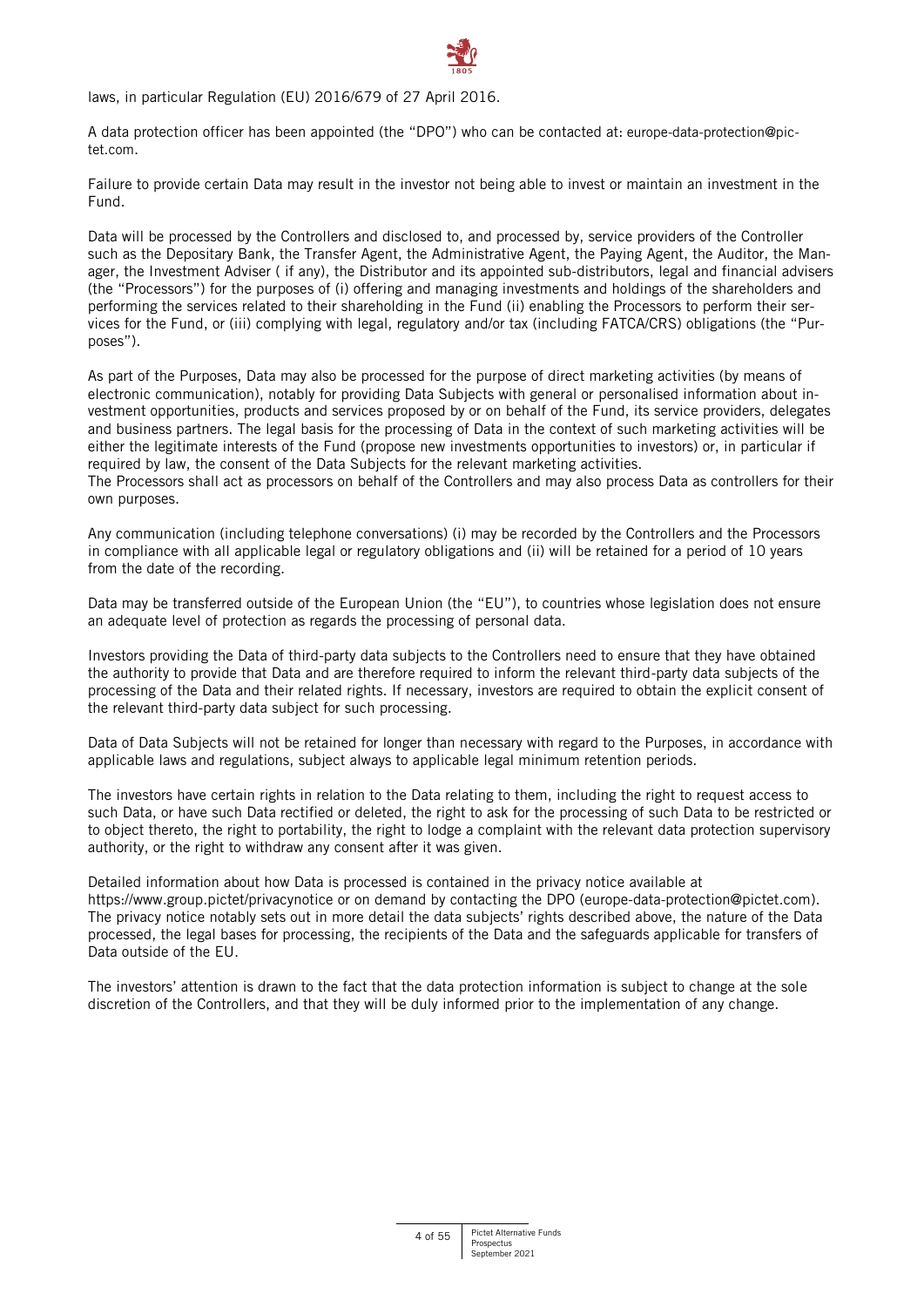laws, in particular Regulation (EU) 2016/679 of 27 April 2016.

A data protection officer has been appointed (the "DPO") who can be contacted at: [europe-data-protection@pic](mailto:europe-data-protection@pictet.com)[tet.com](mailto:europe-data-protection@pictet.com).

Failure to provide certain Data may result in the investor not being able to invest or maintain an investment in the Fund.

Data will be processed by the Controllers and disclosed to, and processed by, service providers of the Controller such as the Depositary Bank, the Transfer Agent, the Administrative Agent, the Paying Agent, the Auditor, the Manager, the Investment Adviser ( if any), the Distributor and its appointed sub-distributors, legal and financial advisers (the "Processors") for the purposes of (i) offering and managing investments and holdings of the shareholders and performing the services related to their shareholding in the Fund (ii) enabling the Processors to perform their services for the Fund, or (iii) complying with legal, regulatory and/or tax (including FATCA/CRS) obligations (the "Purposes").

As part of the Purposes, Data may also be processed for the purpose of direct marketing activities (by means of electronic communication), notably for providing Data Subjects with general or personalised information about investment opportunities, products and services proposed by or on behalf of the Fund, its service providers, delegates and business partners. The legal basis for the processing of Data in the context of such marketing activities will be either the legitimate interests of the Fund (propose new investments opportunities to investors) or, in particular if required by law, the consent of the Data Subjects for the relevant marketing activities. The Processors shall act as processors on behalf of the Controllers and may also process Data as controllers for their own purposes.

Any communication (including telephone conversations) (i) may be recorded by the Controllers and the Processors in compliance with all applicable legal or regulatory obligations and (ii) will be retained for a period of 10 years from the date of the recording.

Data may be transferred outside of the European Union (the "EU"), to countries whose legislation does not ensure an adequate level of protection as regards the processing of personal data.

Investors providing the Data of third-party data subjects to the Controllers need to ensure that they have obtained the authority to provide that Data and are therefore required to inform the relevant third-party data subjects of the processing of the Data and their related rights. If necessary, investors are required to obtain the explicit consent of the relevant third-party data subject for such processing.

Data of Data Subjects will not be retained for longer than necessary with regard to the Purposes, in accordance with applicable laws and regulations, subject always to applicable legal minimum retention periods.

The investors have certain rights in relation to the Data relating to them, including the right to request access to such Data, or have such Data rectified or deleted, the right to ask for the processing of such Data to be restricted or to object thereto, the right to portability, the right to lodge a complaint with the relevant data protection supervisory authority, or the right to withdraw any consent after it was given.

Detailed information about how Data is processed is contained in the privacy notice available at <https://www.group.pictet/privacynotice> or on demand by contacting the DPO [\(europe-data-protection@pictet.com\)](mailto:europe-data-protection@pictet.com). The privacy notice notably sets out in more detail the data subjects' rights described above, the nature of the Data processed, the legal bases for processing, the recipients of the Data and the safeguards applicable for transfers of Data outside of the EU.

The investors' attention is drawn to the fact that the data protection information is subject to change at the sole discretion of the Controllers, and that they will be duly informed prior to the implementation of any change.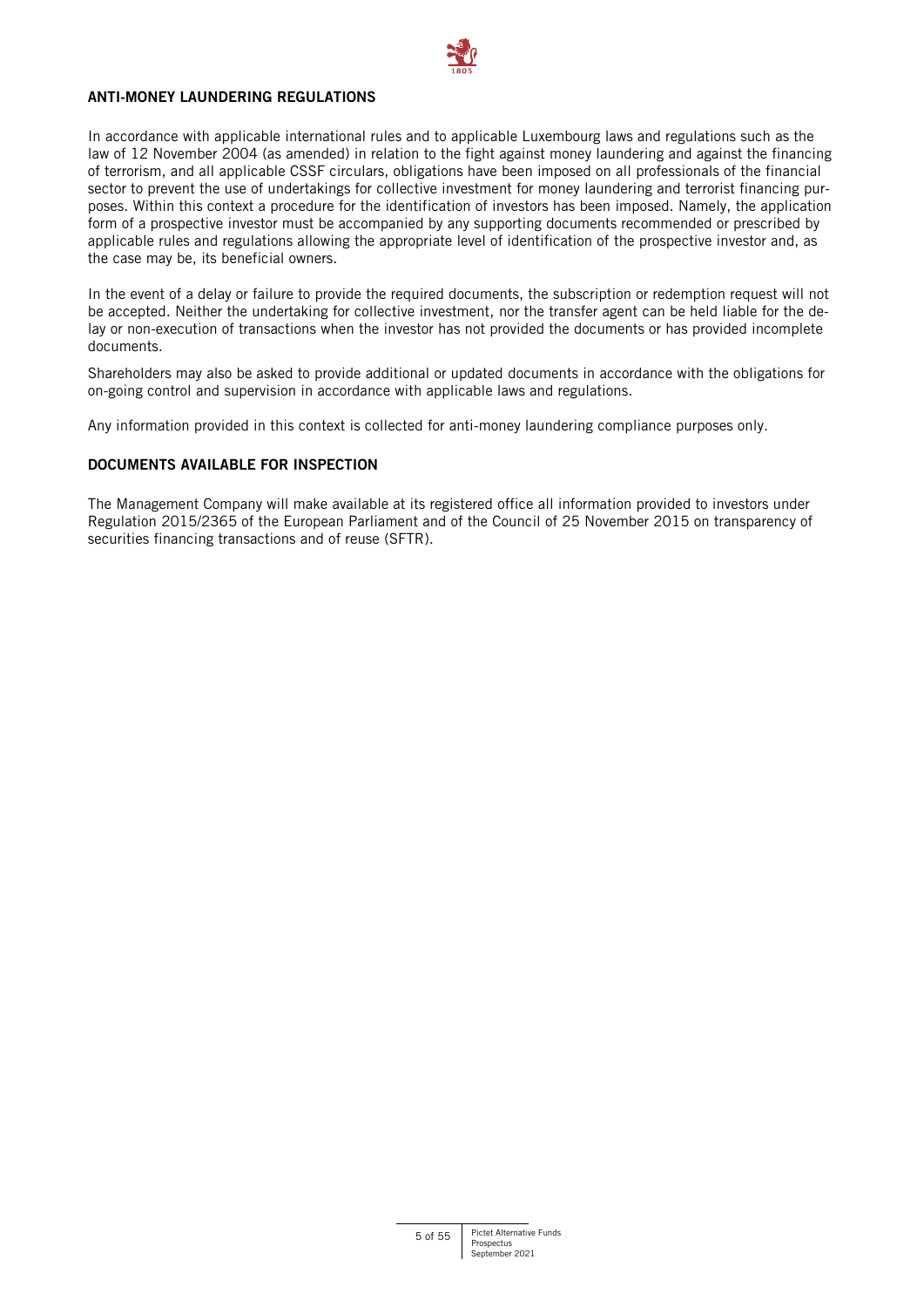

# **ANTI-MONEY LAUNDERING REGULATIONS**

In accordance with applicable international rules and to applicable Luxembourg laws and regulations such as the law of 12 November 2004 (as amended) in relation to the fight against money laundering and against the financing of terrorism, and all applicable CSSF circulars, obligations have been imposed on all professionals of the financial sector to prevent the use of undertakings for collective investment for money laundering and terrorist financing purposes. Within this context a procedure for the identification of investors has been imposed. Namely, the application form of a prospective investor must be accompanied by any supporting documents recommended or prescribed by applicable rules and regulations allowing the appropriate level of identification of the prospective investor and, as the case may be, its beneficial owners.

In the event of a delay or failure to provide the required documents, the subscription or redemption request will not be accepted. Neither the undertaking for collective investment, nor the transfer agent can be held liable for the delay or non-execution of transactions when the investor has not provided the documents or has provided incomplete documents.

Shareholders may also be asked to provide additional or updated documents in accordance with the obligations for on-going control and supervision in accordance with applicable laws and regulations.

Any information provided in this context is collected for anti-money laundering compliance purposes only.

# **DOCUMENTS AVAILABLE FOR INSPECTION**

The Management Company will make available at its registered office all information provided to investors under Regulation 2015/2365 of the European Parliament and of the Council of 25 November 2015 on transparency of securities financing transactions and of reuse (SFTR).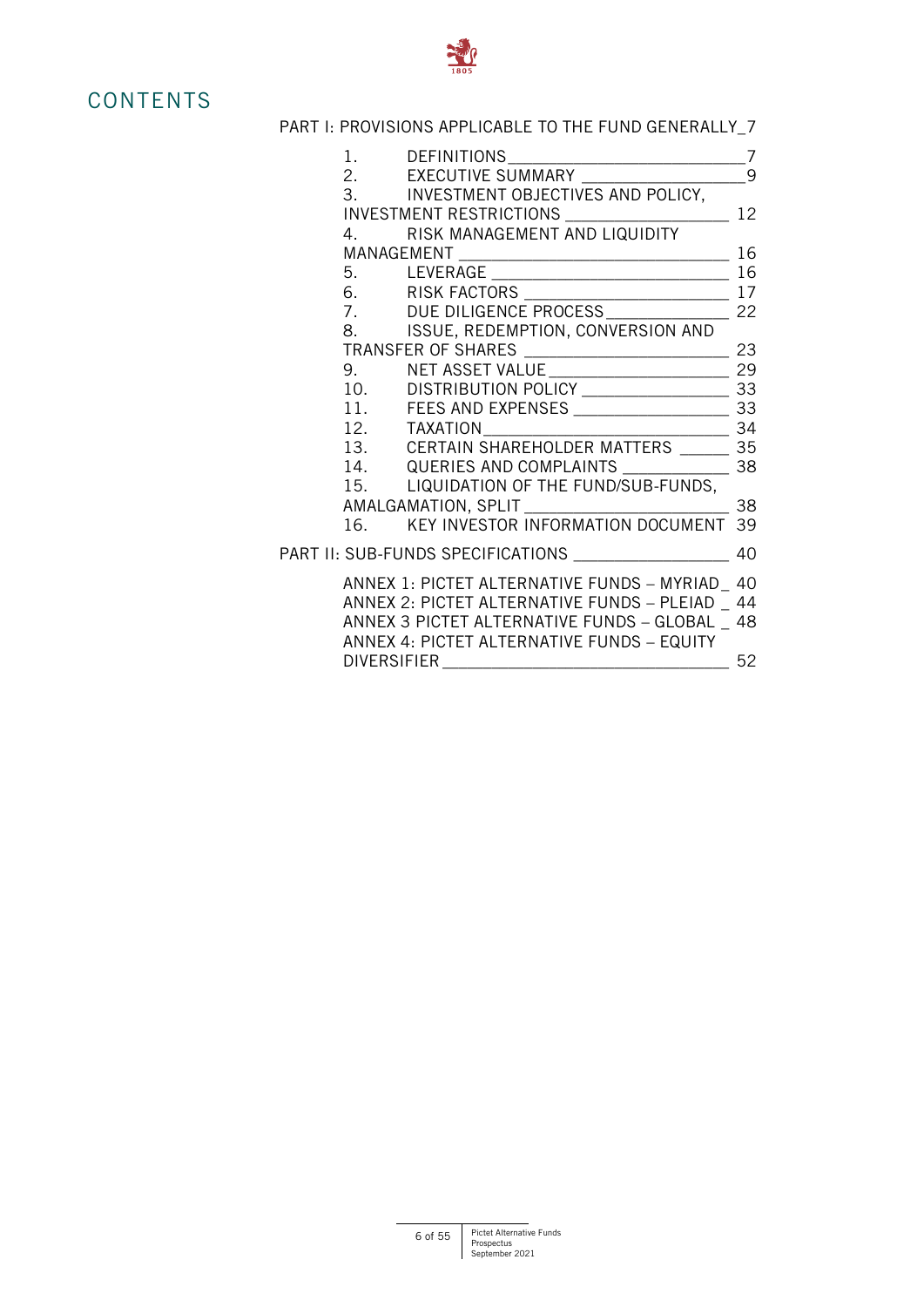

# **CONTENTS**

# [PART I: PROVISIONS APPLICABLE TO THE FUND GENERALLY\\_7](#page-6-0)

|                    | 3. INVESTMENT OBJECTIVES AND POLICY,               |    |
|--------------------|----------------------------------------------------|----|
|                    | INVESTMENT RESTRICTIONS _______________________ 12 |    |
|                    | 4. RISK MANAGEMENT AND LIQUIDITY                   |    |
|                    |                                                    |    |
|                    |                                                    |    |
|                    |                                                    |    |
|                    |                                                    |    |
|                    | 8. ISSUE, REDEMPTION, CONVERSION AND               |    |
|                    |                                                    |    |
|                    |                                                    |    |
|                    |                                                    |    |
|                    |                                                    |    |
|                    |                                                    |    |
|                    |                                                    |    |
|                    |                                                    |    |
|                    | 15. LIQUIDATION OF THE FUND/SUB-FUNDS,             |    |
|                    |                                                    |    |
|                    |                                                    |    |
|                    | PART II: SUB-FUNDS SPECIFICATIONS ________         | 40 |
|                    | ANNEX 1: PICTET ALTERNATIVE FUNDS - MYRIAD 40      |    |
|                    | ANNEX 2: PICTET ALTERNATIVE FUNDS - PLEIAD 44      |    |
|                    | ANNEX 3 PICTET ALTERNATIVE FUNDS - GLOBAL 48       |    |
|                    | ANNEX 4: PICTET ALTERNATIVE FUNDS - EQUITY         |    |
| <b>DIVERSIFIER</b> |                                                    | 52 |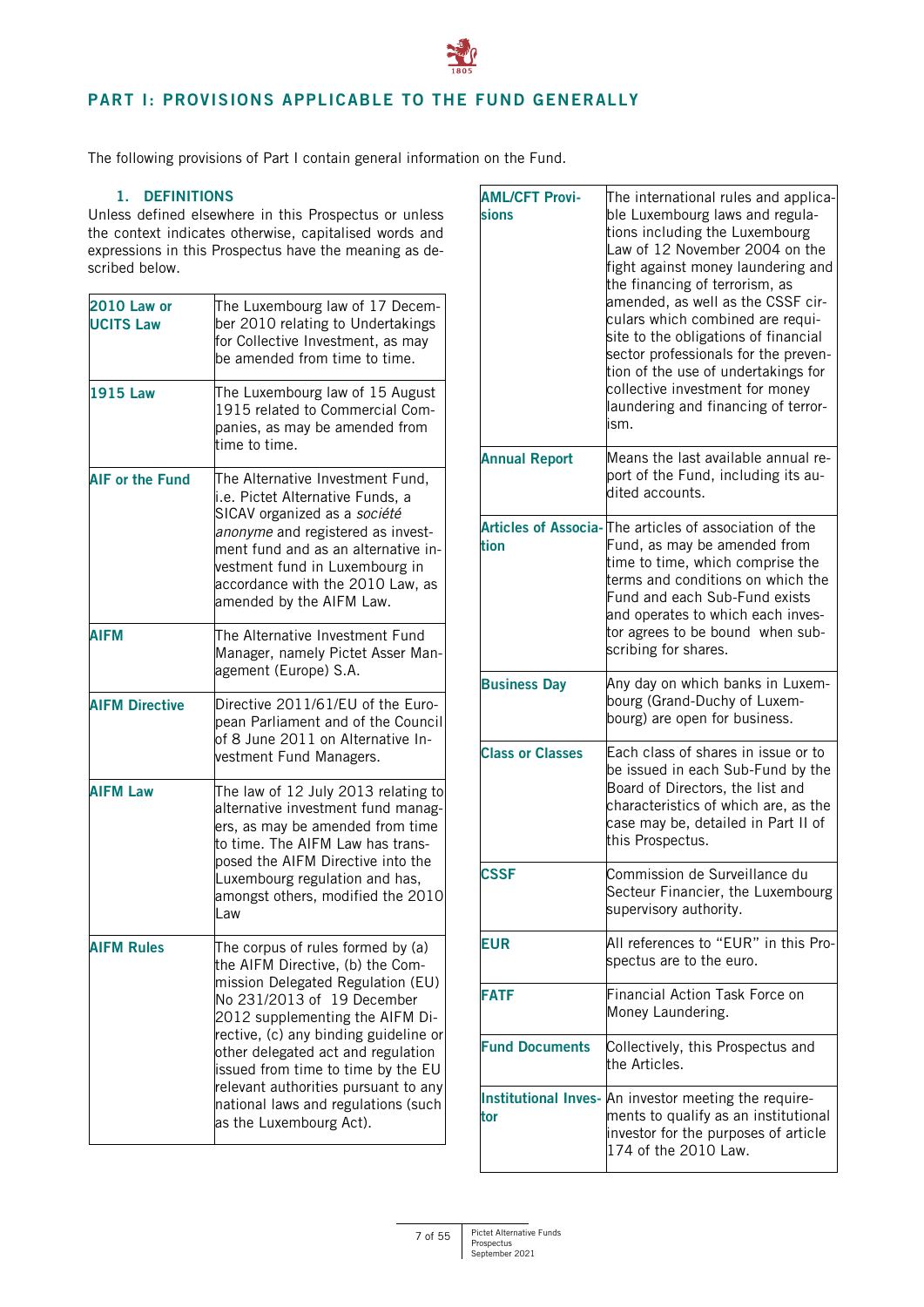# <span id="page-6-0"></span>**PART I: PROVISIONS APPLICABLE TO THE FUND GENERALLY**

The following provisions of Part I contain general information on the Fund.

# **1. DEFINITIONS**

<span id="page-6-1"></span>Unless defined elsewhere in this Prospectus or unless the context indicates otherwise, capitalised words and expressions in this Prospectus have the meaning as described below.

| <b>2010 Law or</b><br><b>UCITS Law</b> | The Luxembourg law of 17 Decem-<br>ber 2010 relating to Undertakings<br>for Collective Investment, as may<br>be amended from time to time.                                                                                                                                                                                                                                                                 |
|----------------------------------------|------------------------------------------------------------------------------------------------------------------------------------------------------------------------------------------------------------------------------------------------------------------------------------------------------------------------------------------------------------------------------------------------------------|
| <b>1915 Law</b>                        | The Luxembourg law of 15 August<br>1915 related to Commercial Com-<br>panies, as may be amended from<br>time to time.                                                                                                                                                                                                                                                                                      |
| <b>AIF or the Fund</b>                 | The Alternative Investment Fund,<br>i.e. Pictet Alternative Funds, a<br>SICAV organized as a société<br>anonyme and registered as invest-<br>ment fund and as an alternative in-<br>vestment fund in Luxembourg in<br>accordance with the 2010 Law, as<br>amended by the AIFM Law.                                                                                                                         |
| <b>AIFM</b>                            | The Alternative Investment Fund<br>Manager, namely Pictet Asser Man-<br>agement (Europe) S.A.                                                                                                                                                                                                                                                                                                              |
| <b>AIFM Directive</b>                  | Directive 2011/61/EU of the Euro-<br>pean Parliament and of the Council<br>of 8 June 2011 on Alternative In-<br>vestment Fund Managers.                                                                                                                                                                                                                                                                    |
| <b>AIFM Law</b>                        | The law of 12 July 2013 relating to<br>alternative investment fund manag-<br>ers, as may be amended from time<br>to time. The AIFM Law has trans-<br>posed the AIFM Directive into the<br>Luxembourg regulation and has,<br>amongst others, modified the 2010<br>Law                                                                                                                                       |
| <b>AIFM Rules</b>                      | The corpus of rules formed by (a)<br>the AIFM Directive, (b) the Com-<br>mission Delegated Regulation (EU)<br>No 231/2013 of 19 December<br>2012 supplementing the AIFM Di-<br>rective, (c) any binding guideline or<br>other delegated act and regulation<br>issued from time to time by the EU<br>relevant authorities pursuant to any<br>national laws and regulations (such<br>as the Luxembourg Act). |

| <b>AML/CFT Provi-</b><br>sions | The international rules and applica-<br>ble Luxembourg laws and regula-<br>tions including the Luxembourg<br>Law of 12 November 2004 on the<br>fight against money laundering and<br>the financing of terrorism, as<br>amended, as well as the CSSF cir-<br>culars which combined are requi-<br>site to the obligations of financial<br>sector professionals for the preven-<br>tion of the use of undertakings for<br>collective investment for money<br>laundering and financing of terror-<br>ism. |
|--------------------------------|-------------------------------------------------------------------------------------------------------------------------------------------------------------------------------------------------------------------------------------------------------------------------------------------------------------------------------------------------------------------------------------------------------------------------------------------------------------------------------------------------------|
| <b>Annual Report</b>           | Means the last available annual re-<br>port of the Fund, including its au-<br>dited accounts.                                                                                                                                                                                                                                                                                                                                                                                                         |
| tion                           | Articles of Associa-The articles of association of the<br>Fund, as may be amended from<br>time to time, which comprise the<br>terms and conditions on which the<br>Fund and each Sub-Fund exists<br>and operates to which each inves-<br>tor agrees to be bound when sub-<br>scribing for shares.                                                                                                                                                                                                     |
| <b>Business Day</b>            | Any day on which banks in Luxem-<br>bourg (Grand-Duchy of Luxem-<br>bourg) are open for business.                                                                                                                                                                                                                                                                                                                                                                                                     |
| <b>Class or Classes</b>        | Each class of shares in issue or to<br>be issued in each Sub-Fund by the<br>Board of Directors, the list and<br>characteristics of which are, as the<br>case may be, detailed in Part II of<br>this Prospectus.                                                                                                                                                                                                                                                                                       |
| <b>SSF:</b>                    | Commission de Surveillance du<br>Secteur Financier, the Luxembourg<br>supervisory authority.                                                                                                                                                                                                                                                                                                                                                                                                          |
| <b>EUR</b>                     | All references to "EUR" in this Pro-<br>spectus are to the euro.                                                                                                                                                                                                                                                                                                                                                                                                                                      |
| <b>FATF</b>                    | Financial Action Task Force on<br>Money Laundering.                                                                                                                                                                                                                                                                                                                                                                                                                                                   |
| <b>Fund Documents</b>          | Collectively, this Prospectus and<br>the Articles.                                                                                                                                                                                                                                                                                                                                                                                                                                                    |
| tor                            | Institutional Inves- An investor meeting the require-<br>ments to qualify as an institutional<br>investor for the purposes of article<br>174 of the 2010 Law.                                                                                                                                                                                                                                                                                                                                         |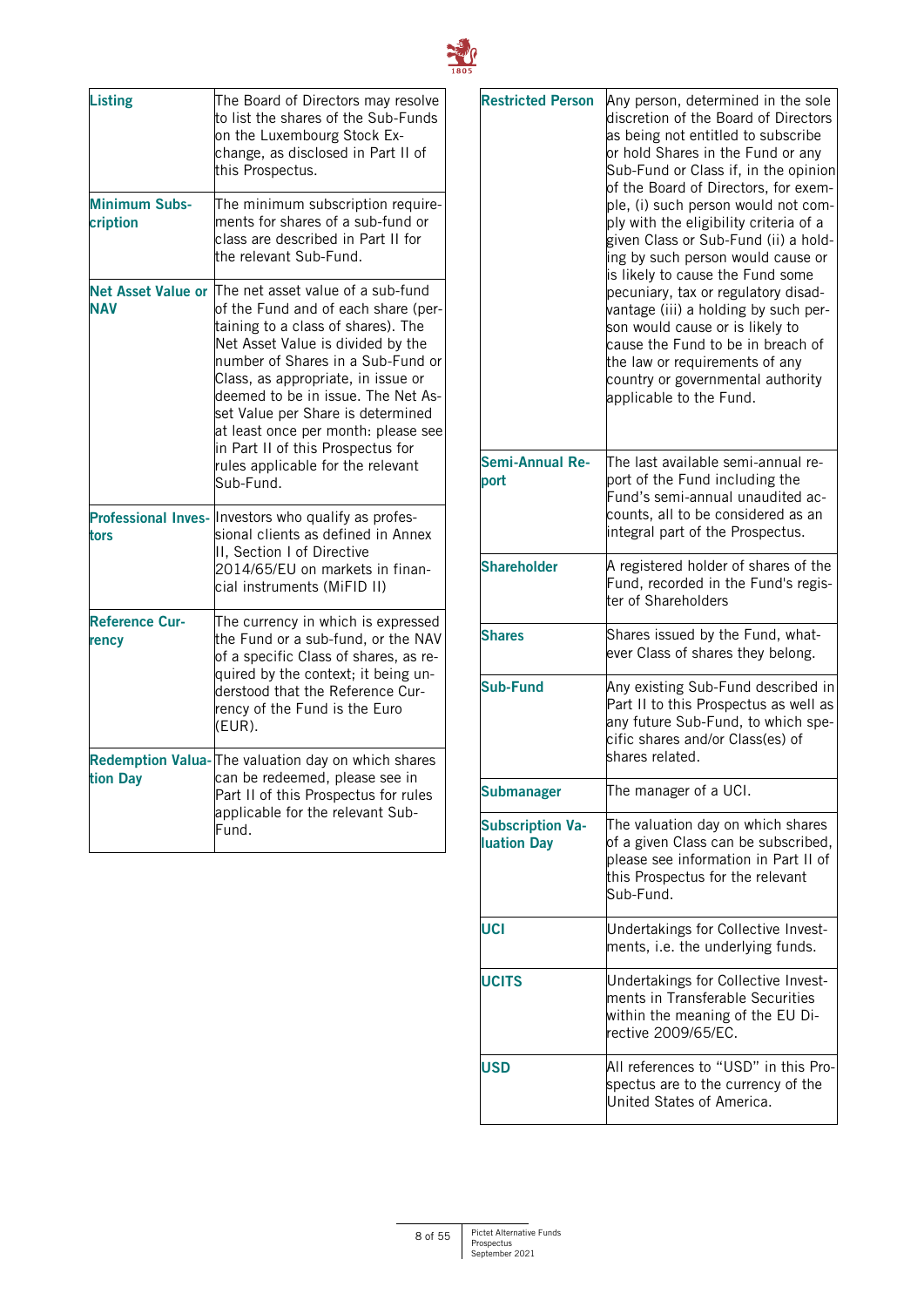

| <b>Listing</b>                          | The Board of Directors may resolve<br>to list the shares of the Sub-Funds<br>on the Luxembourg Stock Ex-<br>change, as disclosed in Part II of<br>this Prospectus.                                                                                                                                                                                                                                                                      |
|-----------------------------------------|-----------------------------------------------------------------------------------------------------------------------------------------------------------------------------------------------------------------------------------------------------------------------------------------------------------------------------------------------------------------------------------------------------------------------------------------|
| <b>Minimum Subs-</b><br>cription        | The minimum subscription require-<br>ments for shares of a sub-fund or<br>class are described in Part II for<br>the relevant Sub-Fund.                                                                                                                                                                                                                                                                                                  |
| <b>Net Asset Value or</b><br><b>NAV</b> | The net asset value of a sub-fund<br>of the Fund and of each share (per-<br>taining to a class of shares). The<br>Net Asset Value is divided by the<br>number of Shares in a Sub-Fund or<br>Class, as appropriate, in issue or<br>deemed to be in issue. The Net As-<br>set Value per Share is determined<br>at least once per month: please see<br>in Part II of this Prospectus for<br>rules applicable for the relevant<br>Sub-Fund. |
| tors                                    | Professional Inves- Investors who qualify as profes-<br>sional clients as defined in Annex<br>II, Section I of Directive<br>2014/65/EU on markets in finan-<br>cial instruments (MiFID II)                                                                                                                                                                                                                                              |
| <b>Reference Cur-</b><br>rency          | The currency in which is expressed<br>the Fund or a sub-fund, or the NAV<br>of a specific Class of shares, as re-<br>quired by the context; it being un-<br>derstood that the Reference Cur-<br>rency of the Fund is the Euro<br>(EUR).                                                                                                                                                                                                 |
| tion Day                                | Redemption Valua- The valuation day on which shares<br>can be redeemed, please see in<br>Part II of this Prospectus for rules<br>applicable for the relevant Sub-<br>Fund.                                                                                                                                                                                                                                                              |

| <b>Restricted Person</b>                      | Any person, determined in the sole<br>discretion of the Board of Directors<br>as being not entitled to subscribe<br>or hold Shares in the Fund or any<br>Sub-Fund or Class if, in the opinion<br>of the Board of Directors, for exem-<br>ple, (i) such person would not com-<br>ply with the eligibility criteria of a<br>given Class or Sub-Fund (ii) a hold-<br>ing by such person would cause or<br>is likely to cause the Fund some<br>pecuniary, tax or regulatory disad-<br>vantage (iii) a holding by such per-<br>son would cause or is likely to<br>cause the Fund to be in breach of<br>the law or requirements of any<br>country or governmental authority<br>applicable to the Fund. |  |
|-----------------------------------------------|--------------------------------------------------------------------------------------------------------------------------------------------------------------------------------------------------------------------------------------------------------------------------------------------------------------------------------------------------------------------------------------------------------------------------------------------------------------------------------------------------------------------------------------------------------------------------------------------------------------------------------------------------------------------------------------------------|--|
| Semi-Annual Re-<br>port                       | The last available semi-annual re-<br>port of the Fund including the<br>Fund's semi-annual unaudited ac-<br>counts, all to be considered as an<br>integral part of the Prospectus.                                                                                                                                                                                                                                                                                                                                                                                                                                                                                                               |  |
| <b>Shareholder</b>                            | A registered holder of shares of the<br>Fund, recorded in the Fund's regis-<br>ter of Shareholders                                                                                                                                                                                                                                                                                                                                                                                                                                                                                                                                                                                               |  |
| <b>Shares</b>                                 | Shares issued by the Fund, what-<br>ever Class of shares they belong.                                                                                                                                                                                                                                                                                                                                                                                                                                                                                                                                                                                                                            |  |
| <b>Sub-Fund</b>                               | Any existing Sub-Fund described in<br>Part II to this Prospectus as well as<br>any future Sub-Fund, to which spe-<br>cific shares and/or Class(es) of<br>shares related.                                                                                                                                                                                                                                                                                                                                                                                                                                                                                                                         |  |
| Submanager                                    | The manager of a UCI.                                                                                                                                                                                                                                                                                                                                                                                                                                                                                                                                                                                                                                                                            |  |
| <b>Subscription Va-</b><br><b>Iuation Day</b> | The valuation day on which shares<br>of a given Class can be subscribed,<br>please see information in Part II of<br>this Prospectus for the relevant<br>Sub-Fund.                                                                                                                                                                                                                                                                                                                                                                                                                                                                                                                                |  |
| UCI                                           | Undertakings for Collective Invest-<br>ments, i.e. the underlying funds.                                                                                                                                                                                                                                                                                                                                                                                                                                                                                                                                                                                                                         |  |
| <b>UCITS</b>                                  | Undertakings for Collective Invest-<br>ments in Transferable Securities<br>within the meaning of the EU Di-<br>rective 2009/65/EC.                                                                                                                                                                                                                                                                                                                                                                                                                                                                                                                                                               |  |
| <b>USD</b>                                    | All references to "USD" in this Pro-<br>spectus are to the currency of the<br>United States of America.                                                                                                                                                                                                                                                                                                                                                                                                                                                                                                                                                                                          |  |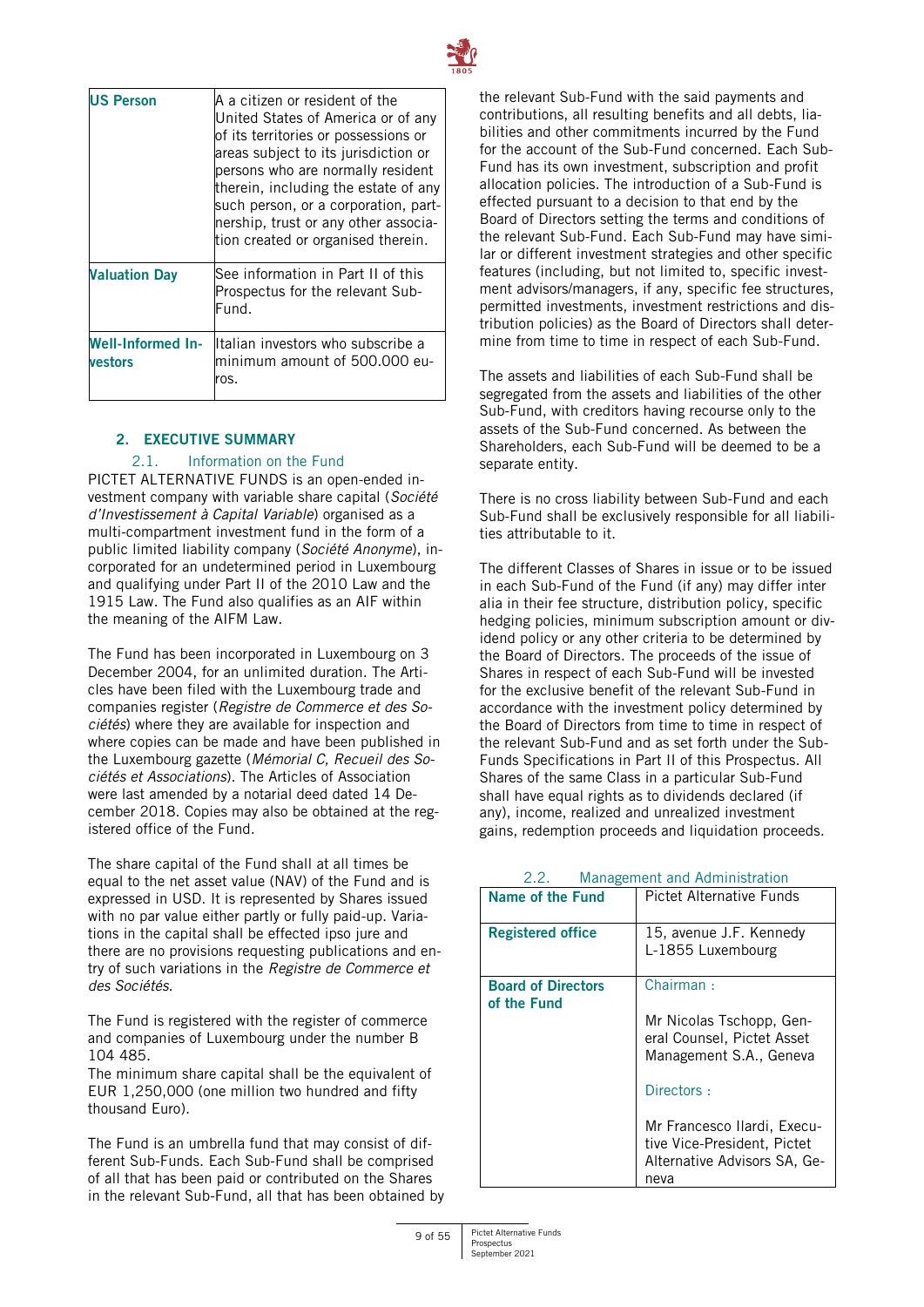

| US Person                           | A a citizen or resident of the<br>United States of America or of any<br>of its territories or possessions or<br>areas subject to its jurisdiction or<br>persons who are normally resident<br>therein, including the estate of any<br>such person, or a corporation, part-<br>nership, trust or any other associa-<br>tion created or organised therein. |
|-------------------------------------|---------------------------------------------------------------------------------------------------------------------------------------------------------------------------------------------------------------------------------------------------------------------------------------------------------------------------------------------------------|
| <b>Valuation Day</b>                | See information in Part II of this<br>Prospectus for the relevant Sub-<br>Fund.                                                                                                                                                                                                                                                                         |
| <b>Well-Informed In-</b><br>vestors | Italian investors who subscribe a<br>minimum amount of 500.000 eu-<br>ros.                                                                                                                                                                                                                                                                              |

# <span id="page-8-0"></span>**2. EXECUTIVE SUMMARY**

# 2.1. Information on the Fund

PICTET ALTERNATIVE FUNDS is an open-ended investment company with variable share capital (*Société d'Investissement à Capital Variable*) organised as a multi-compartment investment fund in the form of a public limited liability company (*Société Anonyme*), incorporated for an undetermined period in Luxembourg and qualifying under Part II of the 2010 Law and the 1915 Law. The Fund also qualifies as an AIF within the meaning of the AIFM Law.

The Fund has been incorporated in Luxembourg on 3 December 2004, for an unlimited duration. The Articles have been filed with the Luxembourg trade and companies register (*Registre de Commerce et des Sociétés*) where they are available for inspection and where copies can be made and have been published in the Luxembourg gazette (*Mémorial C, Recueil des Sociétés et Associations*). The Articles of Association were last amended by a notarial deed dated 14 December 2018. Copies may also be obtained at the registered office of the Fund.

The share capital of the Fund shall at all times be equal to the net asset value (NAV) of the Fund and is expressed in USD. It is represented by Shares issued with no par value either partly or fully paid-up. Variations in the capital shall be effected ipso jure and there are no provisions requesting publications and entry of such variations in the *Registre de Commerce et des Sociétés*.

The Fund is registered with the register of commerce and companies of Luxembourg under the number B 104 485.

The minimum share capital shall be the equivalent of EUR 1,250,000 (one million two hundred and fifty thousand Euro).

The Fund is an umbrella fund that may consist of different Sub-Funds. Each Sub-Fund shall be comprised of all that has been paid or contributed on the Shares in the relevant Sub-Fund, all that has been obtained by the relevant Sub-Fund with the said payments and contributions, all resulting benefits and all debts, liabilities and other commitments incurred by the Fund for the account of the Sub-Fund concerned. Each Sub-Fund has its own investment, subscription and profit allocation policies. The introduction of a Sub-Fund is effected pursuant to a decision to that end by the Board of Directors setting the terms and conditions of the relevant Sub-Fund. Each Sub-Fund may have similar or different investment strategies and other specific features (including, but not limited to, specific investment advisors/managers, if any, specific fee structures, permitted investments, investment restrictions and distribution policies) as the Board of Directors shall determine from time to time in respect of each Sub-Fund.

The assets and liabilities of each Sub-Fund shall be segregated from the assets and liabilities of the other Sub-Fund, with creditors having recourse only to the assets of the Sub-Fund concerned. As between the Shareholders, each Sub-Fund will be deemed to be a separate entity.

There is no cross liability between Sub-Fund and each Sub-Fund shall be exclusively responsible for all liabilities attributable to it.

The different Classes of Shares in issue or to be issued in each Sub-Fund of the Fund (if any) may differ inter alia in their fee structure, distribution policy, specific hedging policies, minimum subscription amount or dividend policy or any other criteria to be determined by the Board of Directors. The proceeds of the issue of Shares in respect of each Sub-Fund will be invested for the exclusive benefit of the relevant Sub-Fund in accordance with the investment policy determined by the Board of Directors from time to time in respect of the relevant Sub-Fund and as set forth under the Sub-Funds Specifications in Part II of this Prospectus. All Shares of the same Class in a particular Sub-Fund shall have equal rights as to dividends declared (if any), income, realized and unrealized investment gains, redemption proceeds and liquidation proceeds.

| Name of the Fund                         | Pictet Alternative Funds                                                                           |  |
|------------------------------------------|----------------------------------------------------------------------------------------------------|--|
| <b>Registered office</b>                 | 15, avenue J.F. Kennedy<br>L-1855 Luxembourg                                                       |  |
| <b>Board of Directors</b><br>of the Fund | Chairman:                                                                                          |  |
|                                          | Mr Nicolas Tschopp, Gen-<br>eral Counsel, Pictet Asset<br>Management S.A., Geneva                  |  |
|                                          | Directors:                                                                                         |  |
|                                          | Mr Francesco Ilardi, Execu-<br>tive Vice-President, Pictet<br>Alternative Advisors SA, Ge-<br>neva |  |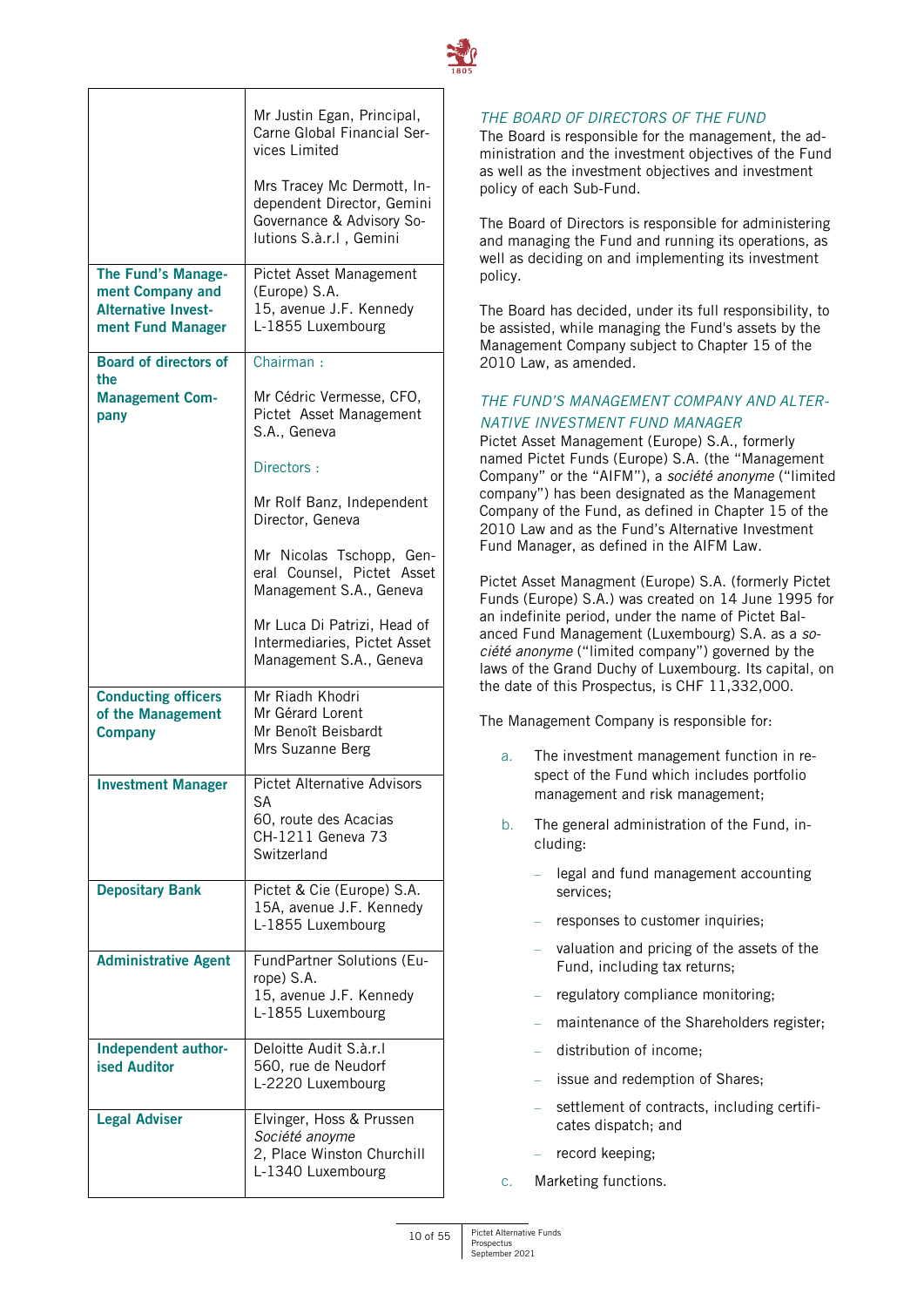

|                                                                                           | Mr Justin Egan, Principal,<br>Carne Global Financial Ser-<br>vices Limited<br>Mrs Tracey Mc Dermott, In-<br>dependent Director, Gemini<br>Governance & Advisory So-<br>lutions S.à.r.l, Gemini |
|-------------------------------------------------------------------------------------------|------------------------------------------------------------------------------------------------------------------------------------------------------------------------------------------------|
| The Fund's Manage-<br>ment Company and<br><b>Alternative Invest-</b><br>ment Fund Manager | Pictet Asset Management<br>(Europe) S.A.<br>15, avenue J.F. Kennedy<br>L-1855 Luxembourg                                                                                                       |
| <b>Board of directors of</b>                                                              | Chairman:                                                                                                                                                                                      |
| the<br><b>Management Com-</b><br>pany                                                     | Mr Cédric Vermesse, CFO,<br>Pictet Asset Management<br>S.A., Geneva                                                                                                                            |
|                                                                                           | Directors:                                                                                                                                                                                     |
|                                                                                           | Mr Rolf Banz, Independent<br>Director, Geneva                                                                                                                                                  |
|                                                                                           | Mr Nicolas Tschopp, Gen-<br>eral Counsel, Pictet Asset<br>Management S.A., Geneva                                                                                                              |
|                                                                                           | Mr Luca Di Patrizi, Head of<br>Intermediaries, Pictet Asset<br>Management S.A., Geneva                                                                                                         |
| <b>Conducting officers</b><br>of the Management<br><b>Company</b>                         | Mr Riadh Khodri<br>Mr Gérard Lorent<br>Mr Benoît Beisbardt<br>Mrs Suzanne Berg                                                                                                                 |
| <b>Investment Manager</b>                                                                 | <b>Pictet Alternative Advisors</b><br>SА<br>60, route des Acacias<br>CH-1211 Geneva 73<br>Switzerland                                                                                          |
| <b>Depositary Bank</b>                                                                    | Pictet & Cie (Europe) S.A.<br>15A, avenue J.F. Kennedy<br>L-1855 Luxembourg                                                                                                                    |
| <b>Administrative Agent</b>                                                               | FundPartner Solutions (Eu-<br>rope) S.A.<br>15, avenue J.F. Kennedy<br>L-1855 Luxembourg                                                                                                       |
| Independent author-<br><b>ised Auditor</b>                                                | Deloitte Audit S.à.r.I<br>560, rue de Neudorf<br>L-2220 Luxembourg                                                                                                                             |
| <b>Legal Adviser</b>                                                                      | Elvinger, Hoss & Prussen<br>Société anoyme<br>2, Place Winston Churchill<br>L-1340 Luxembourg                                                                                                  |

# *THE BOARD OF DIRECTORS OF THE FUND*

The Board is responsible for the management, the administration and the investment objectives of the Fund as well as the investment objectives and investment policy of each Sub-Fund.

The Board of Directors is responsible for administering and managing the Fund and running its operations, as well as deciding on and implementing its investment policy.

The Board has decided, under its full responsibility, to be assisted, while managing the Fund's assets by the Management Company subject to Chapter 15 of the 2010 Law, as amended.

# *THE FUND'S MANAGEMENT COMPANY AND ALTER-NATIVE INVESTMENT FUND MANAGER*

Pictet Asset Management (Europe) S.A., formerly named Pictet Funds (Europe) S.A. (the "Management Company" or the "AIFM"), a *société anonyme* ("limited company") has been designated as the Management Company of the Fund, as defined in Chapter 15 of the 2010 Law and as the Fund's Alternative Investment Fund Manager, as defined in the AIFM Law.

Pictet Asset Managment (Europe) S.A. (formerly Pictet Funds (Europe) S.A.) was created on 14 June 1995 for an indefinite period, under the name of Pictet Balanced Fund Management (Luxembourg) S.A. as a *société anonyme* ("limited company") governed by the laws of the Grand Duchy of Luxembourg. Its capital, on the date of this Prospectus, is CHF 11,332,000.

The Management Company is responsible for:

- a. The investment management function in respect of the Fund which includes portfolio management and risk management;
- b. The general administration of the Fund, including:
	- legal and fund management accounting services;
	- responses to customer inquiries;
	- valuation and pricing of the assets of the Fund, including tax returns;
	- regulatory compliance monitoring;
	- maintenance of the Shareholders register;
	- distribution of income;
	- issue and redemption of Shares;
	- settlement of contracts, including certificates dispatch; and
	- record keeping;
- c. Marketing functions.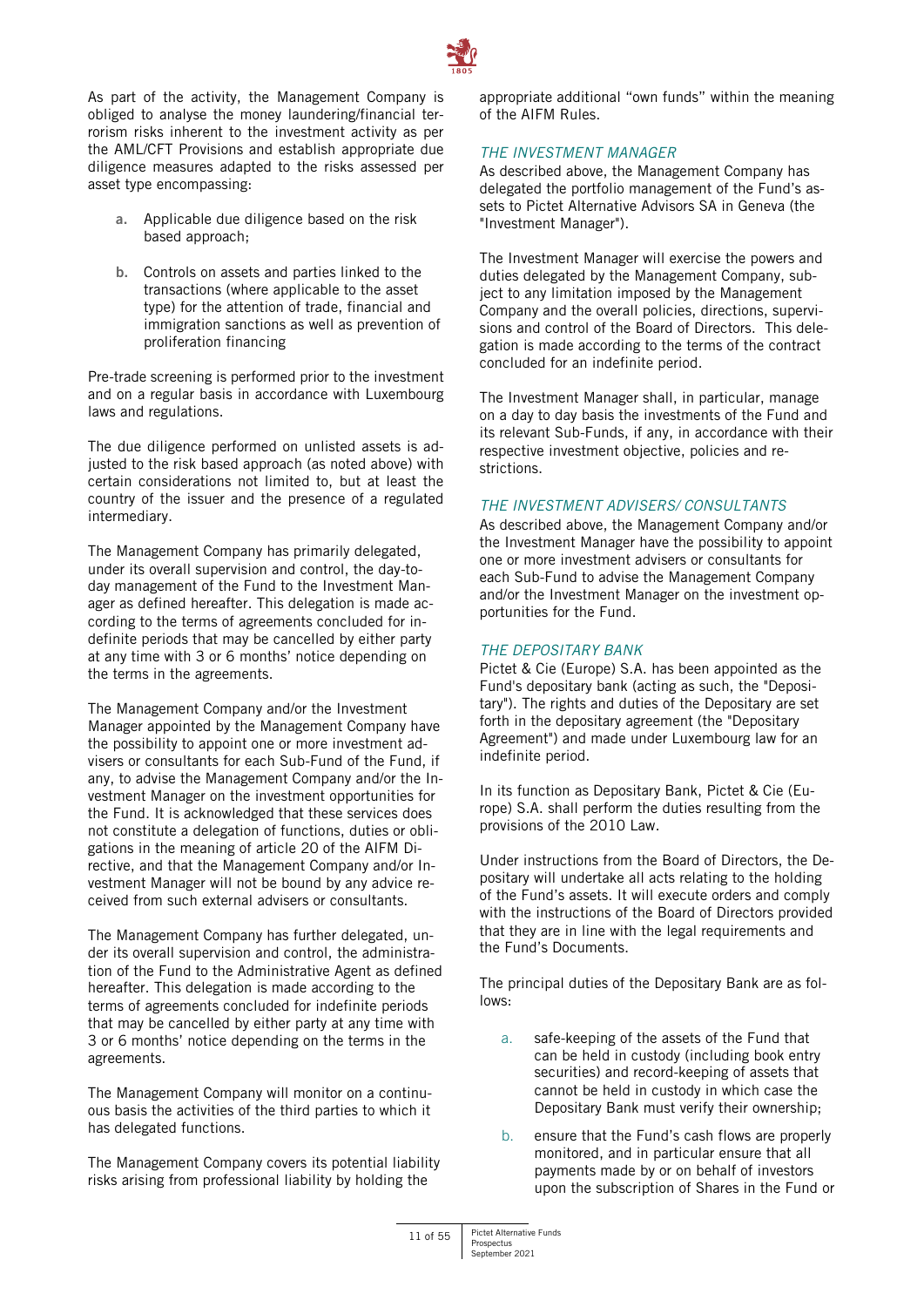

As part of the activity, the Management Company is obliged to analyse the money laundering/financial terrorism risks inherent to the investment activity as per the AML/CFT Provisions and establish appropriate due diligence measures adapted to the risks assessed per asset type encompassing:

- **a.** Applicable due diligence based on the risk based approach;
- **b.** Controls on assets and parties linked to the transactions (where applicable to the asset type) for the attention of trade, financial and immigration sanctions as well as prevention of proliferation financing

Pre-trade screening is performed prior to the investment and on a regular basis in accordance with Luxembourg laws and regulations.

The due diligence performed on unlisted assets is adjusted to the risk based approach (as noted above) with certain considerations not limited to, but at least the country of the issuer and the presence of a regulated intermediary.

The Management Company has primarily delegated, under its overall supervision and control, the day-today management of the Fund to the Investment Manager as defined hereafter. This delegation is made according to the terms of agreements concluded for indefinite periods that may be cancelled by either party at any time with 3 or 6 months' notice depending on the terms in the agreements.

The Management Company and/or the Investment Manager appointed by the Management Company have the possibility to appoint one or more investment advisers or consultants for each Sub-Fund of the Fund, if any, to advise the Management Company and/or the Investment Manager on the investment opportunities for the Fund. It is acknowledged that these services does not constitute a delegation of functions, duties or obligations in the meaning of article 20 of the AIFM Directive, and that the Management Company and/or Investment Manager will not be bound by any advice received from such external advisers or consultants.

The Management Company has further delegated, under its overall supervision and control, the administration of the Fund to the Administrative Agent as defined hereafter. This delegation is made according to the terms of agreements concluded for indefinite periods that may be cancelled by either party at any time with 3 or 6 months' notice depending on the terms in the agreements.

The Management Company will monitor on a continuous basis the activities of the third parties to which it has delegated functions.

The Management Company covers its potential liability risks arising from professional liability by holding the

appropriate additional "own funds" within the meaning of the AIFM Rules.

# *THE INVESTMENT MANAGER*

As described above, the Management Company has delegated the portfolio management of the Fund's assets to Pictet Alternative Advisors SA in Geneva (the "Investment Manager").

The Investment Manager will exercise the powers and duties delegated by the Management Company, subject to any limitation imposed by the Management Company and the overall policies, directions, supervisions and control of the Board of Directors. This delegation is made according to the terms of the contract concluded for an indefinite period.

The Investment Manager shall, in particular, manage on a day to day basis the investments of the Fund and its relevant Sub-Funds, if any, in accordance with their respective investment objective, policies and restrictions.

# *THE INVESTMENT ADVISERS/ CONSULTANTS*

As described above, the Management Company and/or the Investment Manager have the possibility to appoint one or more investment advisers or consultants for each Sub-Fund to advise the Management Company and/or the Investment Manager on the investment opportunities for the Fund.

#### *THE DEPOSITARY BANK*

Pictet & Cie (Europe) S.A. has been appointed as the Fund's depositary bank (acting as such, the "Depositary"). The rights and duties of the Depositary are set forth in the depositary agreement (the "Depositary Agreement") and made under Luxembourg law for an indefinite period.

In its function as Depositary Bank, Pictet & Cie (Europe) S.A. shall perform the duties resulting from the provisions of the 2010 Law.

Under instructions from the Board of Directors, the Depositary will undertake all acts relating to the holding of the Fund's assets. It will execute orders and comply with the instructions of the Board of Directors provided that they are in line with the legal requirements and the Fund's Documents.

The principal duties of the Depositary Bank are as follows:

- a. safe-keeping of the assets of the Fund that can be held in custody (including book entry securities) and record-keeping of assets that cannot be held in custody in which case the Depositary Bank must verify their ownership;
- b. ensure that the Fund's cash flows are properly monitored, and in particular ensure that all payments made by or on behalf of investors upon the subscription of Shares in the Fund or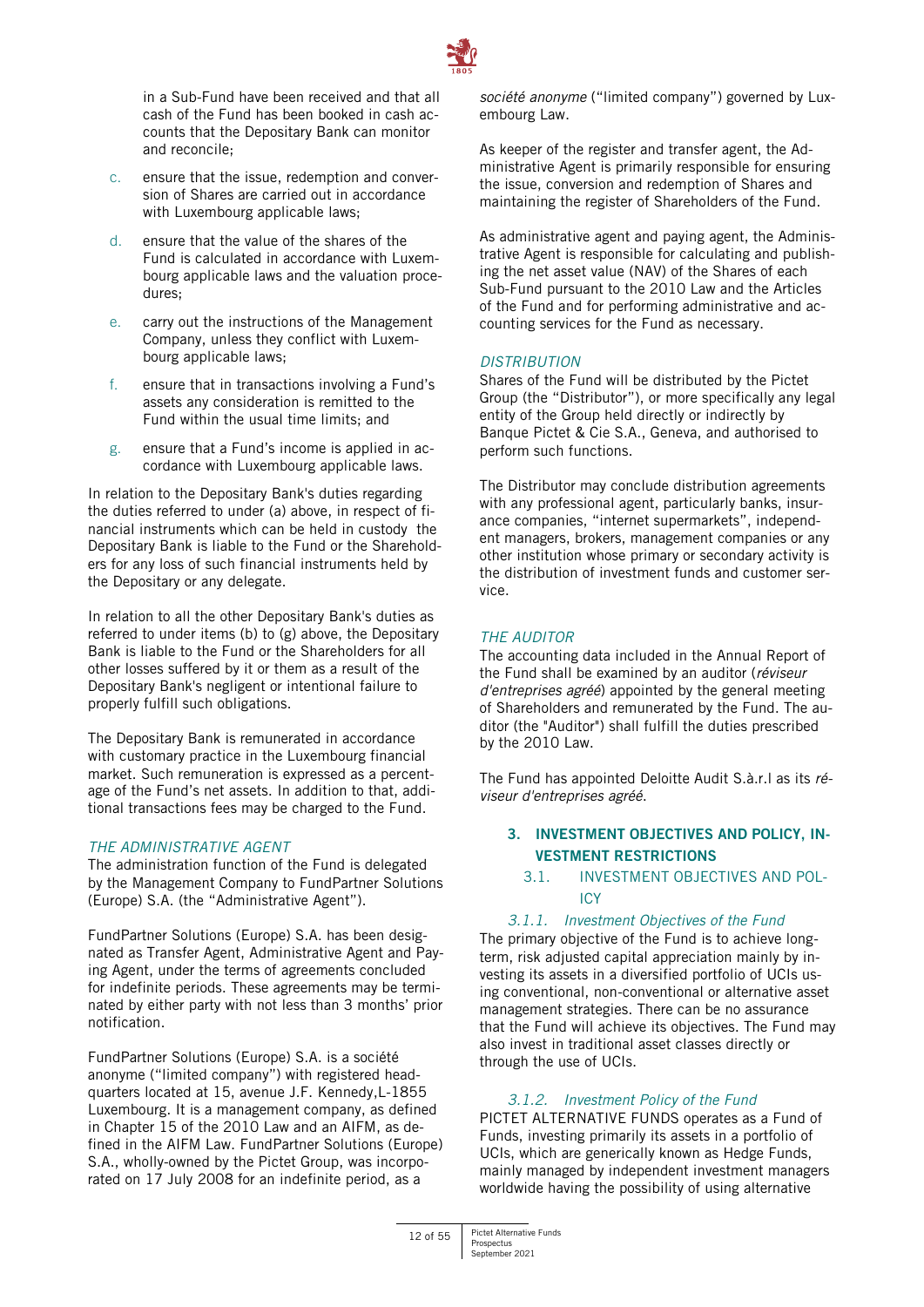

in a Sub-Fund have been received and that all cash of the Fund has been booked in cash accounts that the Depositary Bank can monitor and reconcile;

- c. ensure that the issue, redemption and conversion of Shares are carried out in accordance with Luxembourg applicable laws;
- d. ensure that the value of the shares of the Fund is calculated in accordance with Luxembourg applicable laws and the valuation procedures;
- e. carry out the instructions of the Management Company, unless they conflict with Luxembourg applicable laws;
- f. ensure that in transactions involving a Fund's assets any consideration is remitted to the Fund within the usual time limits; and
- g. ensure that a Fund's income is applied in accordance with Luxembourg applicable laws.

In relation to the Depositary Bank's duties regarding the duties referred to under (a) above, in respect of financial instruments which can be held in custody the Depositary Bank is liable to the Fund or the Shareholders for any loss of such financial instruments held by the Depositary or any delegate.

In relation to all the other Depositary Bank's duties as referred to under items (b) to (g) above, the Depositary Bank is liable to the Fund or the Shareholders for all other losses suffered by it or them as a result of the Depositary Bank's negligent or intentional failure to properly fulfill such obligations.

The Depositary Bank is remunerated in accordance with customary practice in the Luxembourg financial market. Such remuneration is expressed as a percentage of the Fund's net assets. In addition to that, additional transactions fees may be charged to the Fund.

# *THE ADMINISTRATIVE AGENT*

The administration function of the Fund is delegated by the Management Company to FundPartner Solutions (Europe) S.A. (the "Administrative Agent").

FundPartner Solutions (Europe) S.A. has been designated as Transfer Agent, Administrative Agent and Paying Agent, under the terms of agreements concluded for indefinite periods. These agreements may be terminated by either party with not less than 3 months' prior notification.

FundPartner Solutions (Europe) S.A. is a société anonyme ("limited company") with registered headquarters located at 15, avenue J.F. Kennedy,L-1855 Luxembourg. It is a management company, as defined in Chapter 15 of the 2010 Law and an AIFM, as defined in the AIFM Law. FundPartner Solutions (Europe) S.A., wholly-owned by the Pictet Group, was incorporated on 17 July 2008 for an indefinite period, as a

*société anonyme* ("limited company") governed by Luxembourg Law.

As keeper of the register and transfer agent, the Administrative Agent is primarily responsible for ensuring the issue, conversion and redemption of Shares and maintaining the register of Shareholders of the Fund.

As administrative agent and paying agent, the Administrative Agent is responsible for calculating and publishing the net asset value (NAV) of the Shares of each Sub-Fund pursuant to the 2010 Law and the Articles of the Fund and for performing administrative and accounting services for the Fund as necessary.

# *DISTRIBUTION*

Shares of the Fund will be distributed by the Pictet Group (the "Distributor"), or more specifically any legal entity of the Group held directly or indirectly by Banque Pictet & Cie S.A., Geneva, and authorised to perform such functions.

The Distributor may conclude distribution agreements with any professional agent, particularly banks, insurance companies, "internet supermarkets", independent managers, brokers, management companies or any other institution whose primary or secondary activity is the distribution of investment funds and customer service.

# *THE AUDITOR*

The accounting data included in the Annual Report of the Fund shall be examined by an auditor (*réviseur d'entreprises agréé*) appointed by the general meeting of Shareholders and remunerated by the Fund. The auditor (the "Auditor") shall fulfill the duties prescribed by the 2010 Law.

The Fund has appointed Deloitte Audit S.à.r.l as its *réviseur d'entreprises agréé*.

# <span id="page-11-0"></span>**3. INVESTMENT OBJECTIVES AND POLICY, IN-VESTMENT RESTRICTIONS**

# 3.1. INVESTMENT OBJECTIVES AND POL-ICY

# *3.1.1. Investment Objectives of the Fund*  The primary objective of the Fund is to achieve long-

term, risk adjusted capital appreciation mainly by investing its assets in a diversified portfolio of UCIs using conventional, non-conventional or alternative asset management strategies. There can be no assurance that the Fund will achieve its objectives. The Fund may also invest in traditional asset classes directly or through the use of UCIs.

# *3.1.2. Investment Policy of the Fund*

PICTET ALTERNATIVE FUNDS operates as a Fund of Funds, investing primarily its assets in a portfolio of UCIs, which are generically known as Hedge Funds, mainly managed by independent investment managers worldwide having the possibility of using alternative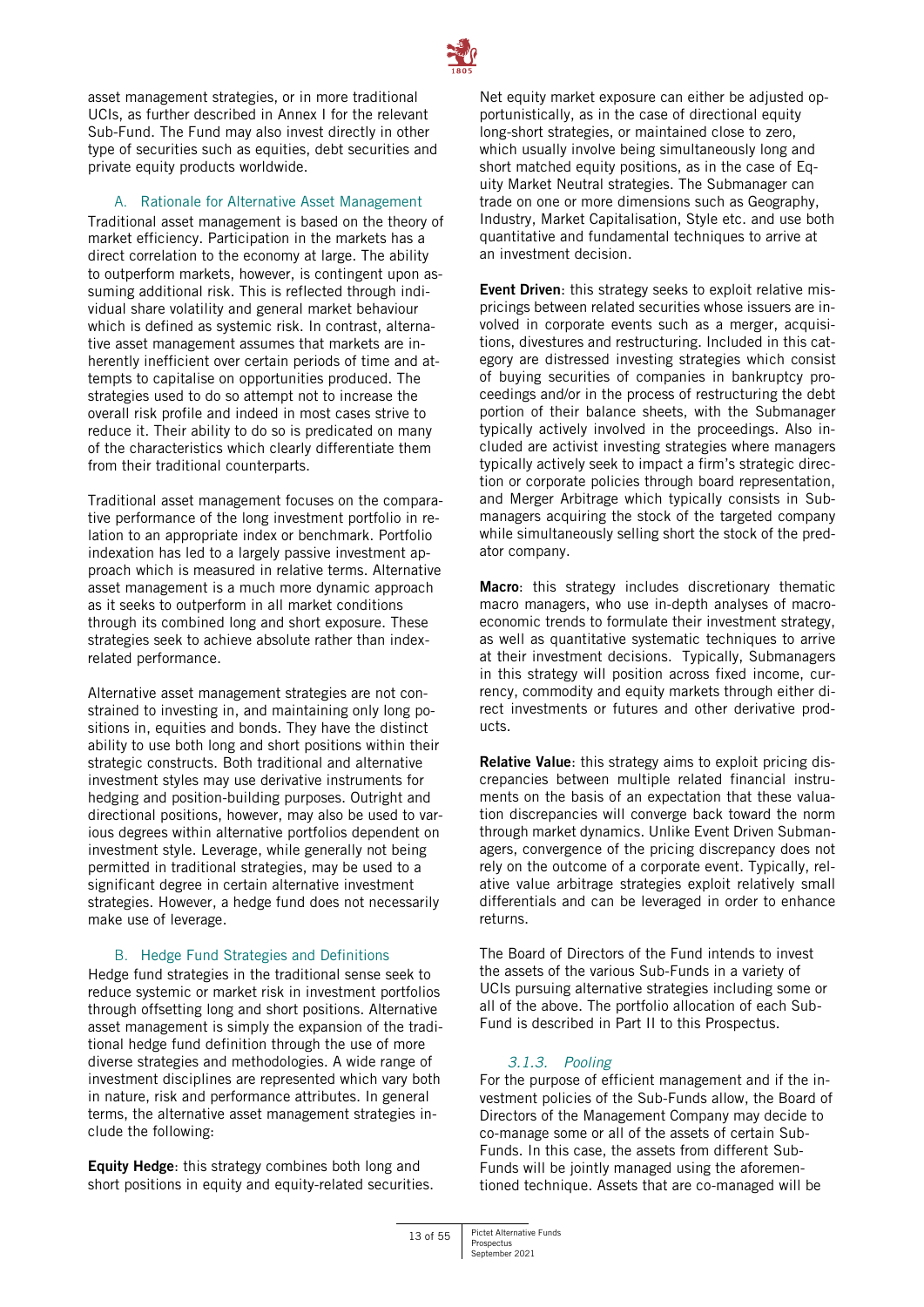

asset management strategies, or in more traditional UCIs, as further described in Annex I for the relevant Sub-Fund. The Fund may also invest directly in other type of securities such as equities, debt securities and private equity products worldwide.

# A. Rationale for Alternative Asset Management

Traditional asset management is based on the theory of market efficiency. Participation in the markets has a direct correlation to the economy at large. The ability to outperform markets, however, is contingent upon assuming additional risk. This is reflected through individual share volatility and general market behaviour which is defined as systemic risk. In contrast, alternative asset management assumes that markets are inherently inefficient over certain periods of time and attempts to capitalise on opportunities produced. The strategies used to do so attempt not to increase the overall risk profile and indeed in most cases strive to reduce it. Their ability to do so is predicated on many of the characteristics which clearly differentiate them from their traditional counterparts.

Traditional asset management focuses on the comparative performance of the long investment portfolio in relation to an appropriate index or benchmark. Portfolio indexation has led to a largely passive investment approach which is measured in relative terms. Alternative asset management is a much more dynamic approach as it seeks to outperform in all market conditions through its combined long and short exposure. These strategies seek to achieve absolute rather than indexrelated performance.

Alternative asset management strategies are not constrained to investing in, and maintaining only long positions in, equities and bonds. They have the distinct ability to use both long and short positions within their strategic constructs. Both traditional and alternative investment styles may use derivative instruments for hedging and position-building purposes. Outright and directional positions, however, may also be used to various degrees within alternative portfolios dependent on investment style. Leverage, while generally not being permitted in traditional strategies, may be used to a significant degree in certain alternative investment strategies. However, a hedge fund does not necessarily make use of leverage.

#### B. Hedge Fund Strategies and Definitions

Hedge fund strategies in the traditional sense seek to reduce systemic or market risk in investment portfolios through offsetting long and short positions. Alternative asset management is simply the expansion of the traditional hedge fund definition through the use of more diverse strategies and methodologies. A wide range of investment disciplines are represented which vary both in nature, risk and performance attributes. In general terms, the alternative asset management strategies include the following:

**Equity Hedge**: this strategy combines both long and short positions in equity and equity-related securities.

Net equity market exposure can either be adjusted opportunistically, as in the case of directional equity long-short strategies, or maintained close to zero, which usually involve being simultaneously long and short matched equity positions, as in the case of Equity Market Neutral strategies. The Submanager can trade on one or more dimensions such as Geography, Industry, Market Capitalisation, Style etc. and use both quantitative and fundamental techniques to arrive at an investment decision.

**Event Driven**: this strategy seeks to exploit relative mispricings between related securities whose issuers are involved in corporate events such as a merger, acquisitions, divestures and restructuring. Included in this category are distressed investing strategies which consist of buying securities of companies in bankruptcy proceedings and/or in the process of restructuring the debt portion of their balance sheets, with the Submanager typically actively involved in the proceedings. Also included are activist investing strategies where managers typically actively seek to impact a firm's strategic direction or corporate policies through board representation, and Merger Arbitrage which typically consists in Submanagers acquiring the stock of the targeted company while simultaneously selling short the stock of the predator company.

**Macro**: this strategy includes discretionary thematic macro managers, who use in-depth analyses of macroeconomic trends to formulate their investment strategy, as well as quantitative systematic techniques to arrive at their investment decisions. Typically, Submanagers in this strategy will position across fixed income, currency, commodity and equity markets through either direct investments or futures and other derivative products.

**Relative Value**: this strategy aims to exploit pricing discrepancies between multiple related financial instruments on the basis of an expectation that these valuation discrepancies will converge back toward the norm through market dynamics. Unlike Event Driven Submanagers, convergence of the pricing discrepancy does not rely on the outcome of a corporate event. Typically, relative value arbitrage strategies exploit relatively small differentials and can be leveraged in order to enhance returns.

The Board of Directors of the Fund intends to invest the assets of the various Sub-Funds in a variety of UCIs pursuing alternative strategies including some or all of the above. The portfolio allocation of each Sub-Fund is described in Part II to this Prospectus.

# *3.1.3. Pooling*

For the purpose of efficient management and if the investment policies of the Sub-Funds allow, the Board of Directors of the Management Company may decide to co-manage some or all of the assets of certain Sub-Funds. In this case, the assets from different Sub-Funds will be jointly managed using the aforementioned technique. Assets that are co-managed will be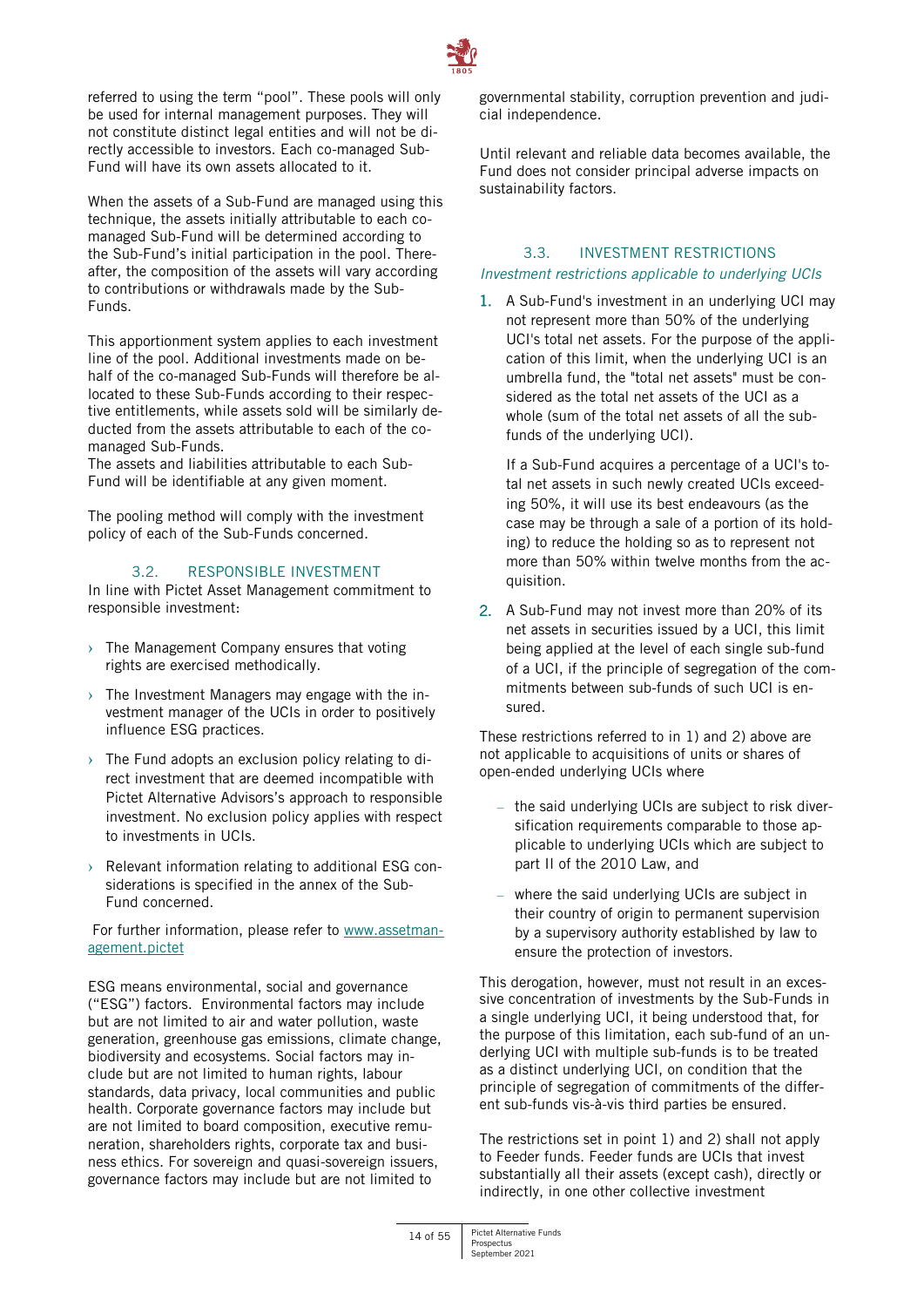

referred to using the term "pool". These pools will only be used for internal management purposes. They will not constitute distinct legal entities and will not be directly accessible to investors. Each co-managed Sub-Fund will have its own assets allocated to it.

When the assets of a Sub-Fund are managed using this technique, the assets initially attributable to each comanaged Sub-Fund will be determined according to the Sub-Fund's initial participation in the pool. Thereafter, the composition of the assets will vary according to contributions or withdrawals made by the Sub-Funds.

This apportionment system applies to each investment line of the pool. Additional investments made on behalf of the co-managed Sub-Funds will therefore be allocated to these Sub-Funds according to their respective entitlements, while assets sold will be similarly deducted from the assets attributable to each of the comanaged Sub-Funds.

The assets and liabilities attributable to each Sub-Fund will be identifiable at any given moment.

The pooling method will comply with the investment policy of each of the Sub-Funds concerned.

# 3.2. RESPONSIBLE INVESTMENT

In line with Pictet Asset Management commitment to responsible investment:

- $\rightarrow$  The Management Company ensures that voting rights are exercised methodically.
- $\rightarrow$  The Investment Managers may engage with the investment manager of the UCIs in order to positively influence ESG practices.
- $\rightarrow$  The Fund adopts an exclusion policy relating to direct investment that are deemed incompatible with Pictet Alternative Advisors's approach to responsible investment. No exclusion policy applies with respect to investments in UCIs.
- $\rightarrow$  Relevant information relating to additional ESG considerations is specified in the annex of the Sub-Fund concerned.

For further information, please refer to [www.assetman](http://www.assetmanagement.pictet/)[agement.pictet](http://www.assetmanagement.pictet/)

ESG means environmental, social and governance ("ESG") factors. Environmental factors may include but are not limited to air and water pollution, waste generation, greenhouse gas emissions, climate change, biodiversity and ecosystems. Social factors may include but are not limited to human rights, labour standards, data privacy, local communities and public health. Corporate governance factors may include but are not limited to board composition, executive remuneration, shareholders rights, corporate tax and business ethics. For sovereign and quasi-sovereign issuers, governance factors may include but are not limited to

governmental stability, corruption prevention and judicial independence.

Until relevant and reliable data becomes available, the Fund does not consider principal adverse impacts on sustainability factors.

# 3.3. INVESTMENT RESTRICTIONS *Investment restrictions applicable to underlying UCIs*

1. A Sub-Fund's investment in an underlying UCI may not represent more than 50% of the underlying UCI's total net assets. For the purpose of the application of this limit, when the underlying UCI is an umbrella fund, the "total net assets" must be considered as the total net assets of the UCI as a whole (sum of the total net assets of all the subfunds of the underlying UCI).

If a Sub-Fund acquires a percentage of a UCI's total net assets in such newly created UCIs exceeding 50%, it will use its best endeavours (as the case may be through a sale of a portion of its holding) to reduce the holding so as to represent not more than 50% within twelve months from the acquisition.

2. A Sub-Fund may not invest more than 20% of its net assets in securities issued by a UCI, this limit being applied at the level of each single sub-fund of a UCI, if the principle of segregation of the commitments between sub-funds of such UCI is ensured.

These restrictions referred to in 1) and 2) above are not applicable to acquisitions of units or shares of open-ended underlying UCIs where

- the said underlying UCIs are subject to risk diversification requirements comparable to those applicable to underlying UCIs which are subject to part II of the 2010 Law, and
- where the said underlying UCIs are subject in their country of origin to permanent supervision by a supervisory authority established by law to ensure the protection of investors.

This derogation, however, must not result in an excessive concentration of investments by the Sub-Funds in a single underlying UCI, it being understood that, for the purpose of this limitation, each sub-fund of an underlying UCI with multiple sub-funds is to be treated as a distinct underlying UCI, on condition that the principle of segregation of commitments of the different sub-funds vis-à-vis third parties be ensured.

The restrictions set in point 1) and 2) shall not apply to Feeder funds. Feeder funds are UCIs that invest substantially all their assets (except cash), directly or indirectly, in one other collective investment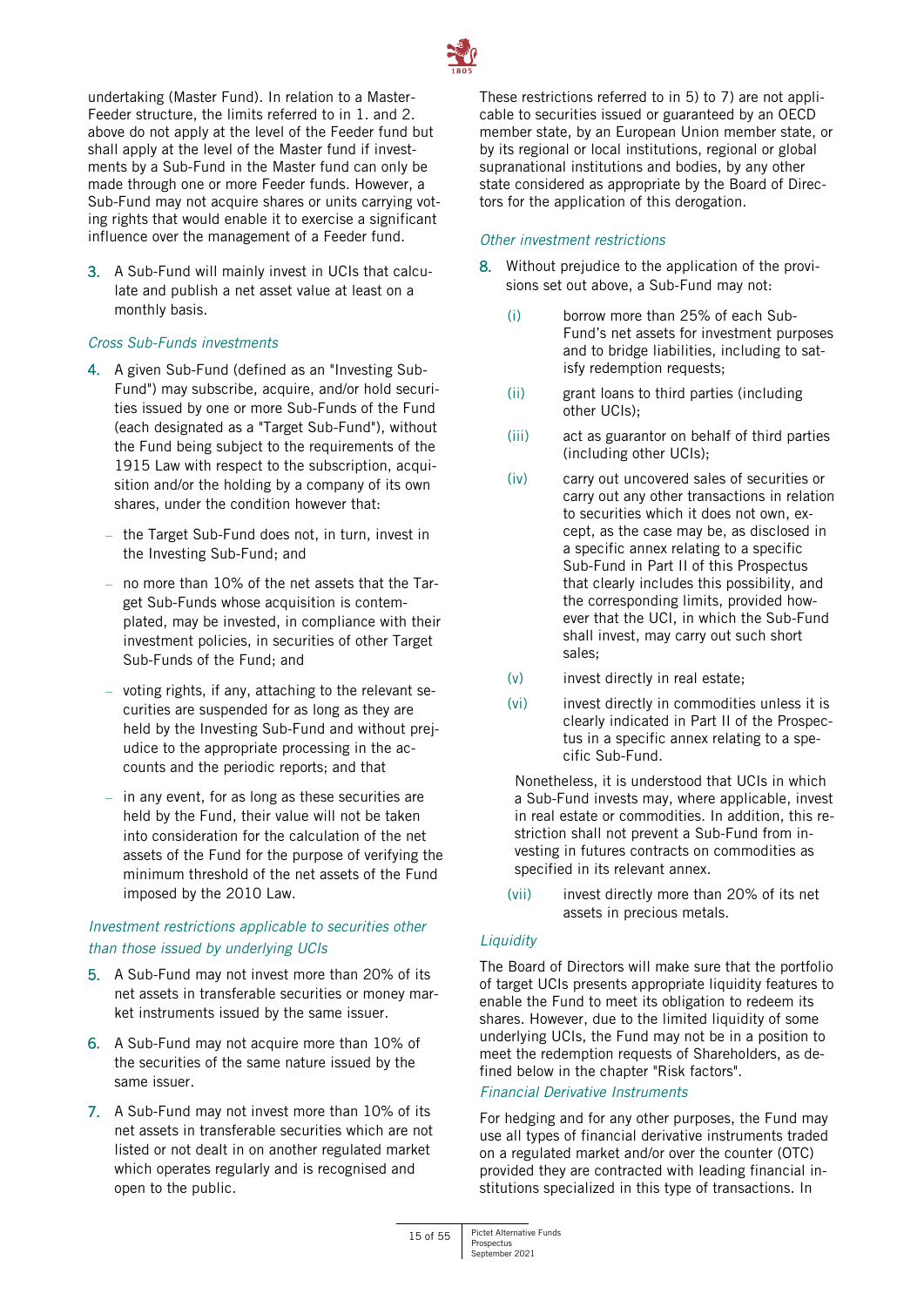

undertaking (Master Fund). In relation to a Master-Feeder structure, the limits referred to in 1. and 2. above do not apply at the level of the Feeder fund but shall apply at the level of the Master fund if investments by a Sub-Fund in the Master fund can only be made through one or more Feeder funds. However, a Sub-Fund may not acquire shares or units carrying voting rights that would enable it to exercise a significant influence over the management of a Feeder fund.

3. A Sub-Fund will mainly invest in UCIs that calculate and publish a net asset value at least on a monthly basis.

# *Cross Sub-Funds investments*

- 4. A given Sub-Fund (defined as an "Investing Sub-Fund") may subscribe, acquire, and/or hold securities issued by one or more Sub-Funds of the Fund (each designated as a "Target Sub-Fund"), without the Fund being subject to the requirements of the 1915 Law with respect to the subscription, acquisition and/or the holding by a company of its own shares, under the condition however that:
	- the Target Sub-Fund does not, in turn, invest in the Investing Sub-Fund; and
	- no more than 10% of the net assets that the Target Sub-Funds whose acquisition is contemplated, may be invested, in compliance with their investment policies, in securities of other Target Sub-Funds of the Fund; and
	- voting rights, if any, attaching to the relevant securities are suspended for as long as they are held by the Investing Sub-Fund and without prejudice to the appropriate processing in the accounts and the periodic reports; and that
	- in any event, for as long as these securities are held by the Fund, their value will not be taken into consideration for the calculation of the net assets of the Fund for the purpose of verifying the minimum threshold of the net assets of the Fund imposed by the 2010 Law.

# *Investment restrictions applicable to securities other than those issued by underlying UCIs*

- 5. A Sub-Fund may not invest more than 20% of its net assets in transferable securities or money market instruments issued by the same issuer.
- 6. A Sub-Fund may not acquire more than 10% of the securities of the same nature issued by the same issuer.
- 7. A Sub-Fund may not invest more than 10% of its net assets in transferable securities which are not listed or not dealt in on another regulated market which operates regularly and is recognised and open to the public.

These restrictions referred to in 5) to 7) are not applicable to securities issued or guaranteed by an OECD member state, by an European Union member state, or by its regional or local institutions, regional or global supranational institutions and bodies, by any other state considered as appropriate by the Board of Directors for the application of this derogation.

#### *Other investment restrictions*

- 8. Without prejudice to the application of the provisions set out above, a Sub-Fund may not:
	- (i) borrow more than 25% of each Sub-Fund's net assets for investment purposes and to bridge liabilities, including to satisfy redemption requests;
	- (ii) grant loans to third parties (including other UCIs);
	- (iii) act as guarantor on behalf of third parties (including other UCIs);
	- (iv) carry out uncovered sales of securities or carry out any other transactions in relation to securities which it does not own, except, as the case may be, as disclosed in a specific annex relating to a specific Sub-Fund in Part II of this Prospectus that clearly includes this possibility, and the corresponding limits, provided however that the UCI, in which the Sub-Fund shall invest, may carry out such short sales;
	- (v) invest directly in real estate;
	- (vi) invest directly in commodities unless it is clearly indicated in Part II of the Prospectus in a specific annex relating to a specific Sub-Fund.

Nonetheless, it is understood that UCIs in which a Sub-Fund invests may, where applicable, invest in real estate or commodities. In addition, this restriction shall not prevent a Sub-Fund from investing in futures contracts on commodities as specified in its relevant annex.

(vii) invest directly more than 20% of its net assets in precious metals.

# *Liquidity*

The Board of Directors will make sure that the portfolio of target UCIs presents appropriate liquidity features to enable the Fund to meet its obligation to redeem its shares. However, due to the limited liquidity of some underlying UCIs, the Fund may not be in a position to meet the redemption requests of Shareholders, as defined below in the chapter "Risk factors".

#### *Financial Derivative Instruments*

For hedging and for any other purposes, the Fund may use all types of financial derivative instruments traded on a regulated market and/or over the counter (OTC) provided they are contracted with leading financial institutions specialized in this type of transactions. In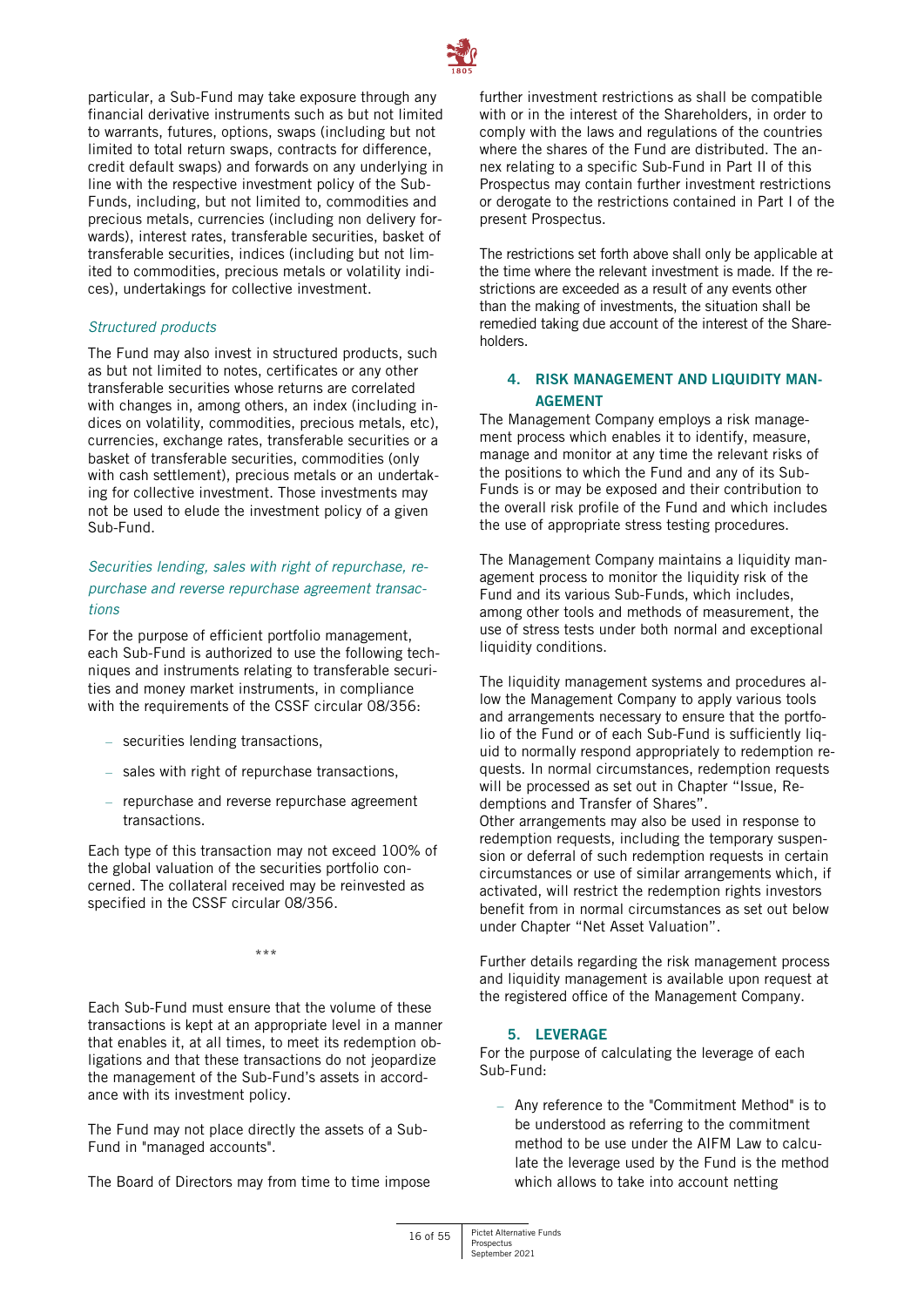

particular, a Sub-Fund may take exposure through any financial derivative instruments such as but not limited to warrants, futures, options, swaps (including but not limited to total return swaps, contracts for difference, credit default swaps) and forwards on any underlying in line with the respective investment policy of the Sub-Funds, including, but not limited to, commodities and precious metals, currencies (including non delivery forwards), interest rates, transferable securities, basket of transferable securities, indices (including but not limited to commodities, precious metals or volatility indices), undertakings for collective investment.

#### *Structured products*

The Fund may also invest in structured products, such as but not limited to notes, certificates or any other transferable securities whose returns are correlated with changes in, among others, an index (including indices on volatility, commodities, precious metals, etc), currencies, exchange rates, transferable securities or a basket of transferable securities, commodities (only with cash settlement), precious metals or an undertaking for collective investment. Those investments may not be used to elude the investment policy of a given Sub-Fund.

# *Securities lending, sales with right of repurchase, repurchase and reverse repurchase agreement transactions*

For the purpose of efficient portfolio management, each Sub-Fund is authorized to use the following techniques and instruments relating to transferable securities and money market instruments, in compliance with the requirements of the CSSF circular 08/356:

- securities lending transactions,
- sales with right of repurchase transactions,
- repurchase and reverse repurchase agreement transactions.

Each type of this transaction may not exceed 100% of the global valuation of the securities portfolio concerned. The collateral received may be reinvested as specified in the CSSF circular 08/356.

\*\*\*

Each Sub-Fund must ensure that the volume of these transactions is kept at an appropriate level in a manner that enables it, at all times, to meet its redemption obligations and that these transactions do not jeopardize the management of the Sub-Fund's assets in accordance with its investment policy.

The Fund may not place directly the assets of a Sub-Fund in "managed accounts".

The Board of Directors may from time to time impose

further investment restrictions as shall be compatible with or in the interest of the Shareholders, in order to comply with the laws and regulations of the countries where the shares of the Fund are distributed. The annex relating to a specific Sub-Fund in Part II of this Prospectus may contain further investment restrictions or derogate to the restrictions contained in Part I of the present Prospectus.

The restrictions set forth above shall only be applicable at the time where the relevant investment is made. If the restrictions are exceeded as a result of any events other than the making of investments, the situation shall be remedied taking due account of the interest of the Shareholders.

# <span id="page-15-0"></span>**4. RISK MANAGEMENT AND LIQUIDITY MAN-AGEMENT**

The Management Company employs a risk management process which enables it to identify, measure, manage and monitor at any time the relevant risks of the positions to which the Fund and any of its Sub-Funds is or may be exposed and their contribution to the overall risk profile of the Fund and which includes the use of appropriate stress testing procedures.

The Management Company maintains a liquidity management process to monitor the liquidity risk of the Fund and its various Sub-Funds, which includes, among other tools and methods of measurement, the use of stress tests under both normal and exceptional liquidity conditions.

The liquidity management systems and procedures allow the Management Company to apply various tools and arrangements necessary to ensure that the portfolio of the Fund or of each Sub-Fund is sufficiently liquid to normally respond appropriately to redemption requests. In normal circumstances, redemption requests will be processed as set out in Chapter "Issue, Redemptions and Transfer of Shares". Other arrangements may also be used in response to redemption requests, including the temporary suspension or deferral of such redemption requests in certain circumstances or use of similar arrangements which, if activated, will restrict the redemption rights investors benefit from in normal circumstances as set out below under Chapter "Net Asset Valuation".

Further details regarding the risk management process and liquidity management is available upon request at the registered office of the Management Company.

# **5. LEVERAGE**

<span id="page-15-1"></span>For the purpose of calculating the leverage of each Sub-Fund:

– Any reference to the "Commitment Method" is to be understood as referring to the commitment method to be use under the AIFM Law to calculate the leverage used by the Fund is the method which allows to take into account netting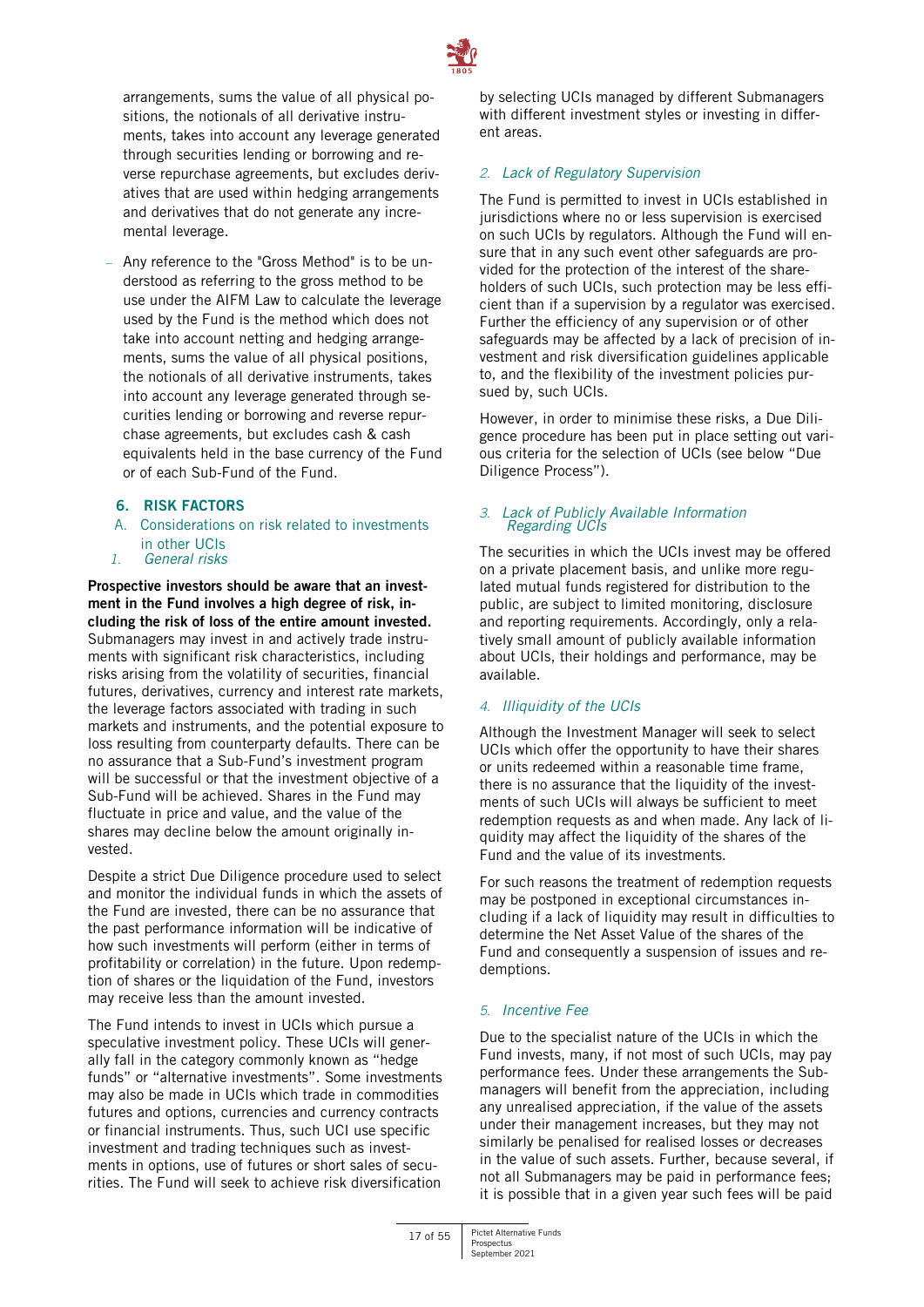

arrangements, sums the value of all physical positions, the notionals of all derivative instruments, takes into account any leverage generated through securities lending or borrowing and reverse repurchase agreements, but excludes derivatives that are used within hedging arrangements and derivatives that do not generate any incremental leverage.

- Any reference to the "Gross Method" is to be understood as referring to the gross method to be use under the AIFM Law to calculate the leverage used by the Fund is the method which does not take into account netting and hedging arrangements, sums the value of all physical positions, the notionals of all derivative instruments, takes into account any leverage generated through securities lending or borrowing and reverse repurchase agreements, but excludes cash & cash equivalents held in the base currency of the Fund or of each Sub-Fund of the Fund.
	- **6. RISK FACTORS**
	- A. Considerations on risk related to investments in other UCIs
- <span id="page-16-0"></span>*1. General risks*

**Prospective investors should be aware that an investment in the Fund involves a high degree of risk, including the risk of loss of the entire amount invested.** Submanagers may invest in and actively trade instruments with significant risk characteristics, including risks arising from the volatility of securities, financial futures, derivatives, currency and interest rate markets, the leverage factors associated with trading in such markets and instruments, and the potential exposure to loss resulting from counterparty defaults. There can be no assurance that a Sub-Fund's investment program will be successful or that the investment objective of a Sub-Fund will be achieved. Shares in the Fund may fluctuate in price and value, and the value of the shares may decline below the amount originally invested.

Despite a strict Due Diligence procedure used to select and monitor the individual funds in which the assets of the Fund are invested, there can be no assurance that the past performance information will be indicative of how such investments will perform (either in terms of profitability or correlation) in the future. Upon redemption of shares or the liquidation of the Fund, investors may receive less than the amount invested.

The Fund intends to invest in UCIs which pursue a speculative investment policy. These UCIs will generally fall in the category commonly known as "hedge funds" or "alternative investments". Some investments may also be made in UCIs which trade in commodities futures and options, currencies and currency contracts or financial instruments. Thus, such UCI use specific investment and trading techniques such as investments in options, use of futures or short sales of securities. The Fund will seek to achieve risk diversification

by selecting UCIs managed by different Submanagers with different investment styles or investing in different areas.

#### *2. Lack of Regulatory Supervision*

The Fund is permitted to invest in UCIs established in jurisdictions where no or less supervision is exercised on such UCIs by regulators. Although the Fund will ensure that in any such event other safeguards are provided for the protection of the interest of the shareholders of such UCIs, such protection may be less efficient than if a supervision by a regulator was exercised. Further the efficiency of any supervision or of other safeguards may be affected by a lack of precision of investment and risk diversification guidelines applicable to, and the flexibility of the investment policies pursued by, such UCIs.

However, in order to minimise these risks, a Due Diligence procedure has been put in place setting out various criteria for the selection of UCIs (see below "Due Diligence Process").

#### *3. Lack of Publicly Available Information Regarding UCIs*

The securities in which the UCIs invest may be offered on a private placement basis, and unlike more regulated mutual funds registered for distribution to the public, are subject to limited monitoring, disclosure and reporting requirements. Accordingly, only a relatively small amount of publicly available information about UCIs, their holdings and performance, may be available.

# *4. Illiquidity of the UCIs*

Although the Investment Manager will seek to select UCIs which offer the opportunity to have their shares or units redeemed within a reasonable time frame, there is no assurance that the liquidity of the investments of such UCIs will always be sufficient to meet redemption requests as and when made. Any lack of liquidity may affect the liquidity of the shares of the Fund and the value of its investments.

For such reasons the treatment of redemption requests may be postponed in exceptional circumstances including if a lack of liquidity may result in difficulties to determine the Net Asset Value of the shares of the Fund and consequently a suspension of issues and redemptions.

#### *5. Incentive Fee*

Due to the specialist nature of the UCIs in which the Fund invests, many, if not most of such UCIs, may pay performance fees. Under these arrangements the Submanagers will benefit from the appreciation, including any unrealised appreciation, if the value of the assets under their management increases, but they may not similarly be penalised for realised losses or decreases in the value of such assets. Further, because several, if not all Submanagers may be paid in performance fees; it is possible that in a given year such fees will be paid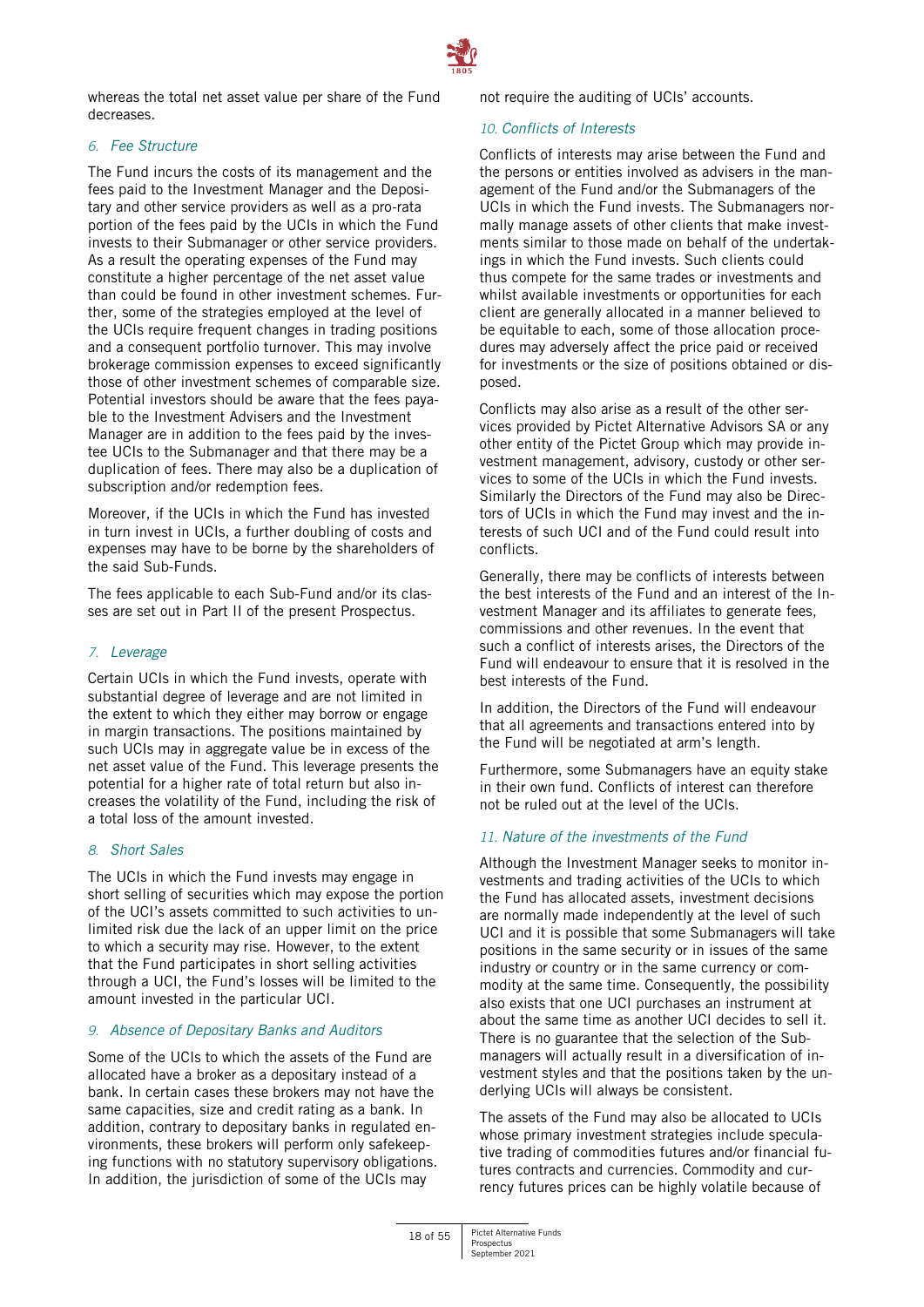

whereas the total net asset value per share of the Fund decreases.

# *6. Fee Structure*

The Fund incurs the costs of its management and the fees paid to the Investment Manager and the Depositary and other service providers as well as a pro-rata portion of the fees paid by the UCIs in which the Fund invests to their Submanager or other service providers. As a result the operating expenses of the Fund may constitute a higher percentage of the net asset value than could be found in other investment schemes. Further, some of the strategies employed at the level of the UCIs require frequent changes in trading positions and a consequent portfolio turnover. This may involve brokerage commission expenses to exceed significantly those of other investment schemes of comparable size. Potential investors should be aware that the fees payable to the Investment Advisers and the Investment Manager are in addition to the fees paid by the investee UCIs to the Submanager and that there may be a duplication of fees. There may also be a duplication of subscription and/or redemption fees.

Moreover, if the UCIs in which the Fund has invested in turn invest in UCIs, a further doubling of costs and expenses may have to be borne by the shareholders of the said Sub-Funds.

The fees applicable to each Sub-Fund and/or its classes are set out in Part II of the present Prospectus.

# *7. Leverage*

Certain UCIs in which the Fund invests, operate with substantial degree of leverage and are not limited in the extent to which they either may borrow or engage in margin transactions. The positions maintained by such UCIs may in aggregate value be in excess of the net asset value of the Fund. This leverage presents the potential for a higher rate of total return but also increases the volatility of the Fund, including the risk of a total loss of the amount invested.

# *8. Short Sales*

The UCIs in which the Fund invests may engage in short selling of securities which may expose the portion of the UCI's assets committed to such activities to unlimited risk due the lack of an upper limit on the price to which a security may rise. However, to the extent that the Fund participates in short selling activities through a UCI, the Fund's losses will be limited to the amount invested in the particular UCI.

# *9. Absence of Depositary Banks and Auditors*

Some of the UCIs to which the assets of the Fund are allocated have a broker as a depositary instead of a bank. In certain cases these brokers may not have the same capacities, size and credit rating as a bank. In addition, contrary to depositary banks in regulated environments, these brokers will perform only safekeeping functions with no statutory supervisory obligations. In addition, the jurisdiction of some of the UCIs may

not require the auditing of UCIs' accounts.

# *10. Conflicts of Interests*

Conflicts of interests may arise between the Fund and the persons or entities involved as advisers in the management of the Fund and/or the Submanagers of the UCIs in which the Fund invests. The Submanagers normally manage assets of other clients that make investments similar to those made on behalf of the undertakings in which the Fund invests. Such clients could thus compete for the same trades or investments and whilst available investments or opportunities for each client are generally allocated in a manner believed to be equitable to each, some of those allocation procedures may adversely affect the price paid or received for investments or the size of positions obtained or disposed.

Conflicts may also arise as a result of the other services provided by Pictet Alternative Advisors SA or any other entity of the Pictet Group which may provide investment management, advisory, custody or other services to some of the UCIs in which the Fund invests. Similarly the Directors of the Fund may also be Directors of UCIs in which the Fund may invest and the interests of such UCI and of the Fund could result into conflicts.

Generally, there may be conflicts of interests between the best interests of the Fund and an interest of the Investment Manager and its affiliates to generate fees, commissions and other revenues. In the event that such a conflict of interests arises, the Directors of the Fund will endeavour to ensure that it is resolved in the best interests of the Fund.

In addition, the Directors of the Fund will endeavour that all agreements and transactions entered into by the Fund will be negotiated at arm's length.

Furthermore, some Submanagers have an equity stake in their own fund. Conflicts of interest can therefore not be ruled out at the level of the UCIs.

# *11. Nature of the investments of the Fund*

Although the Investment Manager seeks to monitor investments and trading activities of the UCIs to which the Fund has allocated assets, investment decisions are normally made independently at the level of such UCI and it is possible that some Submanagers will take positions in the same security or in issues of the same industry or country or in the same currency or commodity at the same time. Consequently, the possibility also exists that one UCI purchases an instrument at about the same time as another UCI decides to sell it. There is no guarantee that the selection of the Submanagers will actually result in a diversification of investment styles and that the positions taken by the underlying UCIs will always be consistent.

The assets of the Fund may also be allocated to UCIs whose primary investment strategies include speculative trading of commodities futures and/or financial futures contracts and currencies. Commodity and currency futures prices can be highly volatile because of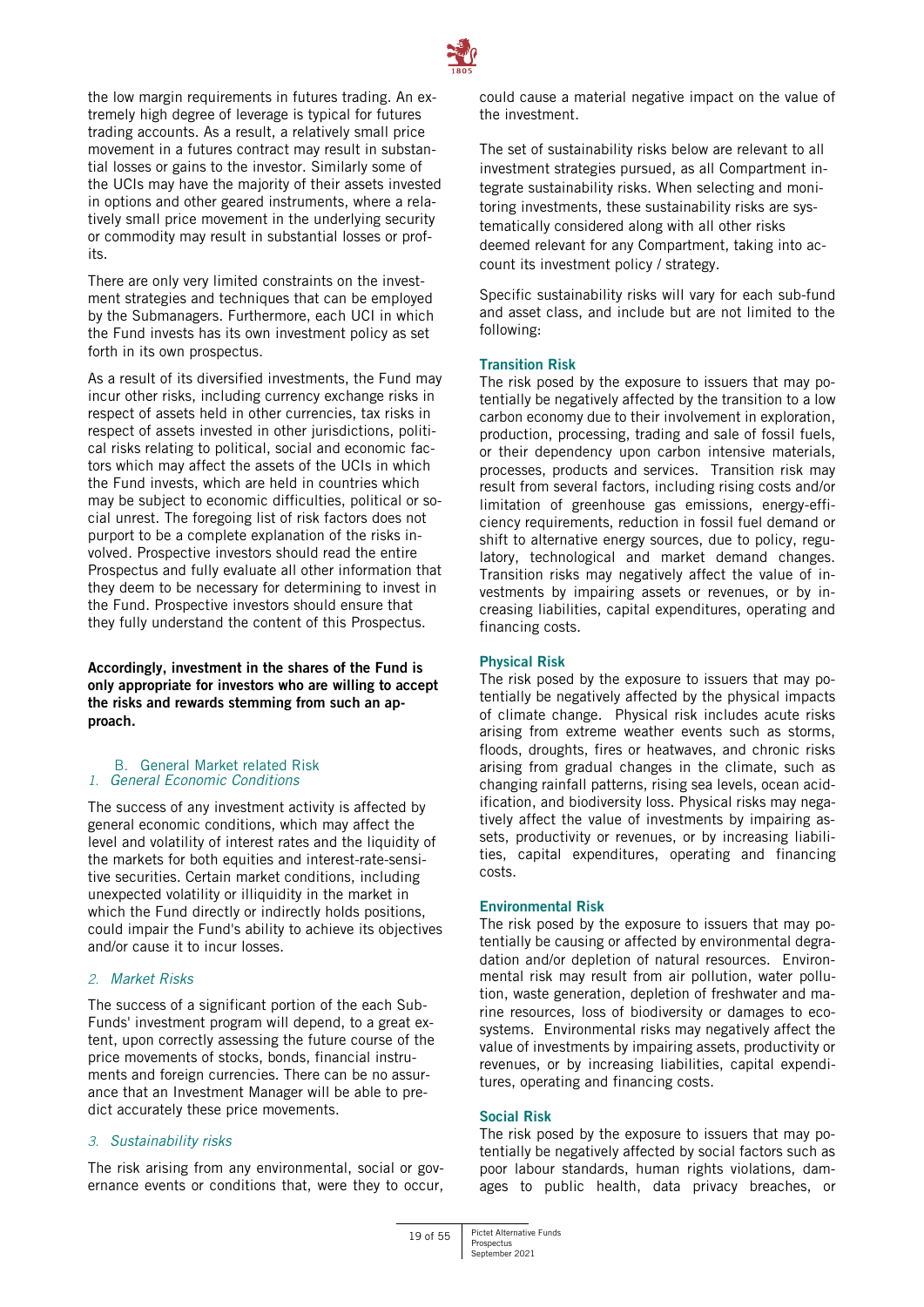

the low margin requirements in futures trading. An extremely high degree of leverage is typical for futures trading accounts. As a result, a relatively small price movement in a futures contract may result in substantial losses or gains to the investor. Similarly some of the UCIs may have the majority of their assets invested in options and other geared instruments, where a relatively small price movement in the underlying security or commodity may result in substantial losses or profits.

There are only very limited constraints on the investment strategies and techniques that can be employed by the Submanagers. Furthermore, each UCI in which the Fund invests has its own investment policy as set forth in its own prospectus.

As a result of its diversified investments, the Fund may incur other risks, including currency exchange risks in respect of assets held in other currencies, tax risks in respect of assets invested in other jurisdictions, political risks relating to political, social and economic factors which may affect the assets of the UCIs in which the Fund invests, which are held in countries which may be subject to economic difficulties, political or social unrest. The foregoing list of risk factors does not purport to be a complete explanation of the risks involved. Prospective investors should read the entire Prospectus and fully evaluate all other information that they deem to be necessary for determining to invest in the Fund. Prospective investors should ensure that they fully understand the content of this Prospectus.

**Accordingly, investment in the shares of the Fund is only appropriate for investors who are willing to accept the risks and rewards stemming from such an approach.**

B. General Market related Risk *1. General Economic Conditions* 

The success of any investment activity is affected by general economic conditions, which may affect the level and volatility of interest rates and the liquidity of the markets for both equities and interest-rate-sensitive securities. Certain market conditions, including unexpected volatility or illiquidity in the market in which the Fund directly or indirectly holds positions, could impair the Fund's ability to achieve its objectives and/or cause it to incur losses.

# *2. Market Risks*

The success of a significant portion of the each Sub-Funds' investment program will depend, to a great extent, upon correctly assessing the future course of the price movements of stocks, bonds, financial instruments and foreign currencies. There can be no assurance that an Investment Manager will be able to predict accurately these price movements.

#### *3. Sustainability risks*

The risk arising from any environmental, social or governance events or conditions that, were they to occur, could cause a material negative impact on the value of the investment.

The set of sustainability risks below are relevant to all investment strategies pursued, as all Compartment integrate sustainability risks. When selecting and monitoring investments, these sustainability risks are systematically considered along with all other risks deemed relevant for any Compartment, taking into account its investment policy / strategy.

Specific sustainability risks will vary for each sub-fund and asset class, and include but are not limited to the following:

#### **Transition Risk**

The risk posed by the exposure to issuers that may potentially be negatively affected by the transition to a low carbon economy due to their involvement in exploration, production, processing, trading and sale of fossil fuels, or their dependency upon carbon intensive materials, processes, products and services. Transition risk may result from several factors, including rising costs and/or limitation of greenhouse gas emissions, energy-efficiency requirements, reduction in fossil fuel demand or shift to alternative energy sources, due to policy, regulatory, technological and market demand changes. Transition risks may negatively affect the value of investments by impairing assets or revenues, or by increasing liabilities, capital expenditures, operating and financing costs.

#### **Physical Risk**

The risk posed by the exposure to issuers that may potentially be negatively affected by the physical impacts of climate change. Physical risk includes acute risks arising from extreme weather events such as storms, floods, droughts, fires or heatwaves, and chronic risks arising from gradual changes in the climate, such as changing rainfall patterns, rising sea levels, ocean acidification, and biodiversity loss. Physical risks may negatively affect the value of investments by impairing assets, productivity or revenues, or by increasing liabilities, capital expenditures, operating and financing costs.

#### **Environmental Risk**

The risk posed by the exposure to issuers that may potentially be causing or affected by environmental degradation and/or depletion of natural resources. Environmental risk may result from air pollution, water pollution, waste generation, depletion of freshwater and marine resources, loss of biodiversity or damages to ecosystems. Environmental risks may negatively affect the value of investments by impairing assets, productivity or revenues, or by increasing liabilities, capital expenditures, operating and financing costs.

#### **Social Risk**

The risk posed by the exposure to issuers that may potentially be negatively affected by social factors such as poor labour standards, human rights violations, damages to public health, data privacy breaches, or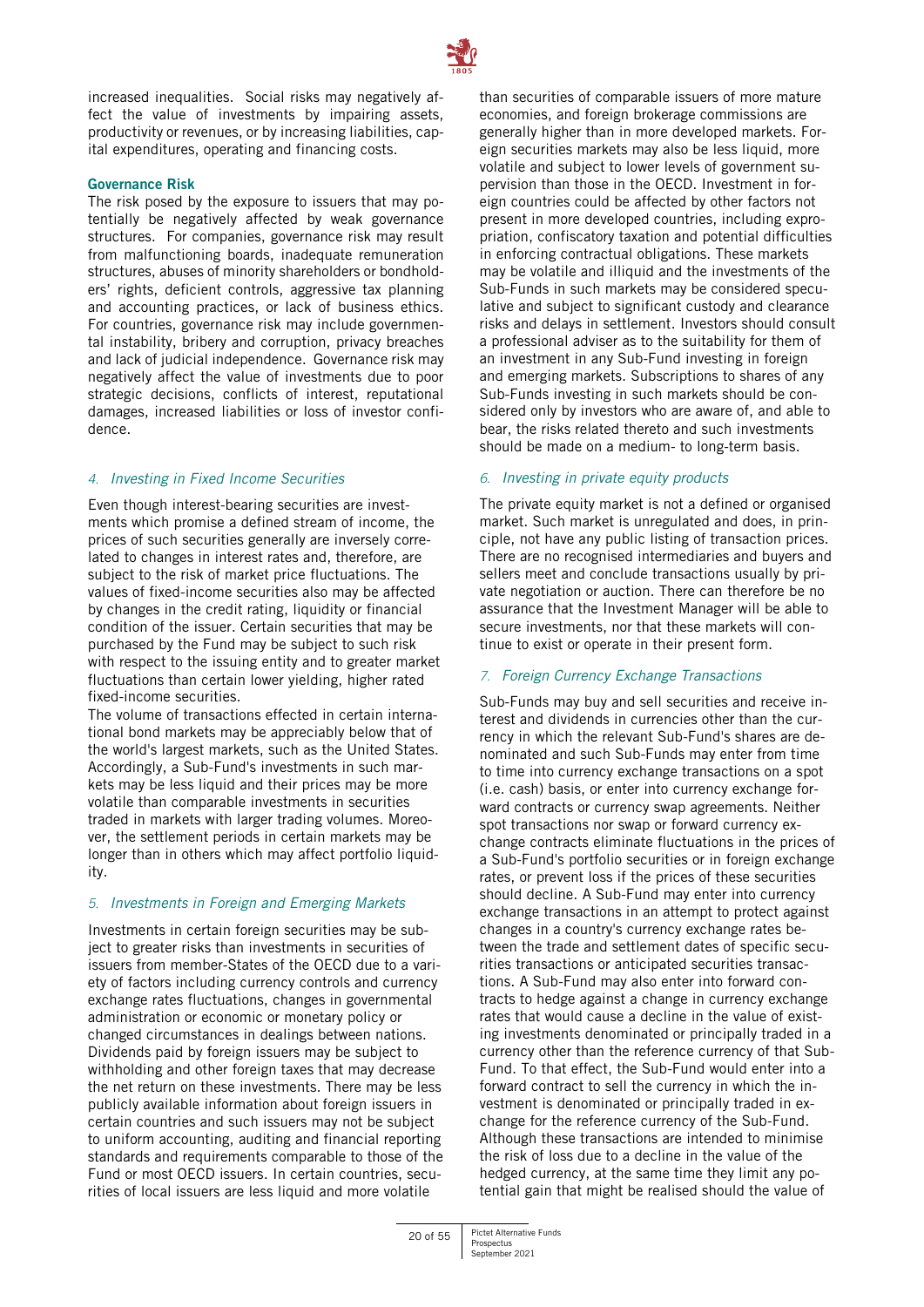

increased inequalities. Social risks may negatively affect the value of investments by impairing assets, productivity or revenues, or by increasing liabilities, capital expenditures, operating and financing costs.

#### **Governance Risk**

The risk posed by the exposure to issuers that may potentially be negatively affected by weak governance structures. For companies, governance risk may result from malfunctioning boards, inadequate remuneration structures, abuses of minority shareholders or bondholders' rights, deficient controls, aggressive tax planning and accounting practices, or lack of business ethics. For countries, governance risk may include governmental instability, bribery and corruption, privacy breaches and lack of judicial independence. Governance risk may negatively affect the value of investments due to poor strategic decisions, conflicts of interest, reputational damages, increased liabilities or loss of investor confidence.

# *4. Investing in Fixed Income Securities*

Even though interest-bearing securities are investments which promise a defined stream of income, the prices of such securities generally are inversely correlated to changes in interest rates and, therefore, are subject to the risk of market price fluctuations. The values of fixed-income securities also may be affected by changes in the credit rating, liquidity or financial condition of the issuer. Certain securities that may be purchased by the Fund may be subject to such risk with respect to the issuing entity and to greater market fluctuations than certain lower yielding, higher rated fixed-income securities.

The volume of transactions effected in certain international bond markets may be appreciably below that of the world's largest markets, such as the United States. Accordingly, a Sub-Fund's investments in such markets may be less liquid and their prices may be more volatile than comparable investments in securities traded in markets with larger trading volumes. Moreover, the settlement periods in certain markets may be longer than in others which may affect portfolio liquidity.

# *5. Investments in Foreign and Emerging Markets*

Investments in certain foreign securities may be subject to greater risks than investments in securities of issuers from member-States of the OECD due to a variety of factors including currency controls and currency exchange rates fluctuations, changes in governmental administration or economic or monetary policy or changed circumstances in dealings between nations. Dividends paid by foreign issuers may be subject to withholding and other foreign taxes that may decrease the net return on these investments. There may be less publicly available information about foreign issuers in certain countries and such issuers may not be subject to uniform accounting, auditing and financial reporting standards and requirements comparable to those of the Fund or most OECD issuers. In certain countries, securities of local issuers are less liquid and more volatile

than securities of comparable issuers of more mature economies, and foreign brokerage commissions are generally higher than in more developed markets. Foreign securities markets may also be less liquid, more volatile and subject to lower levels of government supervision than those in the OECD. Investment in foreign countries could be affected by other factors not present in more developed countries, including expropriation, confiscatory taxation and potential difficulties in enforcing contractual obligations. These markets may be volatile and illiquid and the investments of the Sub-Funds in such markets may be considered speculative and subject to significant custody and clearance risks and delays in settlement. Investors should consult a professional adviser as to the suitability for them of an investment in any Sub-Fund investing in foreign and emerging markets. Subscriptions to shares of any Sub-Funds investing in such markets should be considered only by investors who are aware of, and able to bear, the risks related thereto and such investments should be made on a medium- to long-term basis.

# *6. Investing in private equity products*

The private equity market is not a defined or organised market. Such market is unregulated and does, in principle, not have any public listing of transaction prices. There are no recognised intermediaries and buyers and sellers meet and conclude transactions usually by private negotiation or auction. There can therefore be no assurance that the Investment Manager will be able to secure investments, nor that these markets will continue to exist or operate in their present form.

# *7. Foreign Currency Exchange Transactions*

Sub-Funds may buy and sell securities and receive interest and dividends in currencies other than the currency in which the relevant Sub-Fund's shares are denominated and such Sub-Funds may enter from time to time into currency exchange transactions on a spot (i.e. cash) basis, or enter into currency exchange forward contracts or currency swap agreements. Neither spot transactions nor swap or forward currency exchange contracts eliminate fluctuations in the prices of a Sub-Fund's portfolio securities or in foreign exchange rates, or prevent loss if the prices of these securities should decline. A Sub-Fund may enter into currency exchange transactions in an attempt to protect against changes in a country's currency exchange rates between the trade and settlement dates of specific securities transactions or anticipated securities transactions. A Sub-Fund may also enter into forward contracts to hedge against a change in currency exchange rates that would cause a decline in the value of existing investments denominated or principally traded in a currency other than the reference currency of that Sub-Fund. To that effect, the Sub-Fund would enter into a forward contract to sell the currency in which the investment is denominated or principally traded in exchange for the reference currency of the Sub-Fund. Although these transactions are intended to minimise the risk of loss due to a decline in the value of the hedged currency, at the same time they limit any potential gain that might be realised should the value of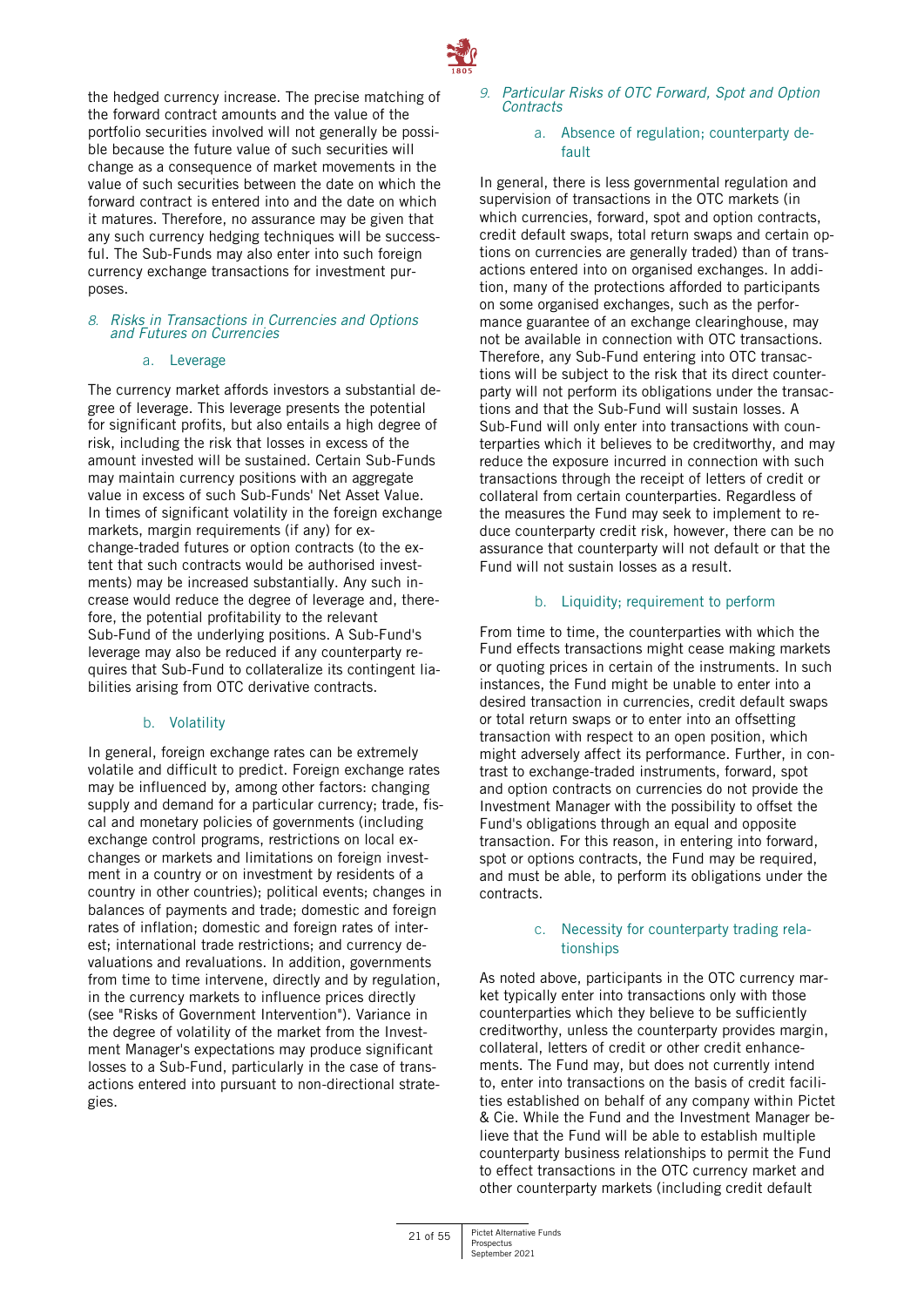

the hedged currency increase. The precise matching of the forward contract amounts and the value of the portfolio securities involved will not generally be possible because the future value of such securities will change as a consequence of market movements in the value of such securities between the date on which the forward contract is entered into and the date on which it matures. Therefore, no assurance may be given that any such currency hedging techniques will be successful. The Sub-Funds may also enter into such foreign currency exchange transactions for investment purposes.

#### *8. Risks in Transactions in Currencies and Options and Futures on Currencies*

#### a. Leverage

The currency market affords investors a substantial degree of leverage. This leverage presents the potential for significant profits, but also entails a high degree of risk, including the risk that losses in excess of the amount invested will be sustained. Certain Sub-Funds may maintain currency positions with an aggregate value in excess of such Sub-Funds' Net Asset Value. In times of significant volatility in the foreign exchange markets, margin requirements (if any) for exchange-traded futures or option contracts (to the extent that such contracts would be authorised investments) may be increased substantially. Any such increase would reduce the degree of leverage and, therefore, the potential profitability to the relevant Sub-Fund of the underlying positions. A Sub-Fund's leverage may also be reduced if any counterparty requires that Sub-Fund to collateralize its contingent liabilities arising from OTC derivative contracts.

# b. Volatility

In general, foreign exchange rates can be extremely volatile and difficult to predict. Foreign exchange rates may be influenced by, among other factors: changing supply and demand for a particular currency; trade, fiscal and monetary policies of governments (including exchange control programs, restrictions on local exchanges or markets and limitations on foreign investment in a country or on investment by residents of a country in other countries); political events; changes in balances of payments and trade; domestic and foreign rates of inflation; domestic and foreign rates of interest; international trade restrictions; and currency devaluations and revaluations. In addition, governments from time to time intervene, directly and by regulation, in the currency markets to influence prices directly (see "Risks of Government Intervention"). Variance in the degree of volatility of the market from the Investment Manager's expectations may produce significant losses to a Sub-Fund, particularly in the case of transactions entered into pursuant to non-directional strategies.

#### *9. Particular Risks of OTC Forward, Spot and Option Contracts*

#### a. Absence of regulation; counterparty default

In general, there is less governmental regulation and supervision of transactions in the OTC markets (in which currencies, forward, spot and option contracts, credit default swaps, total return swaps and certain options on currencies are generally traded) than of transactions entered into on organised exchanges. In addition, many of the protections afforded to participants on some organised exchanges, such as the performance guarantee of an exchange clearinghouse, may not be available in connection with OTC transactions. Therefore, any Sub-Fund entering into OTC transactions will be subject to the risk that its direct counterparty will not perform its obligations under the transactions and that the Sub-Fund will sustain losses. A Sub-Fund will only enter into transactions with counterparties which it believes to be creditworthy, and may reduce the exposure incurred in connection with such transactions through the receipt of letters of credit or collateral from certain counterparties. Regardless of the measures the Fund may seek to implement to reduce counterparty credit risk, however, there can be no assurance that counterparty will not default or that the Fund will not sustain losses as a result.

#### b. Liquidity; requirement to perform

From time to time, the counterparties with which the Fund effects transactions might cease making markets or quoting prices in certain of the instruments. In such instances, the Fund might be unable to enter into a desired transaction in currencies, credit default swaps or total return swaps or to enter into an offsetting transaction with respect to an open position, which might adversely affect its performance. Further, in contrast to exchange-traded instruments, forward, spot and option contracts on currencies do not provide the Investment Manager with the possibility to offset the Fund's obligations through an equal and opposite transaction. For this reason, in entering into forward, spot or options contracts, the Fund may be required. and must be able, to perform its obligations under the contracts.

#### c. Necessity for counterparty trading relationships

As noted above, participants in the OTC currency market typically enter into transactions only with those counterparties which they believe to be sufficiently creditworthy, unless the counterparty provides margin, collateral, letters of credit or other credit enhancements. The Fund may, but does not currently intend to, enter into transactions on the basis of credit facilities established on behalf of any company within Pictet & Cie. While the Fund and the Investment Manager believe that the Fund will be able to establish multiple counterparty business relationships to permit the Fund to effect transactions in the OTC currency market and other counterparty markets (including credit default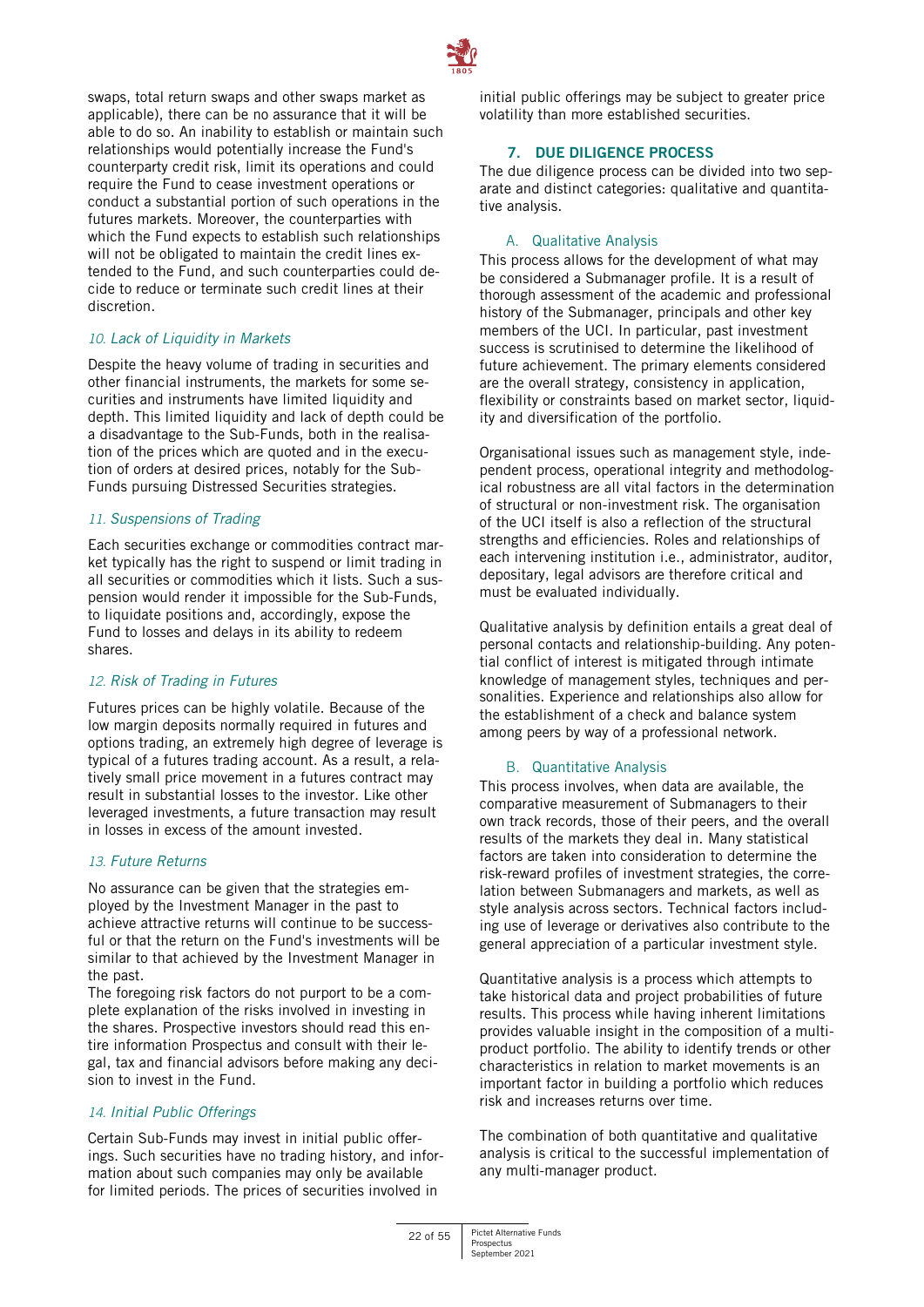

swaps, total return swaps and other swaps market as applicable), there can be no assurance that it will be able to do so. An inability to establish or maintain such relationships would potentially increase the Fund's counterparty credit risk, limit its operations and could require the Fund to cease investment operations or conduct a substantial portion of such operations in the futures markets. Moreover, the counterparties with which the Fund expects to establish such relationships will not be obligated to maintain the credit lines extended to the Fund, and such counterparties could decide to reduce or terminate such credit lines at their discretion.

# *10. Lack of Liquidity in Markets*

Despite the heavy volume of trading in securities and other financial instruments, the markets for some securities and instruments have limited liquidity and depth. This limited liquidity and lack of depth could be a disadvantage to the Sub-Funds, both in the realisation of the prices which are quoted and in the execution of orders at desired prices, notably for the Sub-Funds pursuing Distressed Securities strategies.

# *11. Suspensions of Trading*

Each securities exchange or commodities contract market typically has the right to suspend or limit trading in all securities or commodities which it lists. Such a suspension would render it impossible for the Sub-Funds, to liquidate positions and, accordingly, expose the Fund to losses and delays in its ability to redeem shares.

# *12. Risk of Trading in Futures*

Futures prices can be highly volatile. Because of the low margin deposits normally required in futures and options trading, an extremely high degree of leverage is typical of a futures trading account. As a result, a relatively small price movement in a futures contract may result in substantial losses to the investor. Like other leveraged investments, a future transaction may result in losses in excess of the amount invested.

# *13. Future Returns*

No assurance can be given that the strategies employed by the Investment Manager in the past to achieve attractive returns will continue to be successful or that the return on the Fund's investments will be similar to that achieved by the Investment Manager in the past.

The foregoing risk factors do not purport to be a complete explanation of the risks involved in investing in the shares. Prospective investors should read this entire information Prospectus and consult with their legal, tax and financial advisors before making any decision to invest in the Fund.

# *14. Initial Public Offerings*

Certain Sub-Funds may invest in initial public offerings. Such securities have no trading history, and information about such companies may only be available for limited periods. The prices of securities involved in

initial public offerings may be subject to greater price volatility than more established securities.

# **7. DUE DILIGENCE PROCESS**

<span id="page-21-0"></span>The due diligence process can be divided into two separate and distinct categories: qualitative and quantitative analysis.

# A. Qualitative Analysis

This process allows for the development of what may be considered a Submanager profile. It is a result of thorough assessment of the academic and professional history of the Submanager, principals and other key members of the UCI. In particular, past investment success is scrutinised to determine the likelihood of future achievement. The primary elements considered are the overall strategy, consistency in application, flexibility or constraints based on market sector, liquidity and diversification of the portfolio.

Organisational issues such as management style, independent process, operational integrity and methodological robustness are all vital factors in the determination of structural or non-investment risk. The organisation of the UCI itself is also a reflection of the structural strengths and efficiencies. Roles and relationships of each intervening institution i.e., administrator, auditor, depositary, legal advisors are therefore critical and must be evaluated individually.

Qualitative analysis by definition entails a great deal of personal contacts and relationship-building. Any potential conflict of interest is mitigated through intimate knowledge of management styles, techniques and personalities. Experience and relationships also allow for the establishment of a check and balance system among peers by way of a professional network.

# B. Quantitative Analysis

This process involves, when data are available, the comparative measurement of Submanagers to their own track records, those of their peers, and the overall results of the markets they deal in. Many statistical factors are taken into consideration to determine the risk-reward profiles of investment strategies, the correlation between Submanagers and markets, as well as style analysis across sectors. Technical factors including use of leverage or derivatives also contribute to the general appreciation of a particular investment style.

Quantitative analysis is a process which attempts to take historical data and project probabilities of future results. This process while having inherent limitations provides valuable insight in the composition of a multiproduct portfolio. The ability to identify trends or other characteristics in relation to market movements is an important factor in building a portfolio which reduces risk and increases returns over time.

The combination of both quantitative and qualitative analysis is critical to the successful implementation of any multi-manager product.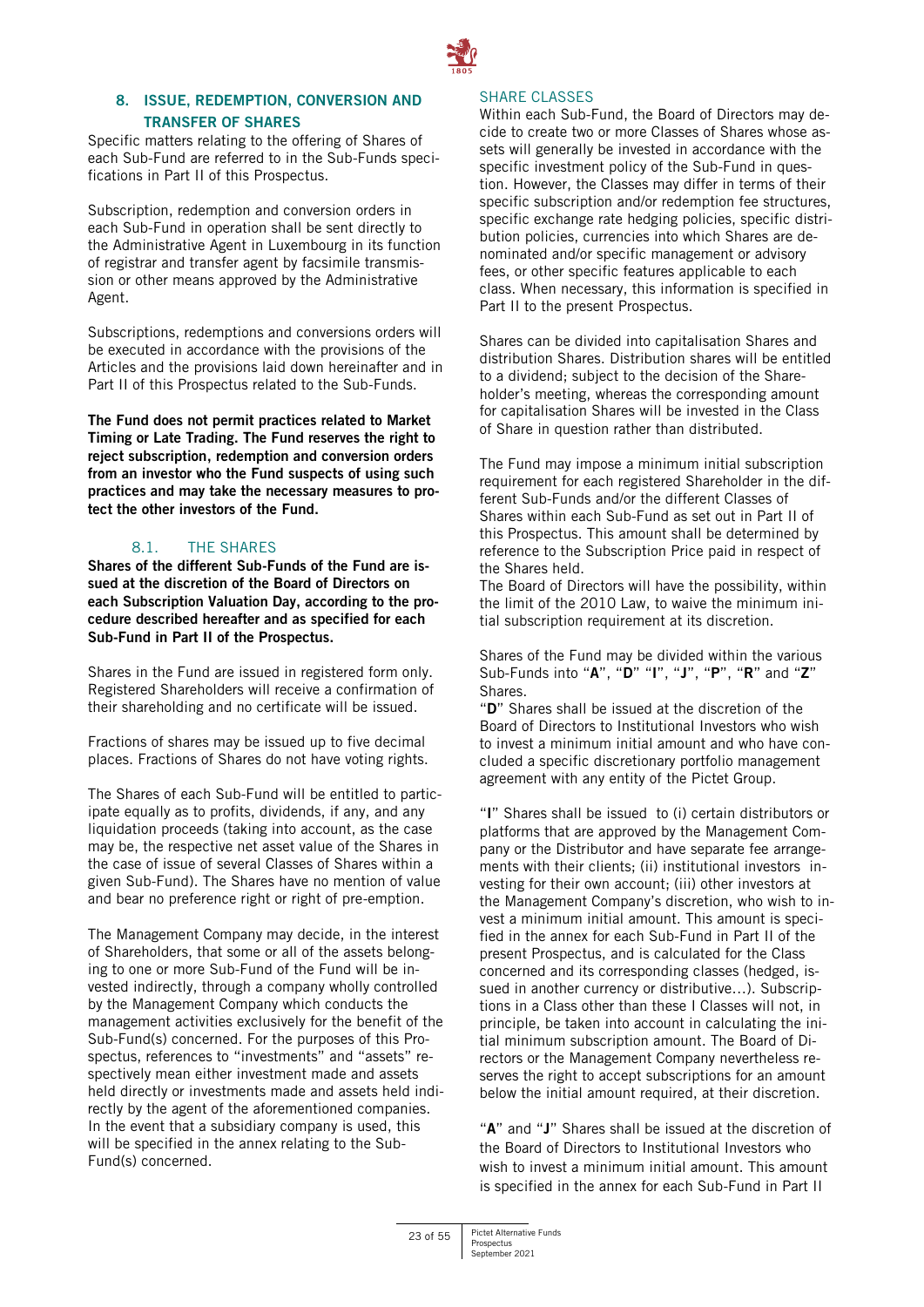

# <span id="page-22-0"></span>**8. ISSUE, REDEMPTION, CONVERSION AND TRANSFER OF SHARES**

Specific matters relating to the offering of Shares of each Sub-Fund are referred to in the Sub-Funds specifications in Part II of this Prospectus.

Subscription, redemption and conversion orders in each Sub-Fund in operation shall be sent directly to the Administrative Agent in Luxembourg in its function of registrar and transfer agent by facsimile transmission or other means approved by the Administrative Agent.

Subscriptions, redemptions and conversions orders will be executed in accordance with the provisions of the Articles and the provisions laid down hereinafter and in Part II of this Prospectus related to the Sub-Funds.

**The Fund does not permit practices related to Market Timing or Late Trading. The Fund reserves the right to reject subscription, redemption and conversion orders from an investor who the Fund suspects of using such practices and may take the necessary measures to protect the other investors of the Fund.** 

# 8.1. THE SHARES

**Shares of the different Sub-Funds of the Fund are issued at the discretion of the Board of Directors on each Subscription Valuation Day, according to the procedure described hereafter and as specified for each Sub-Fund in Part II of the Prospectus.** 

Shares in the Fund are issued in registered form only. Registered Shareholders will receive a confirmation of their shareholding and no certificate will be issued.

Fractions of shares may be issued up to five decimal places. Fractions of Shares do not have voting rights.

The Shares of each Sub-Fund will be entitled to participate equally as to profits, dividends, if any, and any liquidation proceeds (taking into account, as the case may be, the respective net asset value of the Shares in the case of issue of several Classes of Shares within a given Sub-Fund). The Shares have no mention of value and bear no preference right or right of pre-emption.

The Management Company may decide, in the interest of Shareholders, that some or all of the assets belonging to one or more Sub-Fund of the Fund will be invested indirectly, through a company wholly controlled by the Management Company which conducts the management activities exclusively for the benefit of the Sub-Fund(s) concerned. For the purposes of this Prospectus, references to "investments" and "assets" respectively mean either investment made and assets held directly or investments made and assets held indirectly by the agent of the aforementioned companies. In the event that a subsidiary company is used, this will be specified in the annex relating to the Sub-Fund(s) concerned.

#### SHARE CLASSES

Within each Sub-Fund, the Board of Directors may decide to create two or more Classes of Shares whose assets will generally be invested in accordance with the specific investment policy of the Sub-Fund in question. However, the Classes may differ in terms of their specific subscription and/or redemption fee structures, specific exchange rate hedging policies, specific distribution policies, currencies into which Shares are denominated and/or specific management or advisory fees, or other specific features applicable to each class. When necessary, this information is specified in Part II to the present Prospectus.

Shares can be divided into capitalisation Shares and distribution Shares. Distribution shares will be entitled to a dividend; subject to the decision of the Shareholder's meeting, whereas the corresponding amount for capitalisation Shares will be invested in the Class of Share in question rather than distributed.

The Fund may impose a minimum initial subscription requirement for each registered Shareholder in the different Sub-Funds and/or the different Classes of Shares within each Sub-Fund as set out in Part II of this Prospectus. This amount shall be determined by reference to the Subscription Price paid in respect of the Shares held.

The Board of Directors will have the possibility, within the limit of the 2010 Law, to waive the minimum initial subscription requirement at its discretion.

Shares of the Fund may be divided within the various Sub-Funds into "**A**", "**D**" "**I**", "**J**", "**P**", "**R**" and "**Z**" Shares.

"**D**" Shares shall be issued at the discretion of the Board of Directors to Institutional Investors who wish to invest a minimum initial amount and who have concluded a specific discretionary portfolio management agreement with any entity of the Pictet Group.

"**I**" Shares shall be issued to (i) certain distributors or platforms that are approved by the Management Company or the Distributor and have separate fee arrangements with their clients; (ii) institutional investors investing for their own account; (iii) other investors at the Management Company's discretion, who wish to invest a minimum initial amount. This amount is specified in the annex for each Sub-Fund in Part II of the present Prospectus, and is calculated for the Class concerned and its corresponding classes (hedged, issued in another currency or distributive…). Subscriptions in a Class other than these I Classes will not, in principle, be taken into account in calculating the initial minimum subscription amount. The Board of Directors or the Management Company nevertheless reserves the right to accept subscriptions for an amount below the initial amount required, at their discretion.

"**A**" and "**J**" Shares shall be issued at the discretion of the Board of Directors to Institutional Investors who wish to invest a minimum initial amount. This amount is specified in the annex for each Sub-Fund in Part II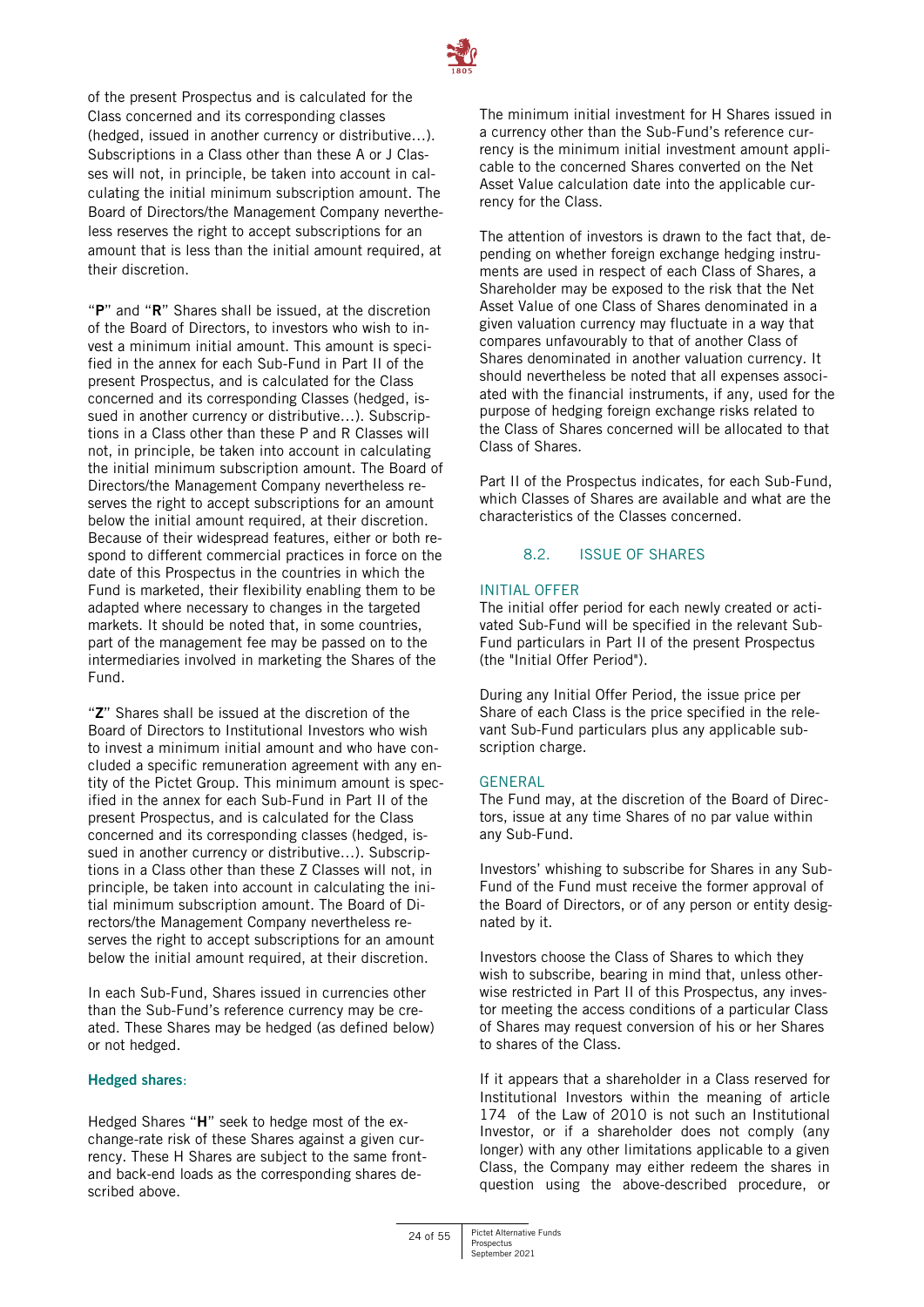

of the present Prospectus and is calculated for the Class concerned and its corresponding classes (hedged, issued in another currency or distributive…). Subscriptions in a Class other than these A or J Classes will not, in principle, be taken into account in calculating the initial minimum subscription amount. The Board of Directors/the Management Company nevertheless reserves the right to accept subscriptions for an amount that is less than the initial amount required, at their discretion.

"**P**" and "**R**" Shares shall be issued, at the discretion of the Board of Directors, to investors who wish to invest a minimum initial amount. This amount is specified in the annex for each Sub-Fund in Part II of the present Prospectus, and is calculated for the Class concerned and its corresponding Classes (hedged, issued in another currency or distributive…). Subscriptions in a Class other than these P and R Classes will not, in principle, be taken into account in calculating the initial minimum subscription amount. The Board of Directors/the Management Company nevertheless reserves the right to accept subscriptions for an amount below the initial amount required, at their discretion. Because of their widespread features, either or both respond to different commercial practices in force on the date of this Prospectus in the countries in which the Fund is marketed, their flexibility enabling them to be adapted where necessary to changes in the targeted markets. It should be noted that, in some countries, part of the management fee may be passed on to the intermediaries involved in marketing the Shares of the Fund.

"**Z**" Shares shall be issued at the discretion of the Board of Directors to Institutional Investors who wish to invest a minimum initial amount and who have concluded a specific remuneration agreement with any entity of the Pictet Group. This minimum amount is specified in the annex for each Sub-Fund in Part II of the present Prospectus, and is calculated for the Class concerned and its corresponding classes (hedged, issued in another currency or distributive…). Subscriptions in a Class other than these Z Classes will not, in principle, be taken into account in calculating the initial minimum subscription amount. The Board of Directors/the Management Company nevertheless reserves the right to accept subscriptions for an amount below the initial amount required, at their discretion.

In each Sub-Fund, Shares issued in currencies other than the Sub-Fund's reference currency may be created. These Shares may be hedged (as defined below) or not hedged.

#### **Hedged shares**:

Hedged Shares "**H**" seek to hedge most of the exchange-rate risk of these Shares against a given currency. These H Shares are subject to the same frontand back-end loads as the corresponding shares described above.

The minimum initial investment for H Shares issued in a currency other than the Sub-Fund's reference currency is the minimum initial investment amount applicable to the concerned Shares converted on the Net Asset Value calculation date into the applicable currency for the Class.

The attention of investors is drawn to the fact that, depending on whether foreign exchange hedging instruments are used in respect of each Class of Shares, a Shareholder may be exposed to the risk that the Net Asset Value of one Class of Shares denominated in a given valuation currency may fluctuate in a way that compares unfavourably to that of another Class of Shares denominated in another valuation currency. It should nevertheless be noted that all expenses associated with the financial instruments, if any, used for the purpose of hedging foreign exchange risks related to the Class of Shares concerned will be allocated to that Class of Shares.

Part II of the Prospectus indicates, for each Sub-Fund, which Classes of Shares are available and what are the characteristics of the Classes concerned.

# 8.2. ISSUE OF SHARES

#### INITIAL OFFER

The initial offer period for each newly created or activated Sub-Fund will be specified in the relevant Sub-Fund particulars in Part II of the present Prospectus (the "Initial Offer Period").

During any Initial Offer Period, the issue price per Share of each Class is the price specified in the relevant Sub-Fund particulars plus any applicable subscription charge.

#### GENERAL

The Fund may, at the discretion of the Board of Directors, issue at any time Shares of no par value within any Sub-Fund.

Investors' whishing to subscribe for Shares in any Sub-Fund of the Fund must receive the former approval of the Board of Directors, or of any person or entity designated by it.

Investors choose the Class of Shares to which they wish to subscribe, bearing in mind that, unless otherwise restricted in Part II of this Prospectus, any investor meeting the access conditions of a particular Class of Shares may request conversion of his or her Shares to shares of the Class.

If it appears that a shareholder in a Class reserved for Institutional Investors within the meaning of article 174 of the Law of 2010 is not such an Institutional Investor, or if a shareholder does not comply (any longer) with any other limitations applicable to a given Class, the Company may either redeem the shares in question using the above-described procedure, or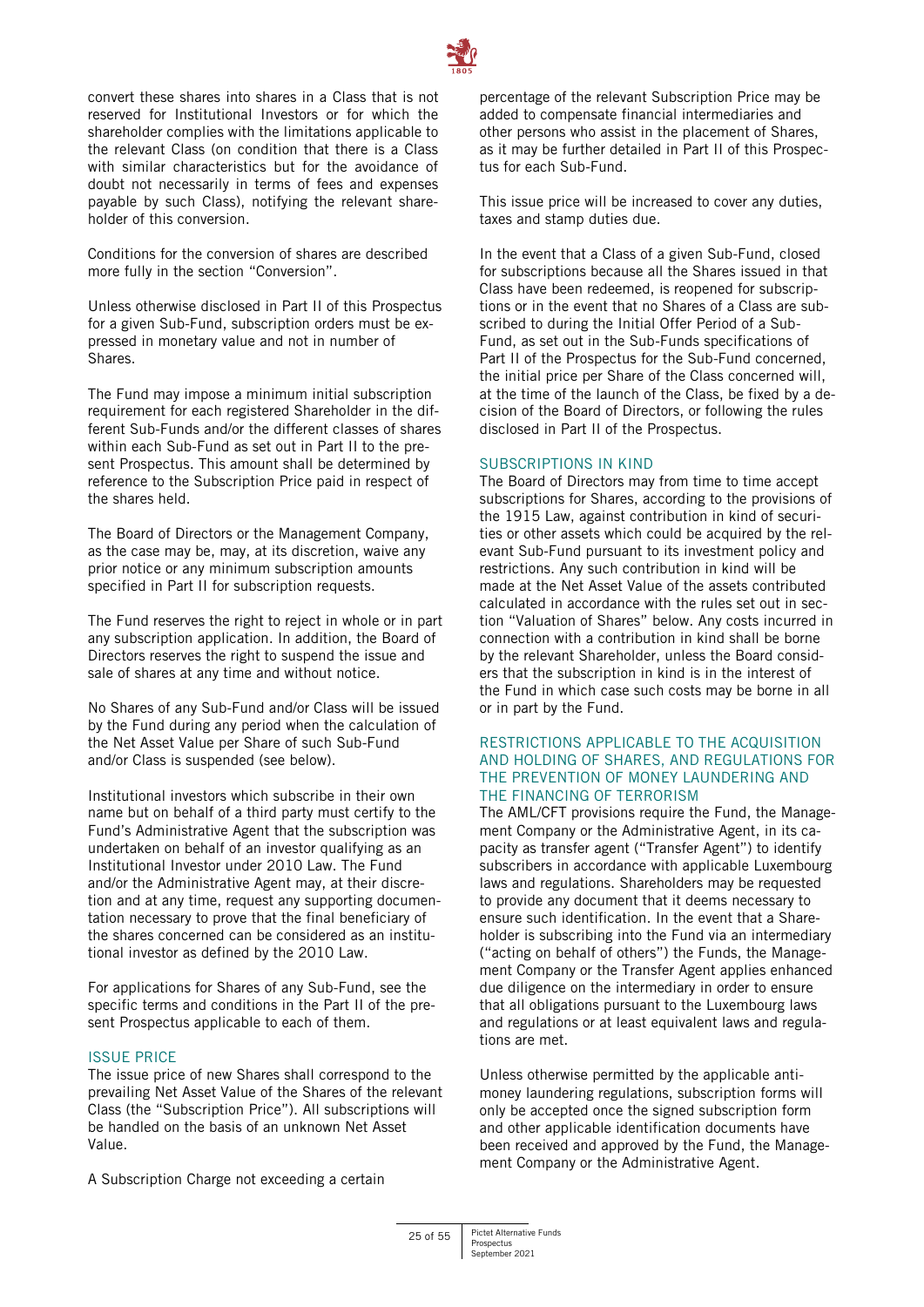

convert these shares into shares in a Class that is not reserved for Institutional Investors or for which the shareholder complies with the limitations applicable to the relevant Class (on condition that there is a Class with similar characteristics but for the avoidance of doubt not necessarily in terms of fees and expenses payable by such Class), notifying the relevant shareholder of this conversion.

Conditions for the conversion of shares are described more fully in the section "Conversion".

Unless otherwise disclosed in Part II of this Prospectus for a given Sub-Fund, subscription orders must be expressed in monetary value and not in number of Shares.

The Fund may impose a minimum initial subscription requirement for each registered Shareholder in the different Sub-Funds and/or the different classes of shares within each Sub-Fund as set out in Part II to the present Prospectus. This amount shall be determined by reference to the Subscription Price paid in respect of the shares held.

The Board of Directors or the Management Company, as the case may be, may, at its discretion, waive any prior notice or any minimum subscription amounts specified in Part II for subscription requests.

The Fund reserves the right to reject in whole or in part any subscription application. In addition, the Board of Directors reserves the right to suspend the issue and sale of shares at any time and without notice.

No Shares of any Sub-Fund and/or Class will be issued by the Fund during any period when the calculation of the Net Asset Value per Share of such Sub-Fund and/or Class is suspended (see below).

Institutional investors which subscribe in their own name but on behalf of a third party must certify to the Fund's Administrative Agent that the subscription was undertaken on behalf of an investor qualifying as an Institutional Investor under 2010 Law. The Fund and/or the Administrative Agent may, at their discretion and at any time, request any supporting documentation necessary to prove that the final beneficiary of the shares concerned can be considered as an institutional investor as defined by the 2010 Law.

For applications for Shares of any Sub-Fund, see the specific terms and conditions in the Part II of the present Prospectus applicable to each of them.

#### ISSUE PRICE

The issue price of new Shares shall correspond to the prevailing Net Asset Value of the Shares of the relevant Class (the "Subscription Price"). All subscriptions will be handled on the basis of an unknown Net Asset Value.

A Subscription Charge not exceeding a certain

percentage of the relevant Subscription Price may be added to compensate financial intermediaries and other persons who assist in the placement of Shares, as it may be further detailed in Part II of this Prospectus for each Sub-Fund.

This issue price will be increased to cover any duties, taxes and stamp duties due.

In the event that a Class of a given Sub-Fund, closed for subscriptions because all the Shares issued in that Class have been redeemed, is reopened for subscriptions or in the event that no Shares of a Class are subscribed to during the Initial Offer Period of a Sub-Fund, as set out in the Sub-Funds specifications of Part II of the Prospectus for the Sub-Fund concerned, the initial price per Share of the Class concerned will, at the time of the launch of the Class, be fixed by a decision of the Board of Directors, or following the rules disclosed in Part II of the Prospectus.

#### SUBSCRIPTIONS IN KIND

The Board of Directors may from time to time accept subscriptions for Shares, according to the provisions of the 1915 Law, against contribution in kind of securities or other assets which could be acquired by the relevant Sub-Fund pursuant to its investment policy and restrictions. Any such contribution in kind will be made at the Net Asset Value of the assets contributed calculated in accordance with the rules set out in section "Valuation of Shares" below. Any costs incurred in connection with a contribution in kind shall be borne by the relevant Shareholder, unless the Board considers that the subscription in kind is in the interest of the Fund in which case such costs may be borne in all or in part by the Fund.

#### RESTRICTIONS APPLICABLE TO THE ACQUISITION AND HOLDING OF SHARES, AND REGULATIONS FOR THE PREVENTION OF MONEY LAUNDERING AND THE FINANCING OF TERRORISM

The AML/CFT provisions require the Fund, the Management Company or the Administrative Agent, in its capacity as transfer agent ("Transfer Agent") to identify subscribers in accordance with applicable Luxembourg laws and regulations. Shareholders may be requested to provide any document that it deems necessary to ensure such identification. In the event that a Shareholder is subscribing into the Fund via an intermediary ("acting on behalf of others") the Funds, the Management Company or the Transfer Agent applies enhanced due diligence on the intermediary in order to ensure that all obligations pursuant to the Luxembourg laws and regulations or at least equivalent laws and regulations are met.

Unless otherwise permitted by the applicable antimoney laundering regulations, subscription forms will only be accepted once the signed subscription form and other applicable identification documents have been received and approved by the Fund, the Management Company or the Administrative Agent.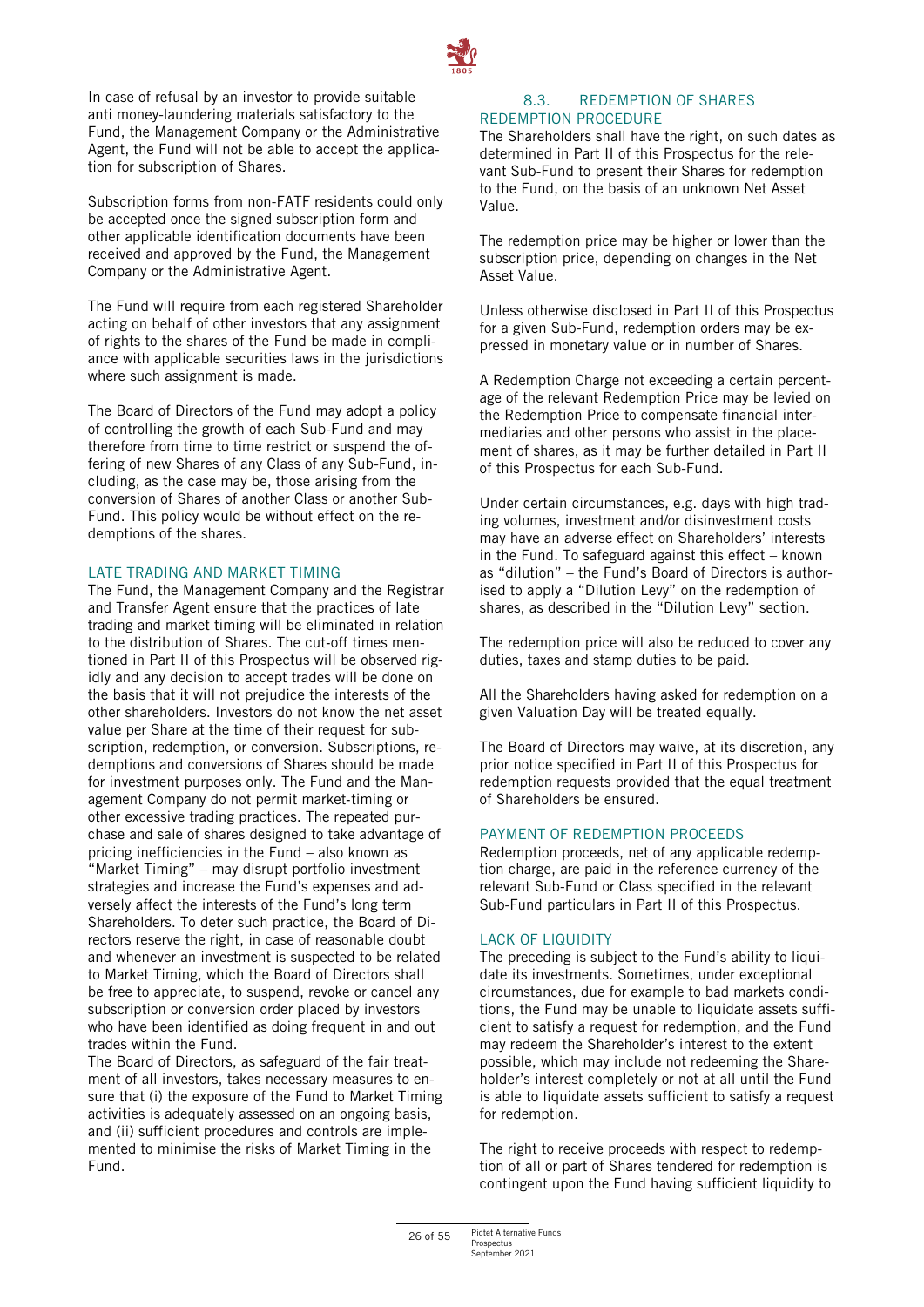

In case of refusal by an investor to provide suitable anti money-laundering materials satisfactory to the Fund, the Management Company or the Administrative Agent, the Fund will not be able to accept the application for subscription of Shares.

Subscription forms from non-FATF residents could only be accepted once the signed subscription form and other applicable identification documents have been received and approved by the Fund, the Management Company or the Administrative Agent.

The Fund will require from each registered Shareholder acting on behalf of other investors that any assignment of rights to the shares of the Fund be made in compliance with applicable securities laws in the jurisdictions where such assignment is made.

The Board of Directors of the Fund may adopt a policy of controlling the growth of each Sub-Fund and may therefore from time to time restrict or suspend the offering of new Shares of any Class of any Sub-Fund, including, as the case may be, those arising from the conversion of Shares of another Class or another Sub-Fund. This policy would be without effect on the redemptions of the shares.

# LATE TRADING AND MARKET TIMING

The Fund, the Management Company and the Registrar and Transfer Agent ensure that the practices of late trading and market timing will be eliminated in relation to the distribution of Shares. The cut-off times mentioned in Part II of this Prospectus will be observed rigidly and any decision to accept trades will be done on the basis that it will not prejudice the interests of the other shareholders. Investors do not know the net asset value per Share at the time of their request for subscription, redemption, or conversion. Subscriptions, redemptions and conversions of Shares should be made for investment purposes only. The Fund and the Management Company do not permit market‐timing or other excessive trading practices. The repeated purchase and sale of shares designed to take advantage of pricing inefficiencies in the Fund – also known as "Market Timing" – may disrupt portfolio investment strategies and increase the Fund's expenses and adversely affect the interests of the Fund's long term Shareholders. To deter such practice, the Board of Directors reserve the right, in case of reasonable doubt and whenever an investment is suspected to be related to Market Timing, which the Board of Directors shall be free to appreciate, to suspend, revoke or cancel any subscription or conversion order placed by investors who have been identified as doing frequent in and out trades within the Fund.

The Board of Directors, as safeguard of the fair treatment of all investors, takes necessary measures to ensure that (i) the exposure of the Fund to Market Timing activities is adequately assessed on an ongoing basis, and (ii) sufficient procedures and controls are implemented to minimise the risks of Market Timing in the Fund.

# 8.3. REDEMPTION OF SHARES REDEMPTION PROCEDURE

The Shareholders shall have the right, on such dates as determined in Part II of this Prospectus for the relevant Sub-Fund to present their Shares for redemption to the Fund, on the basis of an unknown Net Asset Value.

The redemption price may be higher or lower than the subscription price, depending on changes in the Net Asset Value.

Unless otherwise disclosed in Part II of this Prospectus for a given Sub-Fund, redemption orders may be expressed in monetary value or in number of Shares.

A Redemption Charge not exceeding a certain percentage of the relevant Redemption Price may be levied on the Redemption Price to compensate financial intermediaries and other persons who assist in the placement of shares, as it may be further detailed in Part II of this Prospectus for each Sub-Fund.

Under certain circumstances, e.g. days with high trading volumes, investment and/or disinvestment costs may have an adverse effect on Shareholders' interests in the Fund. To safeguard against this effect – known as "dilution" – the Fund's Board of Directors is authorised to apply a "Dilution Levy" on the redemption of shares, as described in the "Dilution Levy" section.

The redemption price will also be reduced to cover any duties, taxes and stamp duties to be paid.

All the Shareholders having asked for redemption on a given Valuation Day will be treated equally.

The Board of Directors may waive, at its discretion, any prior notice specified in Part II of this Prospectus for redemption requests provided that the equal treatment of Shareholders be ensured.

# PAYMENT OF REDEMPTION PROCEEDS

Redemption proceeds, net of any applicable redemption charge, are paid in the reference currency of the relevant Sub-Fund or Class specified in the relevant Sub-Fund particulars in Part II of this Prospectus.

# LACK OF LIQUIDITY

The preceding is subject to the Fund's ability to liquidate its investments. Sometimes, under exceptional circumstances, due for example to bad markets conditions, the Fund may be unable to liquidate assets sufficient to satisfy a request for redemption, and the Fund may redeem the Shareholder's interest to the extent possible, which may include not redeeming the Shareholder's interest completely or not at all until the Fund is able to liquidate assets sufficient to satisfy a request for redemption.

The right to receive proceeds with respect to redemption of all or part of Shares tendered for redemption is contingent upon the Fund having sufficient liquidity to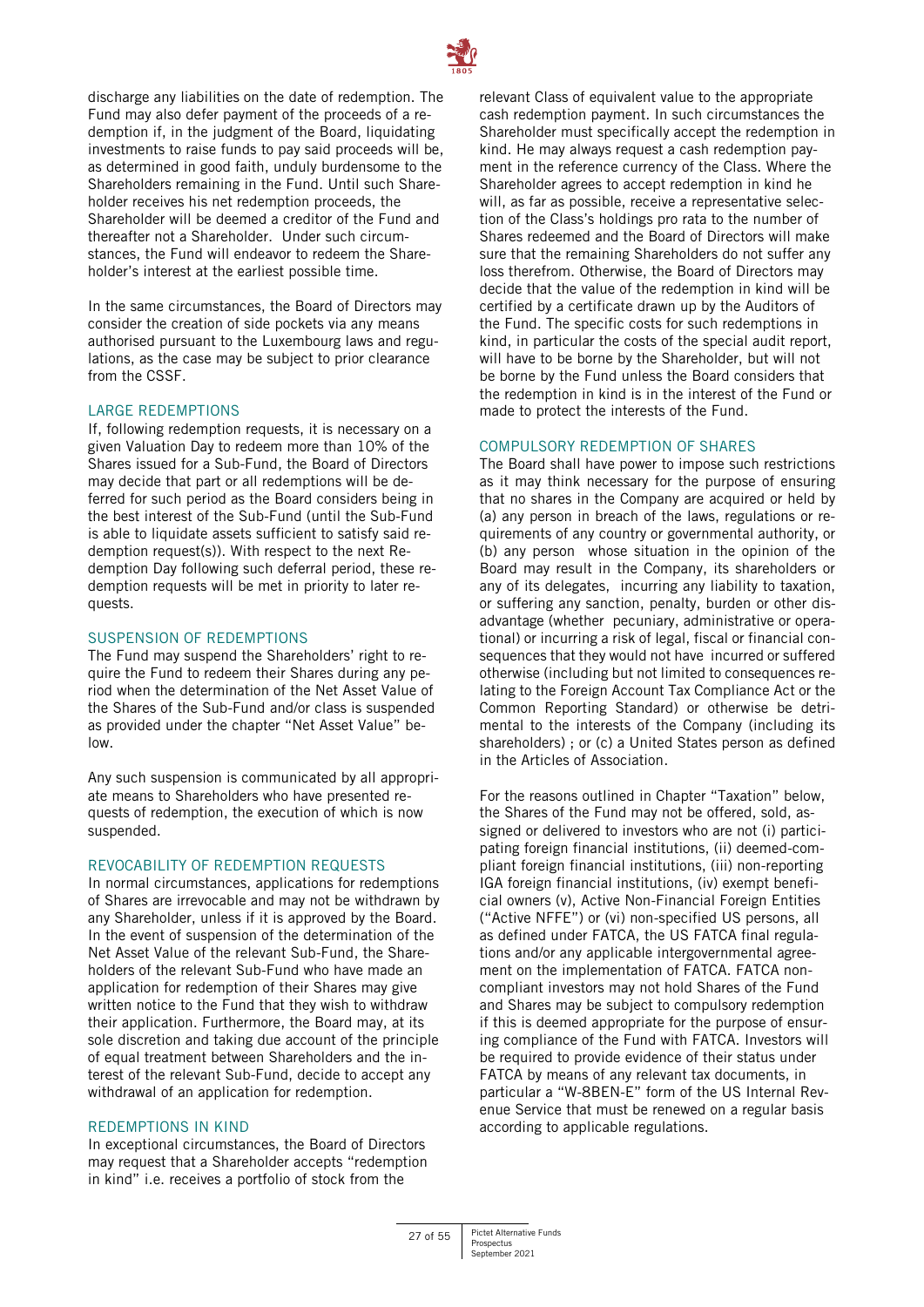

discharge any liabilities on the date of redemption. The Fund may also defer payment of the proceeds of a redemption if, in the judgment of the Board, liquidating investments to raise funds to pay said proceeds will be, as determined in good faith, unduly burdensome to the Shareholders remaining in the Fund. Until such Shareholder receives his net redemption proceeds, the Shareholder will be deemed a creditor of the Fund and thereafter not a Shareholder. Under such circumstances, the Fund will endeavor to redeem the Shareholder's interest at the earliest possible time.

In the same circumstances, the Board of Directors may consider the creation of side pockets via any means authorised pursuant to the Luxembourg laws and regulations, as the case may be subject to prior clearance from the CSSF.

#### LARGE REDEMPTIONS

If, following redemption requests, it is necessary on a given Valuation Day to redeem more than 10% of the Shares issued for a Sub-Fund, the Board of Directors may decide that part or all redemptions will be deferred for such period as the Board considers being in the best interest of the Sub-Fund (until the Sub-Fund is able to liquidate assets sufficient to satisfy said redemption request(s)). With respect to the next Redemption Day following such deferral period, these redemption requests will be met in priority to later requests.

# SUSPENSION OF REDEMPTIONS

The Fund may suspend the Shareholders' right to require the Fund to redeem their Shares during any period when the determination of the Net Asset Value of the Shares of the Sub-Fund and/or class is suspended as provided under the chapter "Net Asset Value" below.

Any such suspension is communicated by all appropriate means to Shareholders who have presented requests of redemption, the execution of which is now suspended.

#### REVOCABILITY OF REDEMPTION REQUESTS

In normal circumstances, applications for redemptions of Shares are irrevocable and may not be withdrawn by any Shareholder, unless if it is approved by the Board. In the event of suspension of the determination of the Net Asset Value of the relevant Sub-Fund, the Shareholders of the relevant Sub-Fund who have made an application for redemption of their Shares may give written notice to the Fund that they wish to withdraw their application. Furthermore, the Board may, at its sole discretion and taking due account of the principle of equal treatment between Shareholders and the interest of the relevant Sub-Fund, decide to accept any withdrawal of an application for redemption.

#### REDEMPTIONS IN KIND

In exceptional circumstances, the Board of Directors may request that a Shareholder accepts "redemption in kind" i.e. receives a portfolio of stock from the

relevant Class of equivalent value to the appropriate cash redemption payment. In such circumstances the Shareholder must specifically accept the redemption in kind. He may always request a cash redemption payment in the reference currency of the Class. Where the Shareholder agrees to accept redemption in kind he will, as far as possible, receive a representative selection of the Class's holdings pro rata to the number of Shares redeemed and the Board of Directors will make sure that the remaining Shareholders do not suffer any loss therefrom. Otherwise, the Board of Directors may decide that the value of the redemption in kind will be certified by a certificate drawn up by the Auditors of the Fund. The specific costs for such redemptions in kind, in particular the costs of the special audit report, will have to be borne by the Shareholder, but will not be borne by the Fund unless the Board considers that the redemption in kind is in the interest of the Fund or made to protect the interests of the Fund.

#### COMPULSORY REDEMPTION OF SHARES

The Board shall have power to impose such restrictions as it may think necessary for the purpose of ensuring that no shares in the Company are acquired or held by (a) any person in breach of the laws, regulations or requirements of any country or governmental authority, or (b) any person whose situation in the opinion of the Board may result in the Company, its shareholders or any of its delegates, incurring any liability to taxation, or suffering any sanction, penalty, burden or other disadvantage (whether pecuniary, administrative or operational) or incurring a risk of legal, fiscal or financial consequences that they would not have incurred or suffered otherwise (including but not limited to consequences relating to the Foreign Account Tax Compliance Act or the Common Reporting Standard) or otherwise be detrimental to the interests of the Company (including its shareholders) ; or (c) a United States person as defined in the Articles of Association.

For the reasons outlined in Chapter "Taxation" below, the Shares of the Fund may not be offered, sold, assigned or delivered to investors who are not (i) participating foreign financial institutions, (ii) deemed-compliant foreign financial institutions, (iii) non-reporting IGA foreign financial institutions, (iv) exempt beneficial owners (v), Active Non-Financial Foreign Entities ("Active NFFE") or (vi) non-specified US persons, all as defined under FATCA, the US FATCA final regulations and/or any applicable intergovernmental agreement on the implementation of FATCA. FATCA noncompliant investors may not hold Shares of the Fund and Shares may be subject to compulsory redemption if this is deemed appropriate for the purpose of ensuring compliance of the Fund with FATCA. Investors will be required to provide evidence of their status under FATCA by means of any relevant tax documents, in particular a "W-8BEN-E" form of the US Internal Revenue Service that must be renewed on a regular basis according to applicable regulations.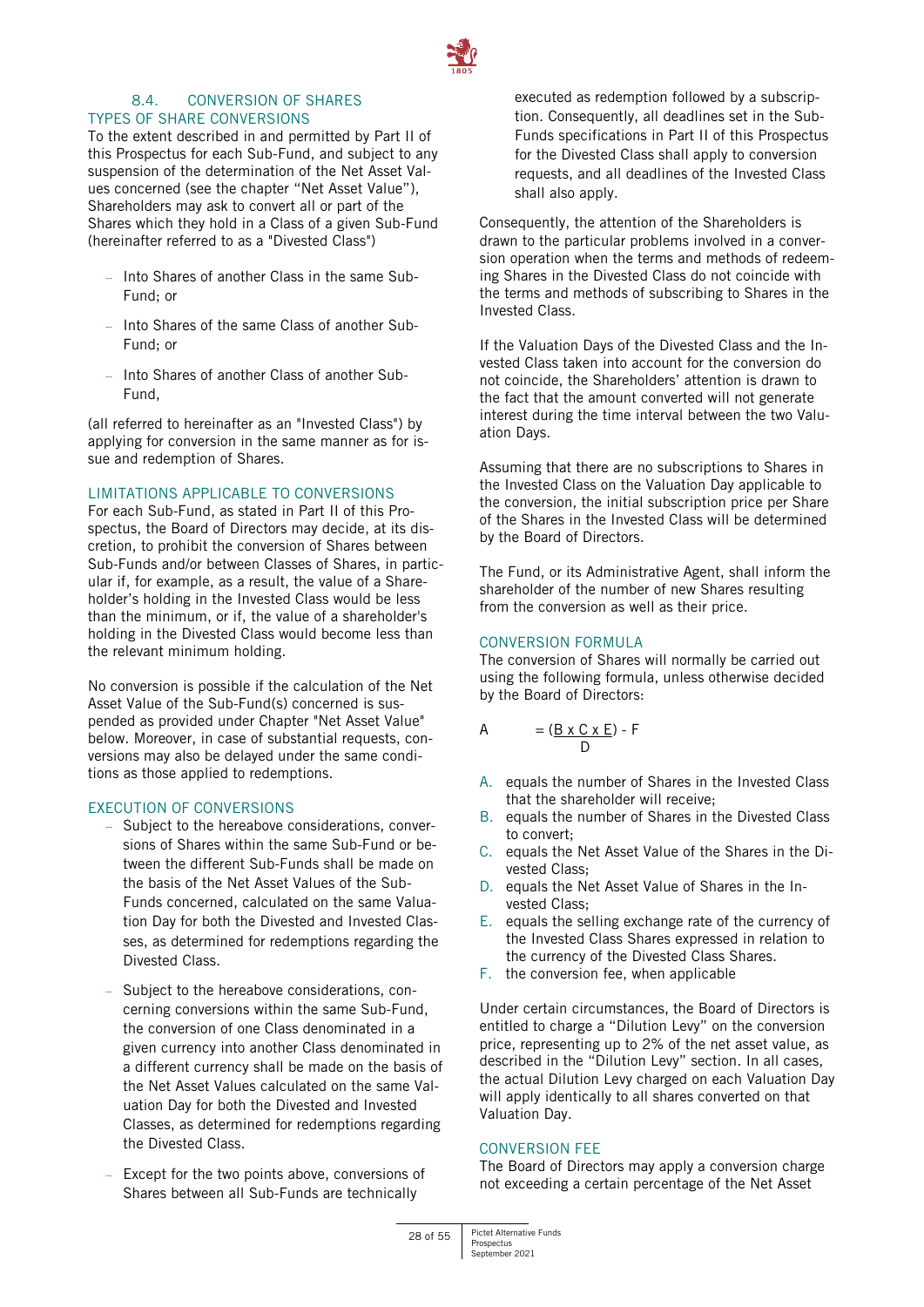

# 8.4. CONVERSION OF SHARES TYPES OF SHARE CONVERSIONS

To the extent described in and permitted by Part II of this Prospectus for each Sub-Fund, and subject to any suspension of the determination of the Net Asset Values concerned (see the chapter "Net Asset Value"), Shareholders may ask to convert all or part of the Shares which they hold in a Class of a given Sub-Fund (hereinafter referred to as a "Divested Class")

- Into Shares of another Class in the same Sub-Fund; or
- Into Shares of the same Class of another Sub-Fund; or
- Into Shares of another Class of another Sub-Fund,

(all referred to hereinafter as an "Invested Class") by applying for conversion in the same manner as for issue and redemption of Shares.

# LIMITATIONS APPLICABLE TO CONVERSIONS

For each Sub-Fund, as stated in Part II of this Prospectus, the Board of Directors may decide, at its discretion, to prohibit the conversion of Shares between Sub-Funds and/or between Classes of Shares, in particular if, for example, as a result, the value of a Shareholder's holding in the Invested Class would be less than the minimum, or if, the value of a shareholder's holding in the Divested Class would become less than the relevant minimum holding.

No conversion is possible if the calculation of the Net Asset Value of the Sub-Fund(s) concerned is suspended as provided under Chapter "Net Asset Value" below. Moreover, in case of substantial requests, conversions may also be delayed under the same conditions as those applied to redemptions.

# EXECUTION OF CONVERSIONS

- Subject to the hereabove considerations, conversions of Shares within the same Sub-Fund or between the different Sub-Funds shall be made on the basis of the Net Asset Values of the Sub-Funds concerned, calculated on the same Valuation Day for both the Divested and Invested Classes, as determined for redemptions regarding the Divested Class.
- Subject to the hereabove considerations, concerning conversions within the same Sub-Fund, the conversion of one Class denominated in a given currency into another Class denominated in a different currency shall be made on the basis of the Net Asset Values calculated on the same Valuation Day for both the Divested and Invested Classes, as determined for redemptions regarding the Divested Class.
- Except for the two points above, conversions of Shares between all Sub-Funds are technically

executed as redemption followed by a subscription. Consequently, all deadlines set in the Sub-Funds specifications in Part II of this Prospectus for the Divested Class shall apply to conversion requests, and all deadlines of the Invested Class shall also apply.

Consequently, the attention of the Shareholders is drawn to the particular problems involved in a conversion operation when the terms and methods of redeeming Shares in the Divested Class do not coincide with the terms and methods of subscribing to Shares in the Invested Class.

If the Valuation Days of the Divested Class and the Invested Class taken into account for the conversion do not coincide, the Shareholders' attention is drawn to the fact that the amount converted will not generate interest during the time interval between the two Valuation Days.

Assuming that there are no subscriptions to Shares in the Invested Class on the Valuation Day applicable to the conversion, the initial subscription price per Share of the Shares in the Invested Class will be determined by the Board of Directors.

The Fund, or its Administrative Agent, shall inform the shareholder of the number of new Shares resulting from the conversion as well as their price.

# CONVERSION FORMULA

The conversion of Shares will normally be carried out using the following formula, unless otherwise decided by the Board of Directors:

$$
A = (\underline{B \times C \times E}) - F
$$

- A. equals the number of Shares in the Invested Class that the shareholder will receive;
- B. equals the number of Shares in the Divested Class to convert;
- C. equals the Net Asset Value of the Shares in the Divested Class;
- D. equals the Net Asset Value of Shares in the Invested Class;
- E. equals the selling exchange rate of the currency of the Invested Class Shares expressed in relation to the currency of the Divested Class Shares.
- F. the conversion fee, when applicable

Under certain circumstances, the Board of Directors is entitled to charge a "Dilution Levy" on the conversion price, representing up to 2% of the net asset value, as described in the "Dilution Levy" section. In all cases, the actual Dilution Levy charged on each Valuation Day will apply identically to all shares converted on that Valuation Day.

# CONVERSION FEE

The Board of Directors may apply a conversion charge not exceeding a certain percentage of the Net Asset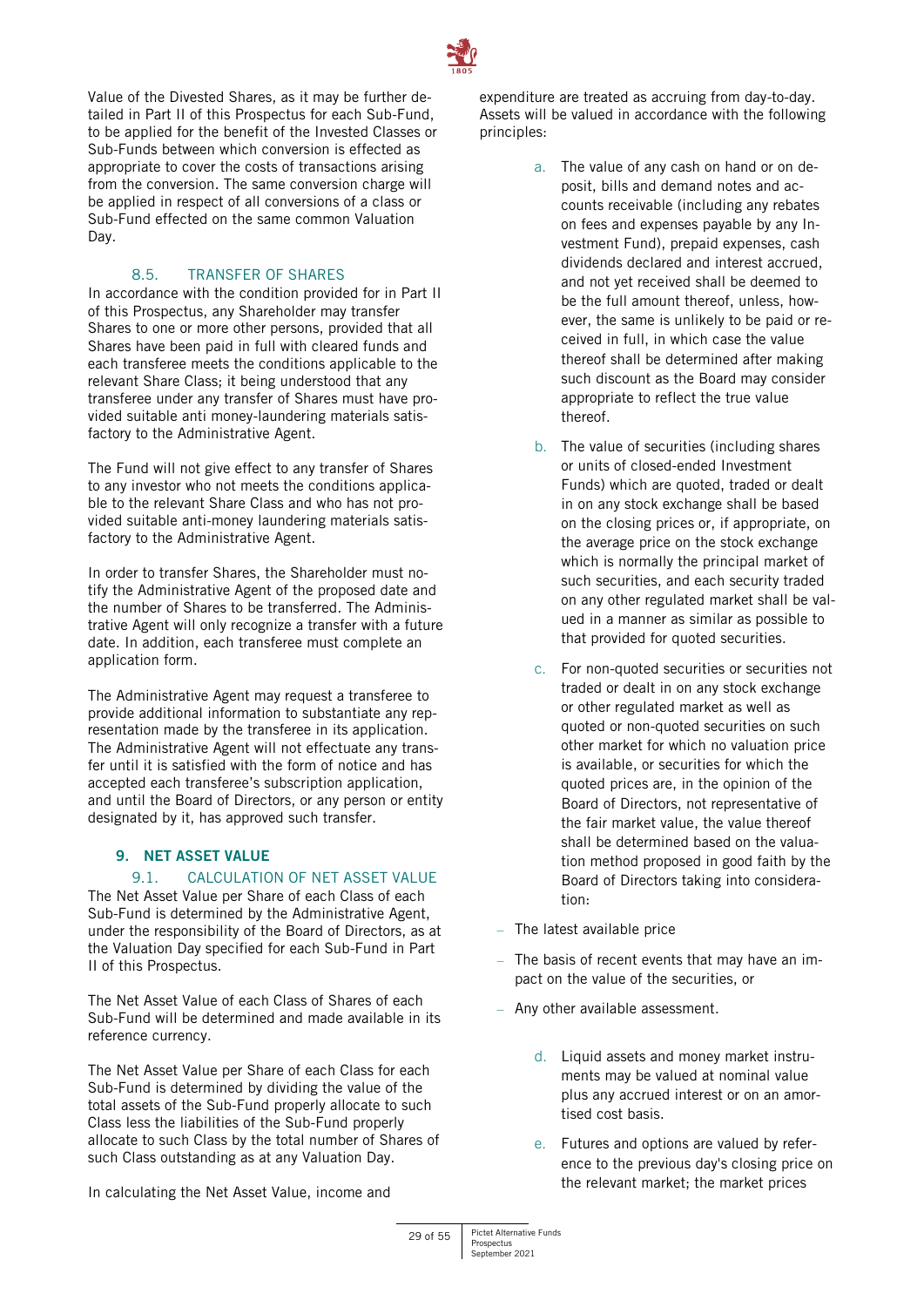

Value of the Divested Shares, as it may be further detailed in Part II of this Prospectus for each Sub-Fund, to be applied for the benefit of the Invested Classes or Sub-Funds between which conversion is effected as appropriate to cover the costs of transactions arising from the conversion. The same conversion charge will be applied in respect of all conversions of a class or Sub-Fund effected on the same common Valuation Day.

# 8.5. TRANSFER OF SHARES

In accordance with the condition provided for in Part II of this Prospectus, any Shareholder may transfer Shares to one or more other persons, provided that all Shares have been paid in full with cleared funds and each transferee meets the conditions applicable to the relevant Share Class; it being understood that any transferee under any transfer of Shares must have provided suitable anti money-laundering materials satisfactory to the Administrative Agent.

The Fund will not give effect to any transfer of Shares to any investor who not meets the conditions applicable to the relevant Share Class and who has not provided suitable anti-money laundering materials satisfactory to the Administrative Agent.

In order to transfer Shares, the Shareholder must notify the Administrative Agent of the proposed date and the number of Shares to be transferred. The Administrative Agent will only recognize a transfer with a future date. In addition, each transferee must complete an application form.

The Administrative Agent may request a transferee to provide additional information to substantiate any representation made by the transferee in its application. The Administrative Agent will not effectuate any transfer until it is satisfied with the form of notice and has accepted each transferee's subscription application, and until the Board of Directors, or any person or entity designated by it, has approved such transfer.

# <span id="page-28-0"></span>**9. NET ASSET VALUE**

# 9.1. CALCULATION OF NFT ASSET VALUE

The Net Asset Value per Share of each Class of each Sub-Fund is determined by the Administrative Agent, under the responsibility of the Board of Directors, as at the Valuation Day specified for each Sub-Fund in Part II of this Prospectus.

The Net Asset Value of each Class of Shares of each Sub-Fund will be determined and made available in its reference currency.

The Net Asset Value per Share of each Class for each Sub-Fund is determined by dividing the value of the total assets of the Sub-Fund properly allocate to such Class less the liabilities of the Sub-Fund properly allocate to such Class by the total number of Shares of such Class outstanding as at any Valuation Day.

In calculating the Net Asset Value, income and

expenditure are treated as accruing from day-to-day. Assets will be valued in accordance with the following principles:

- a. The value of any cash on hand or on deposit, bills and demand notes and accounts receivable (including any rebates on fees and expenses payable by any Investment Fund), prepaid expenses, cash dividends declared and interest accrued, and not yet received shall be deemed to be the full amount thereof, unless, however, the same is unlikely to be paid or received in full, in which case the value thereof shall be determined after making such discount as the Board may consider appropriate to reflect the true value thereof.
- b. The value of securities (including shares or units of closed-ended Investment Funds) which are quoted, traded or dealt in on any stock exchange shall be based on the closing prices or, if appropriate, on the average price on the stock exchange which is normally the principal market of such securities, and each security traded on any other regulated market shall be valued in a manner as similar as possible to that provided for quoted securities.
- c. For non-quoted securities or securities not traded or dealt in on any stock exchange or other regulated market as well as quoted or non-quoted securities on such other market for which no valuation price is available, or securities for which the quoted prices are, in the opinion of the Board of Directors, not representative of the fair market value, the value thereof shall be determined based on the valuation method proposed in good faith by the Board of Directors taking into consideration:
- The latest available price
- The basis of recent events that may have an impact on the value of the securities, or
- Any other available assessment.
	- d. Liquid assets and money market instruments may be valued at nominal value plus any accrued interest or on an amortised cost basis.
	- e. Futures and options are valued by reference to the previous day's closing price on the relevant market; the market prices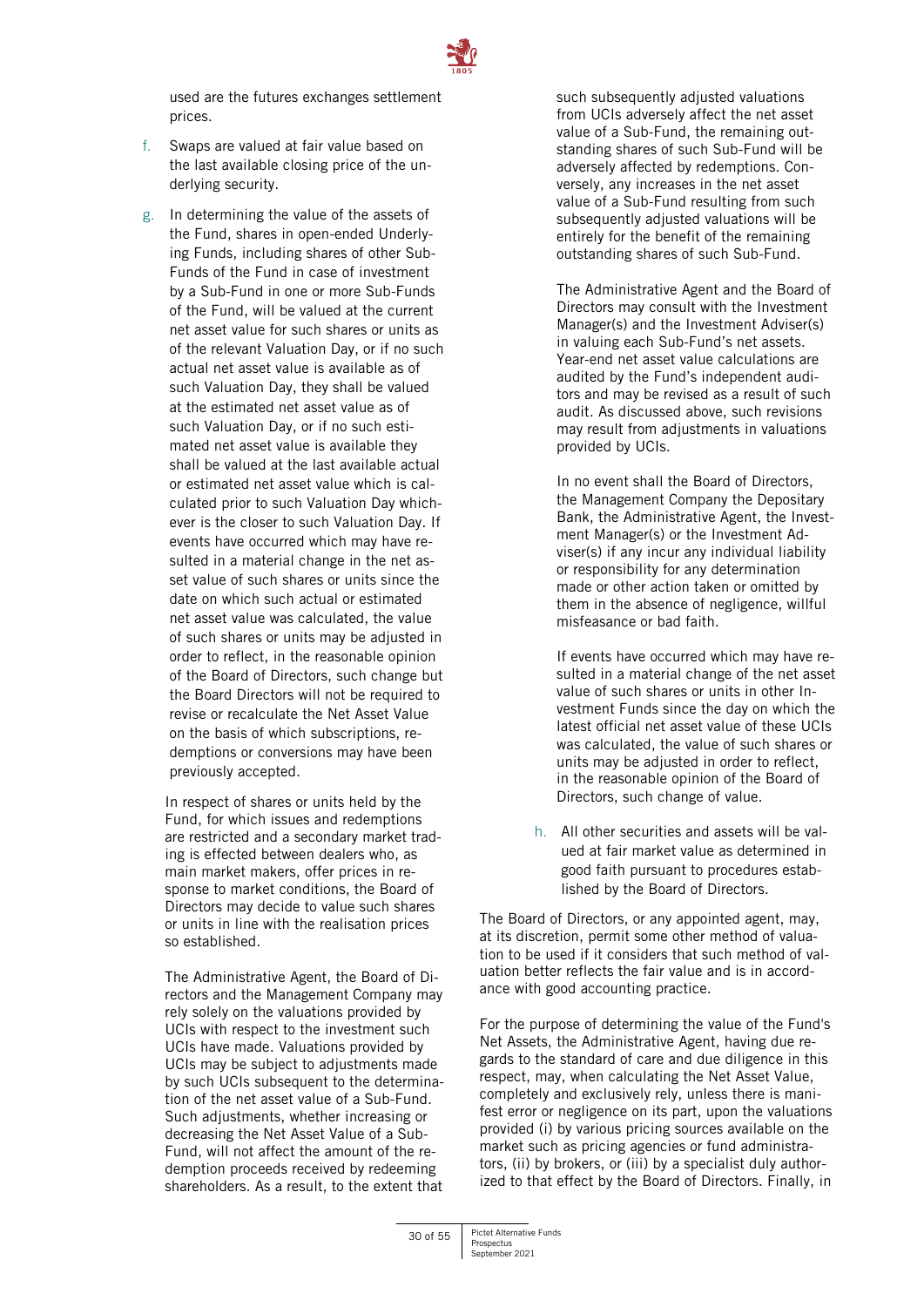

used are the futures exchanges settlement prices.

- f. Swaps are valued at fair value based on the last available closing price of the underlying security.
- g. In determining the value of the assets of the Fund, shares in open-ended Underlying Funds, including shares of other Sub-Funds of the Fund in case of investment by a Sub-Fund in one or more Sub-Funds of the Fund, will be valued at the current net asset value for such shares or units as of the relevant Valuation Day, or if no such actual net asset value is available as of such Valuation Day, they shall be valued at the estimated net asset value as of such Valuation Day, or if no such estimated net asset value is available they shall be valued at the last available actual or estimated net asset value which is calculated prior to such Valuation Day whichever is the closer to such Valuation Day. If events have occurred which may have resulted in a material change in the net asset value of such shares or units since the date on which such actual or estimated net asset value was calculated, the value of such shares or units may be adjusted in order to reflect, in the reasonable opinion of the Board of Directors, such change but the Board Directors will not be required to revise or recalculate the Net Asset Value on the basis of which subscriptions, redemptions or conversions may have been previously accepted.

In respect of shares or units held by the Fund, for which issues and redemptions are restricted and a secondary market trading is effected between dealers who, as main market makers, offer prices in response to market conditions, the Board of Directors may decide to value such shares or units in line with the realisation prices so established.

The Administrative Agent, the Board of Directors and the Management Company may rely solely on the valuations provided by UCIs with respect to the investment such UCIs have made. Valuations provided by UCIs may be subject to adjustments made by such UCIs subsequent to the determination of the net asset value of a Sub-Fund. Such adjustments, whether increasing or decreasing the Net Asset Value of a Sub-Fund, will not affect the amount of the redemption proceeds received by redeeming shareholders. As a result, to the extent that

such subsequently adjusted valuations from UCIs adversely affect the net asset value of a Sub-Fund, the remaining outstanding shares of such Sub-Fund will be adversely affected by redemptions. Conversely, any increases in the net asset value of a Sub-Fund resulting from such subsequently adjusted valuations will be entirely for the benefit of the remaining outstanding shares of such Sub-Fund.

The Administrative Agent and the Board of Directors may consult with the Investment Manager(s) and the Investment Adviser(s) in valuing each Sub-Fund's net assets. Year-end net asset value calculations are audited by the Fund's independent auditors and may be revised as a result of such audit. As discussed above, such revisions may result from adjustments in valuations provided by UCIs.

In no event shall the Board of Directors, the Management Company the Depositary Bank, the Administrative Agent, the Investment Manager(s) or the Investment Adviser(s) if any incur any individual liability or responsibility for any determination made or other action taken or omitted by them in the absence of negligence, willful misfeasance or bad faith.

If events have occurred which may have resulted in a material change of the net asset value of such shares or units in other Investment Funds since the day on which the latest official net asset value of these UCIs was calculated, the value of such shares or units may be adjusted in order to reflect, in the reasonable opinion of the Board of Directors, such change of value.

h. All other securities and assets will be valued at fair market value as determined in good faith pursuant to procedures established by the Board of Directors.

The Board of Directors, or any appointed agent, may, at its discretion, permit some other method of valuation to be used if it considers that such method of valuation better reflects the fair value and is in accordance with good accounting practice.

For the purpose of determining the value of the Fund's Net Assets, the Administrative Agent, having due regards to the standard of care and due diligence in this respect, may, when calculating the Net Asset Value, completely and exclusively rely, unless there is manifest error or negligence on its part, upon the valuations provided (i) by various pricing sources available on the market such as pricing agencies or fund administrators, (ii) by brokers, or (iii) by a specialist duly authorized to that effect by the Board of Directors. Finally, in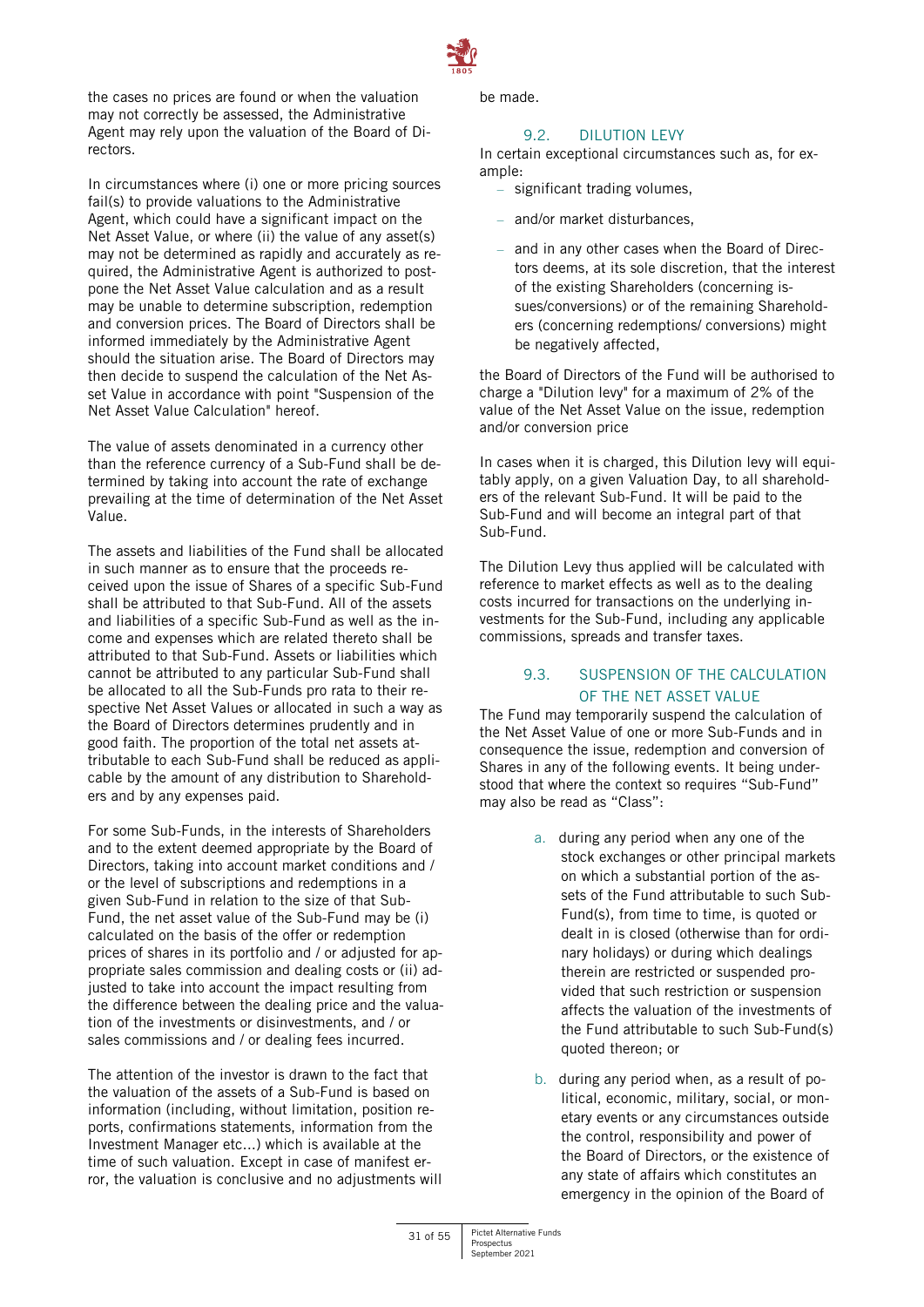

the cases no prices are found or when the valuation may not correctly be assessed, the Administrative Agent may rely upon the valuation of the Board of Directors.

In circumstances where (i) one or more pricing sources fail(s) to provide valuations to the Administrative Agent, which could have a significant impact on the Net Asset Value, or where (ii) the value of any asset(s) may not be determined as rapidly and accurately as required, the Administrative Agent is authorized to postpone the Net Asset Value calculation and as a result may be unable to determine subscription, redemption and conversion prices. The Board of Directors shall be informed immediately by the Administrative Agent should the situation arise. The Board of Directors may then decide to suspend the calculation of the Net Asset Value in accordance with point "Suspension of the Net Asset Value Calculation" hereof.

The value of assets denominated in a currency other than the reference currency of a Sub-Fund shall be determined by taking into account the rate of exchange prevailing at the time of determination of the Net Asset Value.

The assets and liabilities of the Fund shall be allocated in such manner as to ensure that the proceeds received upon the issue of Shares of a specific Sub-Fund shall be attributed to that Sub-Fund. All of the assets and liabilities of a specific Sub-Fund as well as the income and expenses which are related thereto shall be attributed to that Sub-Fund. Assets or liabilities which cannot be attributed to any particular Sub-Fund shall be allocated to all the Sub-Funds pro rata to their respective Net Asset Values or allocated in such a way as the Board of Directors determines prudently and in good faith. The proportion of the total net assets attributable to each Sub-Fund shall be reduced as applicable by the amount of any distribution to Shareholders and by any expenses paid.

For some Sub-Funds, in the interests of Shareholders and to the extent deemed appropriate by the Board of Directors, taking into account market conditions and / or the level of subscriptions and redemptions in a given Sub-Fund in relation to the size of that Sub-Fund, the net asset value of the Sub-Fund may be (i) calculated on the basis of the offer or redemption prices of shares in its portfolio and / or adjusted for appropriate sales commission and dealing costs or (ii) adjusted to take into account the impact resulting from the difference between the dealing price and the valuation of the investments or disinvestments, and / or sales commissions and / or dealing fees incurred.

The attention of the investor is drawn to the fact that the valuation of the assets of a Sub-Fund is based on information (including, without limitation, position reports, confirmations statements, information from the Investment Manager etc...) which is available at the time of such valuation. Except in case of manifest error, the valuation is conclusive and no adjustments will be made.

#### 9.2. DILUTION LEVY

In certain exceptional circumstances such as, for example:

- significant trading volumes,
- and/or market disturbances,
- and in any other cases when the Board of Directors deems, at its sole discretion, that the interest of the existing Shareholders (concerning issues/conversions) or of the remaining Shareholders (concerning redemptions/ conversions) might be negatively affected,

the Board of Directors of the Fund will be authorised to charge a "Dilution levy" for a maximum of 2% of the value of the Net Asset Value on the issue, redemption and/or conversion price

In cases when it is charged, this Dilution levy will equitably apply, on a given Valuation Day, to all shareholders of the relevant Sub-Fund. It will be paid to the Sub-Fund and will become an integral part of that Sub-Fund.

The Dilution Levy thus applied will be calculated with reference to market effects as well as to the dealing costs incurred for transactions on the underlying investments for the Sub-Fund, including any applicable commissions, spreads and transfer taxes.

# 9.3. SUSPENSION OF THE CALCULATION OF THE NET ASSET VALUE

The Fund may temporarily suspend the calculation of the Net Asset Value of one or more Sub-Funds and in consequence the issue, redemption and conversion of Shares in any of the following events. It being understood that where the context so requires "Sub-Fund" may also be read as "Class":

- a. during any period when any one of the stock exchanges or other principal markets on which a substantial portion of the assets of the Fund attributable to such Sub-Fund(s), from time to time, is quoted or dealt in is closed (otherwise than for ordinary holidays) or during which dealings therein are restricted or suspended provided that such restriction or suspension affects the valuation of the investments of the Fund attributable to such Sub-Fund(s) quoted thereon; or
- b. during any period when, as a result of political, economic, military, social, or monetary events or any circumstances outside the control, responsibility and power of the Board of Directors, or the existence of any state of affairs which constitutes an emergency in the opinion of the Board of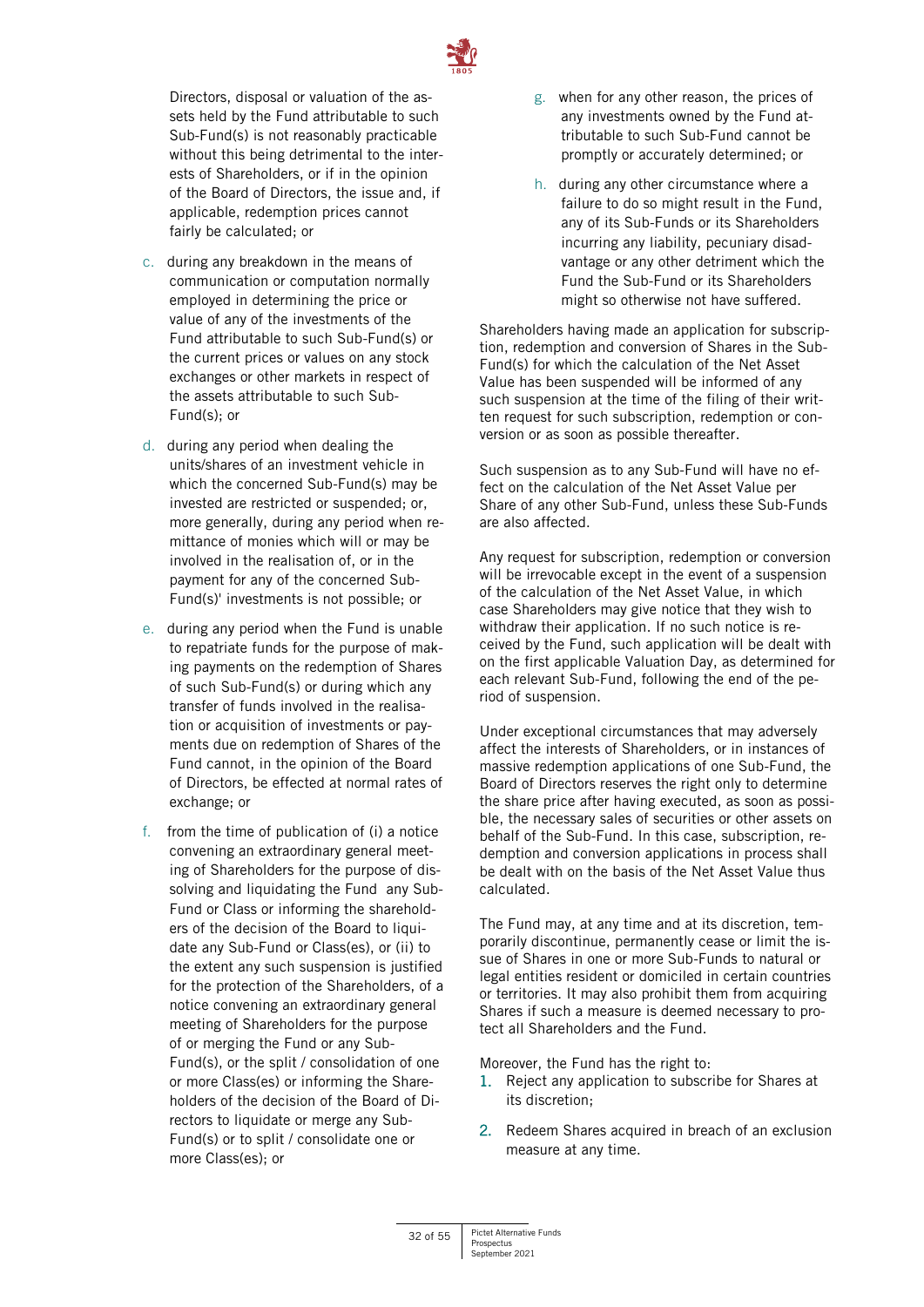

Directors, disposal or valuation of the assets held by the Fund attributable to such Sub-Fund(s) is not reasonably practicable without this being detrimental to the interests of Shareholders, or if in the opinion of the Board of Directors, the issue and, if applicable, redemption prices cannot fairly be calculated; or

- c. during any breakdown in the means of communication or computation normally employed in determining the price or value of any of the investments of the Fund attributable to such Sub-Fund(s) or the current prices or values on any stock exchanges or other markets in respect of the assets attributable to such Sub-Fund(s); or
- d. during any period when dealing the units/shares of an investment vehicle in which the concerned Sub-Fund(s) may be invested are restricted or suspended; or, more generally, during any period when remittance of monies which will or may be involved in the realisation of, or in the payment for any of the concerned Sub-Fund(s)' investments is not possible; or
- e. during any period when the Fund is unable to repatriate funds for the purpose of making payments on the redemption of Shares of such Sub-Fund(s) or during which any transfer of funds involved in the realisation or acquisition of investments or payments due on redemption of Shares of the Fund cannot, in the opinion of the Board of Directors, be effected at normal rates of exchange; or
- f. from the time of publication of (i) a notice convening an extraordinary general meeting of Shareholders for the purpose of dissolving and liquidating the Fund any Sub-Fund or Class or informing the shareholders of the decision of the Board to liquidate any Sub-Fund or Class(es), or (ii) to the extent any such suspension is justified for the protection of the Shareholders, of a notice convening an extraordinary general meeting of Shareholders for the purpose of or merging the Fund or any Sub-Fund(s), or the split / consolidation of one or more Class(es) or informing the Shareholders of the decision of the Board of Directors to liquidate or merge any Sub-Fund(s) or to split / consolidate one or more Class(es); or
- g. when for any other reason, the prices of any investments owned by the Fund attributable to such Sub-Fund cannot be promptly or accurately determined; or
- h. during any other circumstance where a failure to do so might result in the Fund, any of its Sub-Funds or its Shareholders incurring any liability, pecuniary disadvantage or any other detriment which the Fund the Sub-Fund or its Shareholders might so otherwise not have suffered.

Shareholders having made an application for subscription, redemption and conversion of Shares in the Sub-Fund(s) for which the calculation of the Net Asset Value has been suspended will be informed of any such suspension at the time of the filing of their written request for such subscription, redemption or conversion or as soon as possible thereafter.

Such suspension as to any Sub-Fund will have no effect on the calculation of the Net Asset Value per Share of any other Sub-Fund, unless these Sub-Funds are also affected.

Any request for subscription, redemption or conversion will be irrevocable except in the event of a suspension of the calculation of the Net Asset Value, in which case Shareholders may give notice that they wish to withdraw their application. If no such notice is received by the Fund, such application will be dealt with on the first applicable Valuation Day, as determined for each relevant Sub-Fund, following the end of the period of suspension.

Under exceptional circumstances that may adversely affect the interests of Shareholders, or in instances of massive redemption applications of one Sub-Fund, the Board of Directors reserves the right only to determine the share price after having executed, as soon as possible, the necessary sales of securities or other assets on behalf of the Sub-Fund. In this case, subscription, redemption and conversion applications in process shall be dealt with on the basis of the Net Asset Value thus calculated.

The Fund may, at any time and at its discretion, temporarily discontinue, permanently cease or limit the issue of Shares in one or more Sub-Funds to natural or legal entities resident or domiciled in certain countries or territories. It may also prohibit them from acquiring Shares if such a measure is deemed necessary to protect all Shareholders and the Fund.

Moreover, the Fund has the right to:

- 1. Reject any application to subscribe for Shares at its discretion;
- 2. Redeem Shares acquired in breach of an exclusion measure at any time.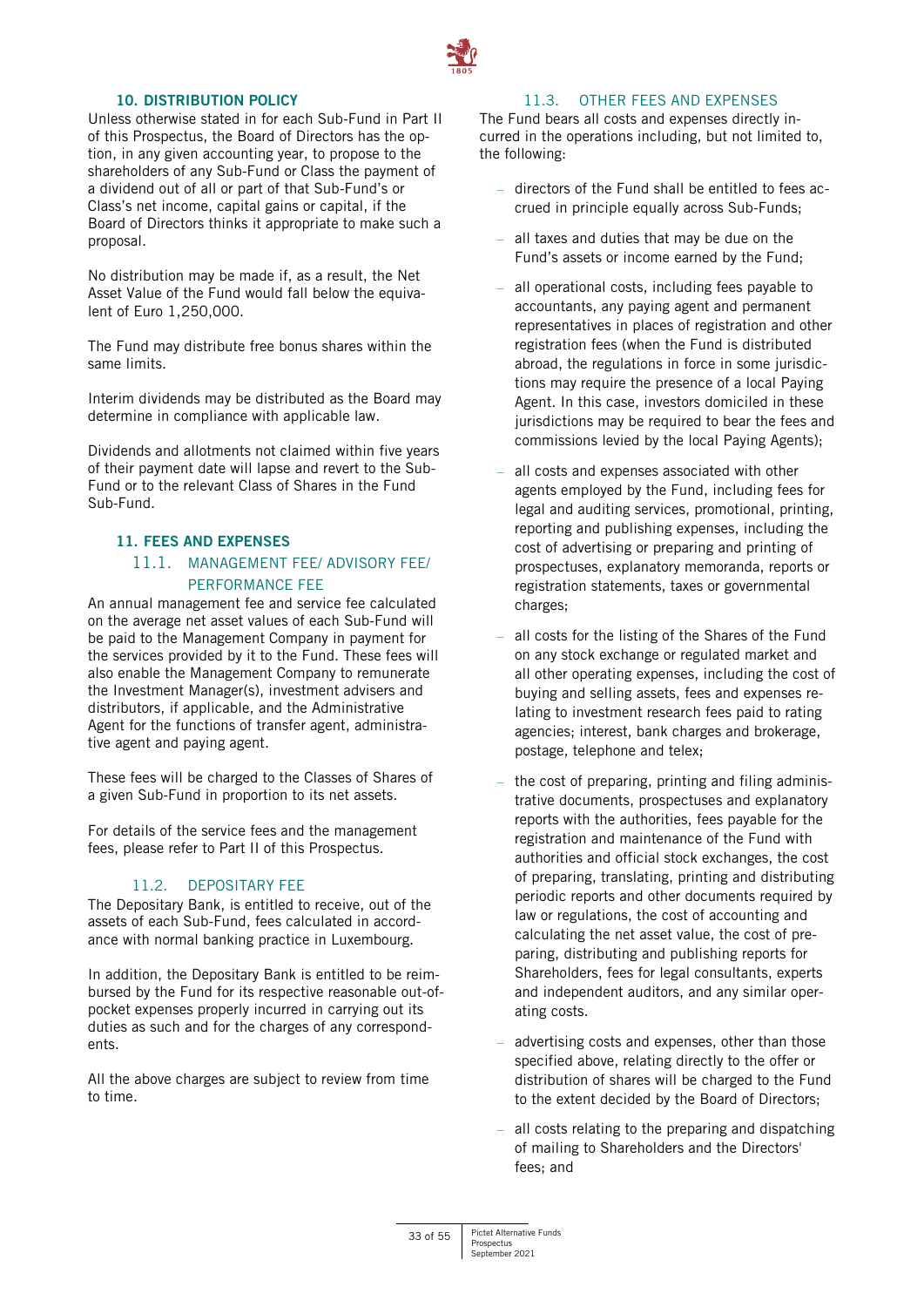

#### **10. DISTRIBUTION POLICY**

<span id="page-32-0"></span>Unless otherwise stated in for each Sub-Fund in Part II of this Prospectus, the Board of Directors has the option, in any given accounting year, to propose to the shareholders of any Sub-Fund or Class the payment of a dividend out of all or part of that Sub-Fund's or Class's net income, capital gains or capital, if the Board of Directors thinks it appropriate to make such a proposal.

No distribution may be made if, as a result, the Net Asset Value of the Fund would fall below the equivalent of Euro 1,250,000.

The Fund may distribute free bonus shares within the same limits.

Interim dividends may be distributed as the Board may determine in compliance with applicable law.

Dividends and allotments not claimed within five years of their payment date will lapse and revert to the Sub-Fund or to the relevant Class of Shares in the Fund Sub-Fund.

# <span id="page-32-1"></span>**11. FEES AND EXPENSES**

# 11.1. MANAGEMENT FEE/ ADVISORY FEE/ PERFORMANCE FEE

An annual management fee and service fee calculated on the average net asset values of each Sub-Fund will be paid to the Management Company in payment for the services provided by it to the Fund. These fees will also enable the Management Company to remunerate the Investment Manager(s), investment advisers and distributors, if applicable, and the Administrative Agent for the functions of transfer agent, administrative agent and paying agent.

These fees will be charged to the Classes of Shares of a given Sub-Fund in proportion to its net assets.

For details of the service fees and the management fees, please refer to Part II of this Prospectus.

# 11.2. DEPOSITARY FEE

The Depositary Bank, is entitled to receive, out of the assets of each Sub-Fund, fees calculated in accordance with normal banking practice in Luxembourg.

In addition, the Depositary Bank is entitled to be reimbursed by the Fund for its respective reasonable out-ofpocket expenses properly incurred in carrying out its duties as such and for the charges of any correspondents.

All the above charges are subject to review from time to time.

# 11.3. OTHER FEES AND EXPENSES

The Fund bears all costs and expenses directly incurred in the operations including, but not limited to, the following:

- directors of the Fund shall be entitled to fees accrued in principle equally across Sub-Funds;
- all taxes and duties that may be due on the Fund's assets or income earned by the Fund;
- all operational costs, including fees payable to accountants, any paying agent and permanent representatives in places of registration and other registration fees (when the Fund is distributed abroad, the regulations in force in some jurisdictions may require the presence of a local Paying Agent. In this case, investors domiciled in these jurisdictions may be required to bear the fees and commissions levied by the local Paying Agents);
- all costs and expenses associated with other agents employed by the Fund, including fees for legal and auditing services, promotional, printing, reporting and publishing expenses, including the cost of advertising or preparing and printing of prospectuses, explanatory memoranda, reports or registration statements, taxes or governmental charges;
- all costs for the listing of the Shares of the Fund on any stock exchange or regulated market and all other operating expenses, including the cost of buying and selling assets, fees and expenses relating to investment research fees paid to rating agencies; interest, bank charges and brokerage, postage, telephone and telex;
- the cost of preparing, printing and filing administrative documents, prospectuses and explanatory reports with the authorities, fees payable for the registration and maintenance of the Fund with authorities and official stock exchanges, the cost of preparing, translating, printing and distributing periodic reports and other documents required by law or regulations, the cost of accounting and calculating the net asset value, the cost of preparing, distributing and publishing reports for Shareholders, fees for legal consultants, experts and independent auditors, and any similar operating costs.
- advertising costs and expenses, other than those specified above, relating directly to the offer or distribution of shares will be charged to the Fund to the extent decided by the Board of Directors;
- all costs relating to the preparing and dispatching of mailing to Shareholders and the Directors' fees; and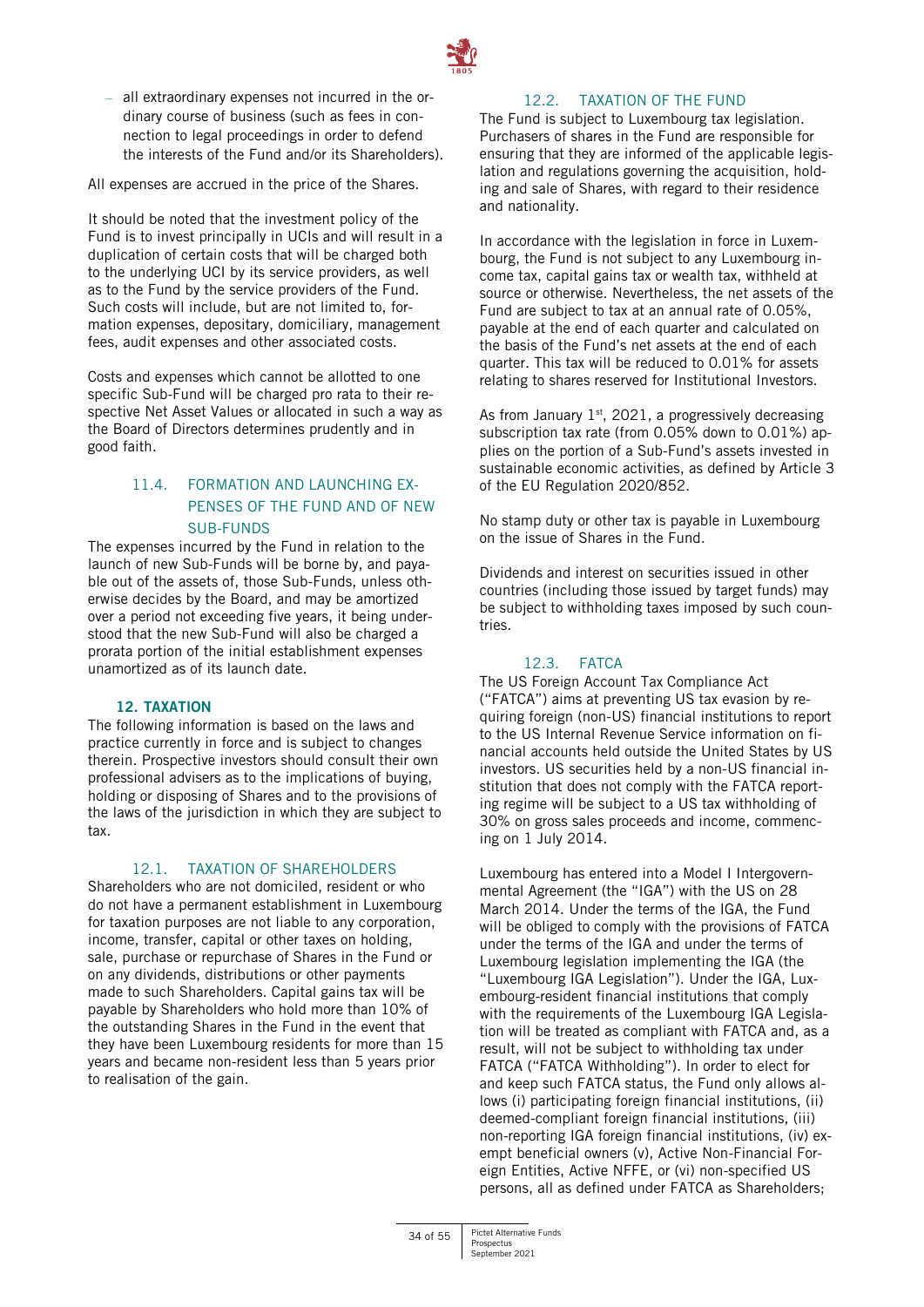

– all extraordinary expenses not incurred in the ordinary course of business (such as fees in connection to legal proceedings in order to defend the interests of the Fund and/or its Shareholders).

All expenses are accrued in the price of the Shares.

It should be noted that the investment policy of the Fund is to invest principally in UCIs and will result in a duplication of certain costs that will be charged both to the underlying UCI by its service providers, as well as to the Fund by the service providers of the Fund. Such costs will include, but are not limited to, formation expenses, depositary, domiciliary, management fees, audit expenses and other associated costs.

Costs and expenses which cannot be allotted to one specific Sub-Fund will be charged pro rata to their respective Net Asset Values or allocated in such a way as the Board of Directors determines prudently and in good faith.

# 11.4. FORMATION AND LAUNCHING EX-PENSES OF THE FUND AND OF NEW SUB-FUNDS

The expenses incurred by the Fund in relation to the launch of new Sub-Funds will be borne by, and payable out of the assets of, those Sub-Funds, unless otherwise decides by the Board, and may be amortized over a period not exceeding five years, it being understood that the new Sub-Fund will also be charged a prorata portion of the initial establishment expenses unamortized as of its launch date.

# **12. TAXATION**

<span id="page-33-0"></span>The following information is based on the laws and practice currently in force and is subject to changes therein. Prospective investors should consult their own professional advisers as to the implications of buying, holding or disposing of Shares and to the provisions of the laws of the jurisdiction in which they are subject to tax.

# 12.1. TAXATION OF SHAREHOLDERS

Shareholders who are not domiciled, resident or who do not have a permanent establishment in Luxembourg for taxation purposes are not liable to any corporation, income, transfer, capital or other taxes on holding, sale, purchase or repurchase of Shares in the Fund or on any dividends, distributions or other payments made to such Shareholders. Capital gains tax will be payable by Shareholders who hold more than 10% of the outstanding Shares in the Fund in the event that they have been Luxembourg residents for more than 15 years and became non-resident less than 5 years prior to realisation of the gain.

#### 12.2. TAXATION OF THE FUND

The Fund is subject to Luxembourg tax legislation. Purchasers of shares in the Fund are responsible for ensuring that they are informed of the applicable legislation and regulations governing the acquisition, holding and sale of Shares, with regard to their residence and nationality.

In accordance with the legislation in force in Luxembourg, the Fund is not subject to any Luxembourg income tax, capital gains tax or wealth tax, withheld at source or otherwise. Nevertheless, the net assets of the Fund are subject to tax at an annual rate of 0.05%, payable at the end of each quarter and calculated on the basis of the Fund's net assets at the end of each quarter. This tax will be reduced to 0.01% for assets relating to shares reserved for Institutional Investors.

As from January  $1<sup>st</sup>$ , 2021, a progressively decreasing subscription tax rate (from 0.05% down to 0.01%) applies on the portion of a Sub-Fund's assets invested in sustainable economic activities, as defined by Article 3 of the EU Regulation 2020/852.

No stamp duty or other tax is payable in Luxembourg on the issue of Shares in the Fund.

Dividends and interest on securities issued in other countries (including those issued by target funds) may be subject to withholding taxes imposed by such countries.

# 12.3. FATCA

The US Foreign Account Tax Compliance Act ("FATCA") aims at preventing US tax evasion by requiring foreign (non-US) financial institutions to report to the US Internal Revenue Service information on financial accounts held outside the United States by US investors. US securities held by a non-US financial institution that does not comply with the FATCA reporting regime will be subject to a US tax withholding of 30% on gross sales proceeds and income, commencing on 1 July 2014.

Luxembourg has entered into a Model I Intergovernmental Agreement (the "IGA") with the US on 28 March 2014. Under the terms of the IGA, the Fund will be obliged to comply with the provisions of FATCA under the terms of the IGA and under the terms of Luxembourg legislation implementing the IGA (the "Luxembourg IGA Legislation"). Under the IGA, Luxembourg-resident financial institutions that comply with the requirements of the Luxembourg IGA Legislation will be treated as compliant with FATCA and, as a result, will not be subject to withholding tax under FATCA ("FATCA Withholding"). In order to elect for and keep such FATCA status, the Fund only allows allows (i) participating foreign financial institutions, (ii) deemed-compliant foreign financial institutions, (iii) non-reporting IGA foreign financial institutions, (iv) exempt beneficial owners (v), Active Non-Financial Foreign Entities, Active NFFE, or (vi) non-specified US persons, all as defined under FATCA as Shareholders;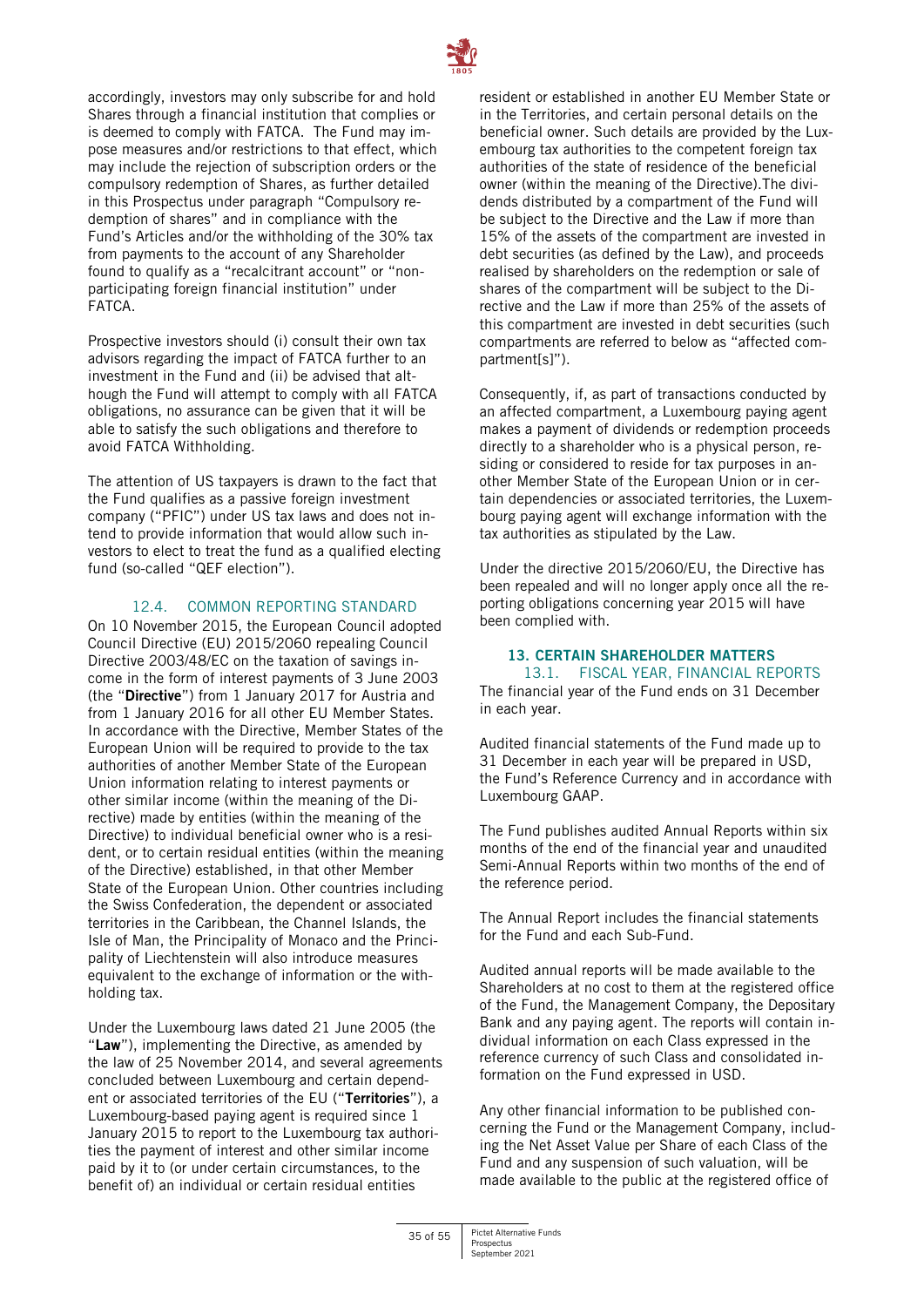

accordingly, investors may only subscribe for and hold Shares through a financial institution that complies or is deemed to comply with FATCA. The Fund may impose measures and/or restrictions to that effect, which may include the rejection of subscription orders or the compulsory redemption of Shares, as further detailed in this Prospectus under paragraph "Compulsory redemption of shares" and in compliance with the Fund's Articles and/or the withholding of the 30% tax from payments to the account of any Shareholder found to qualify as a "recalcitrant account" or "nonparticipating foreign financial institution" under FATCA.

Prospective investors should (i) consult their own tax advisors regarding the impact of FATCA further to an investment in the Fund and (ii) be advised that although the Fund will attempt to comply with all FATCA obligations, no assurance can be given that it will be able to satisfy the such obligations and therefore to avoid FATCA Withholding.

The attention of US taxpayers is drawn to the fact that the Fund qualifies as a passive foreign investment company ("PFIC") under US tax laws and does not intend to provide information that would allow such investors to elect to treat the fund as a qualified electing fund (so-called "QEF election").

#### 12.4. COMMON REPORTING STANDARD

On 10 November 2015, the European Council adopted Council Directive (EU) 2015/2060 repealing Council Directive 2003/48/EC on the taxation of savings income in the form of interest payments of 3 June 2003 (the "**Directive**") from 1 January 2017 for Austria and from 1 January 2016 for all other EU Member States. In accordance with the Directive, Member States of the European Union will be required to provide to the tax authorities of another Member State of the European Union information relating to interest payments or other similar income (within the meaning of the Directive) made by entities (within the meaning of the Directive) to individual beneficial owner who is a resident, or to certain residual entities (within the meaning of the Directive) established, in that other Member State of the European Union. Other countries including the Swiss Confederation, the dependent or associated territories in the Caribbean, the Channel Islands, the Isle of Man, the Principality of Monaco and the Principality of Liechtenstein will also introduce measures equivalent to the exchange of information or the withholding tax.

Under the Luxembourg laws dated 21 June 2005 (the "**Law**"), implementing the Directive, as amended by the law of 25 November 2014, and several agreements concluded between Luxembourg and certain dependent or associated territories of the EU ("**Territories**"), a Luxembourg-based paying agent is required since 1 January 2015 to report to the Luxembourg tax authorities the payment of interest and other similar income paid by it to (or under certain circumstances, to the benefit of) an individual or certain residual entities

resident or established in another EU Member State or in the Territories, and certain personal details on the beneficial owner. Such details are provided by the Luxembourg tax authorities to the competent foreign tax authorities of the state of residence of the beneficial owner (within the meaning of the Directive).The dividends distributed by a compartment of the Fund will be subject to the Directive and the Law if more than 15% of the assets of the compartment are invested in debt securities (as defined by the Law), and proceeds realised by shareholders on the redemption or sale of shares of the compartment will be subject to the Directive and the Law if more than 25% of the assets of this compartment are invested in debt securities (such compartments are referred to below as "affected compartment[s]").

Consequently, if, as part of transactions conducted by an affected compartment, a Luxembourg paying agent makes a payment of dividends or redemption proceeds directly to a shareholder who is a physical person, residing or considered to reside for tax purposes in another Member State of the European Union or in certain dependencies or associated territories, the Luxembourg paying agent will exchange information with the tax authorities as stipulated by the Law.

Under the directive 2015/2060/EU, the Directive has been repealed and will no longer apply once all the reporting obligations concerning year 2015 will have been complied with.

# **13. CERTAIN SHAREHOLDER MATTERS**

<span id="page-34-0"></span>13.1. FISCAL YEAR, FINANCIAL REPORTS The financial year of the Fund ends on 31 December in each year.

Audited financial statements of the Fund made up to 31 December in each year will be prepared in USD, the Fund's Reference Currency and in accordance with Luxembourg GAAP.

The Fund publishes audited Annual Reports within six months of the end of the financial year and unaudited Semi-Annual Reports within two months of the end of the reference period.

The Annual Report includes the financial statements for the Fund and each Sub-Fund.

Audited annual reports will be made available to the Shareholders at no cost to them at the registered office of the Fund, the Management Company, the Depositary Bank and any paying agent. The reports will contain individual information on each Class expressed in the reference currency of such Class and consolidated information on the Fund expressed in USD.

Any other financial information to be published concerning the Fund or the Management Company, including the Net Asset Value per Share of each Class of the Fund and any suspension of such valuation, will be made available to the public at the registered office of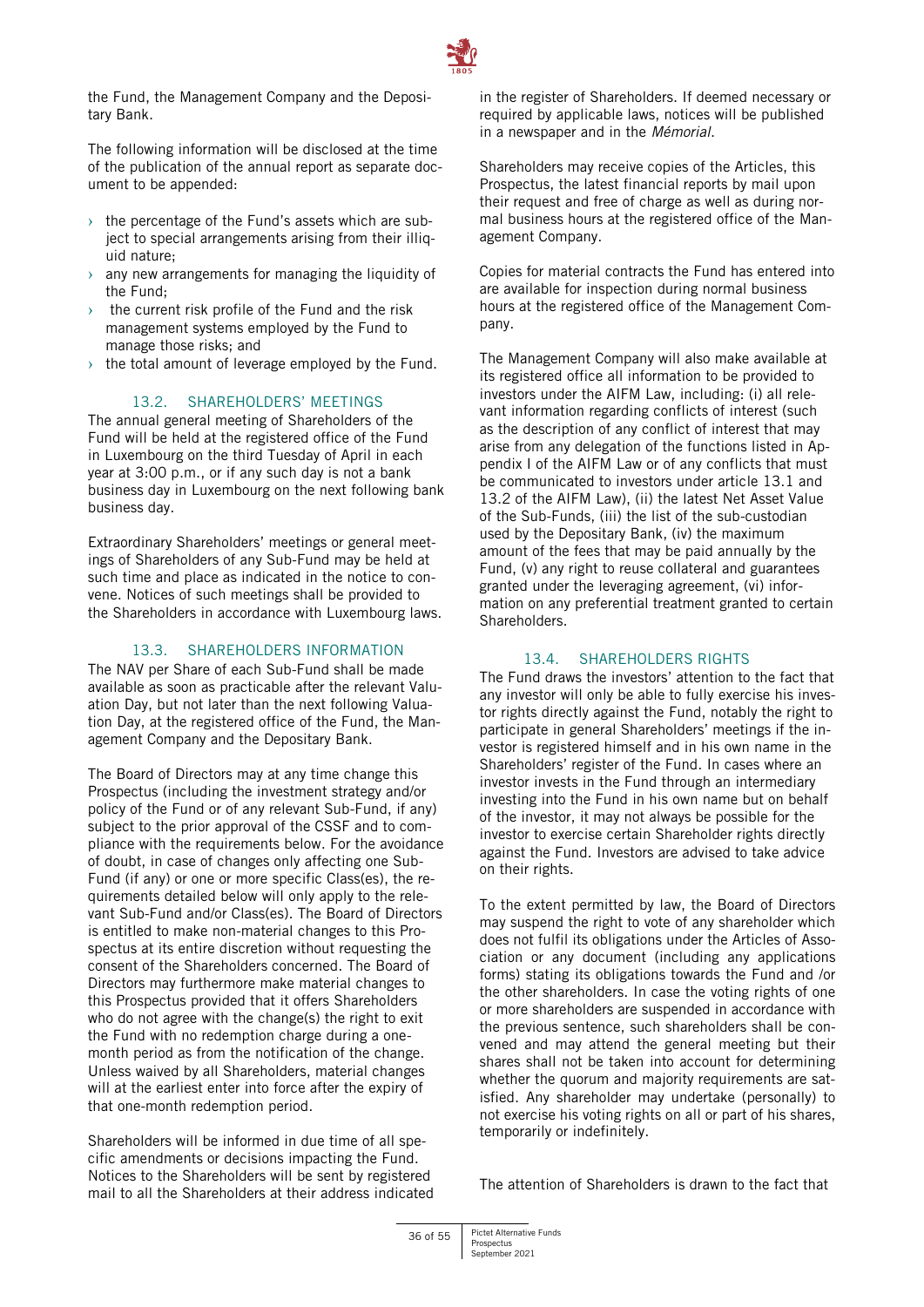

the Fund, the Management Company and the Depositary Bank.

The following information will be disclosed at the time of the publication of the annual report as separate document to be appended:

- $\rightarrow$  the percentage of the Fund's assets which are subject to special arrangements arising from their illiquid nature;
- $\rightarrow$  any new arrangements for managing the liquidity of the Fund;
- the current risk profile of the Fund and the risk management systems employed by the Fund to manage those risks; and
- $\rightarrow$  the total amount of leverage employed by the Fund.

# 13.2. SHAREHOLDERS' MEETINGS

The annual general meeting of Shareholders of the Fund will be held at the registered office of the Fund in Luxembourg on the third Tuesday of April in each year at 3:00 p.m., or if any such day is not a bank business day in Luxembourg on the next following bank business day.

Extraordinary Shareholders' meetings or general meetings of Shareholders of any Sub-Fund may be held at such time and place as indicated in the notice to convene. Notices of such meetings shall be provided to the Shareholders in accordance with Luxembourg laws.

# 13.3. SHAREHOLDERS INFORMATION

The NAV per Share of each Sub-Fund shall be made available as soon as practicable after the relevant Valuation Day, but not later than the next following Valuation Day, at the registered office of the Fund, the Management Company and the Depositary Bank.

The Board of Directors may at any time change this Prospectus (including the investment strategy and/or policy of the Fund or of any relevant Sub-Fund, if any) subject to the prior approval of the CSSF and to compliance with the requirements below. For the avoidance of doubt, in case of changes only affecting one Sub-Fund (if any) or one or more specific Class(es), the requirements detailed below will only apply to the relevant Sub-Fund and/or Class(es). The Board of Directors is entitled to make non-material changes to this Prospectus at its entire discretion without requesting the consent of the Shareholders concerned. The Board of Directors may furthermore make material changes to this Prospectus provided that it offers Shareholders who do not agree with the change(s) the right to exit the Fund with no redemption charge during a onemonth period as from the notification of the change. Unless waived by all Shareholders, material changes will at the earliest enter into force after the expiry of that one-month redemption period.

Shareholders will be informed in due time of all specific amendments or decisions impacting the Fund. Notices to the Shareholders will be sent by registered mail to all the Shareholders at their address indicated in the register of Shareholders. If deemed necessary or required by applicable laws, notices will be published in a newspaper and in the *Mémorial*.

Shareholders may receive copies of the Articles, this Prospectus, the latest financial reports by mail upon their request and free of charge as well as during normal business hours at the registered office of the Management Company.

Copies for material contracts the Fund has entered into are available for inspection during normal business hours at the registered office of the Management Company.

The Management Company will also make available at its registered office all information to be provided to investors under the AIFM Law, including: (i) all relevant information regarding conflicts of interest (such as the description of any conflict of interest that may arise from any delegation of the functions listed in Appendix I of the AIFM Law or of any conflicts that must be communicated to investors under article 13.1 and 13.2 of the AIFM Law), (ii) the latest Net Asset Value of the Sub-Funds, (iii) the list of the sub-custodian used by the Depositary Bank, (iv) the maximum amount of the fees that may be paid annually by the Fund, (v) any right to reuse collateral and guarantees granted under the leveraging agreement, (vi) information on any preferential treatment granted to certain Shareholders.

# 13.4. SHAREHOLDERS RIGHTS

The Fund draws the investors' attention to the fact that any investor will only be able to fully exercise his investor rights directly against the Fund, notably the right to participate in general Shareholders' meetings if the investor is registered himself and in his own name in the Shareholders' register of the Fund. In cases where an investor invests in the Fund through an intermediary investing into the Fund in his own name but on behalf of the investor, it may not always be possible for the investor to exercise certain Shareholder rights directly against the Fund. Investors are advised to take advice on their rights.

To the extent permitted by law, the Board of Directors may suspend the right to vote of any shareholder which does not fulfil its obligations under the Articles of Association or any document (including any applications forms) stating its obligations towards the Fund and /or the other shareholders. In case the voting rights of one or more shareholders are suspended in accordance with the previous sentence, such shareholders shall be convened and may attend the general meeting but their shares shall not be taken into account for determining whether the quorum and majority requirements are satisfied. Any shareholder may undertake (personally) to not exercise his voting rights on all or part of his shares, temporarily or indefinitely.

The attention of Shareholders is drawn to the fact that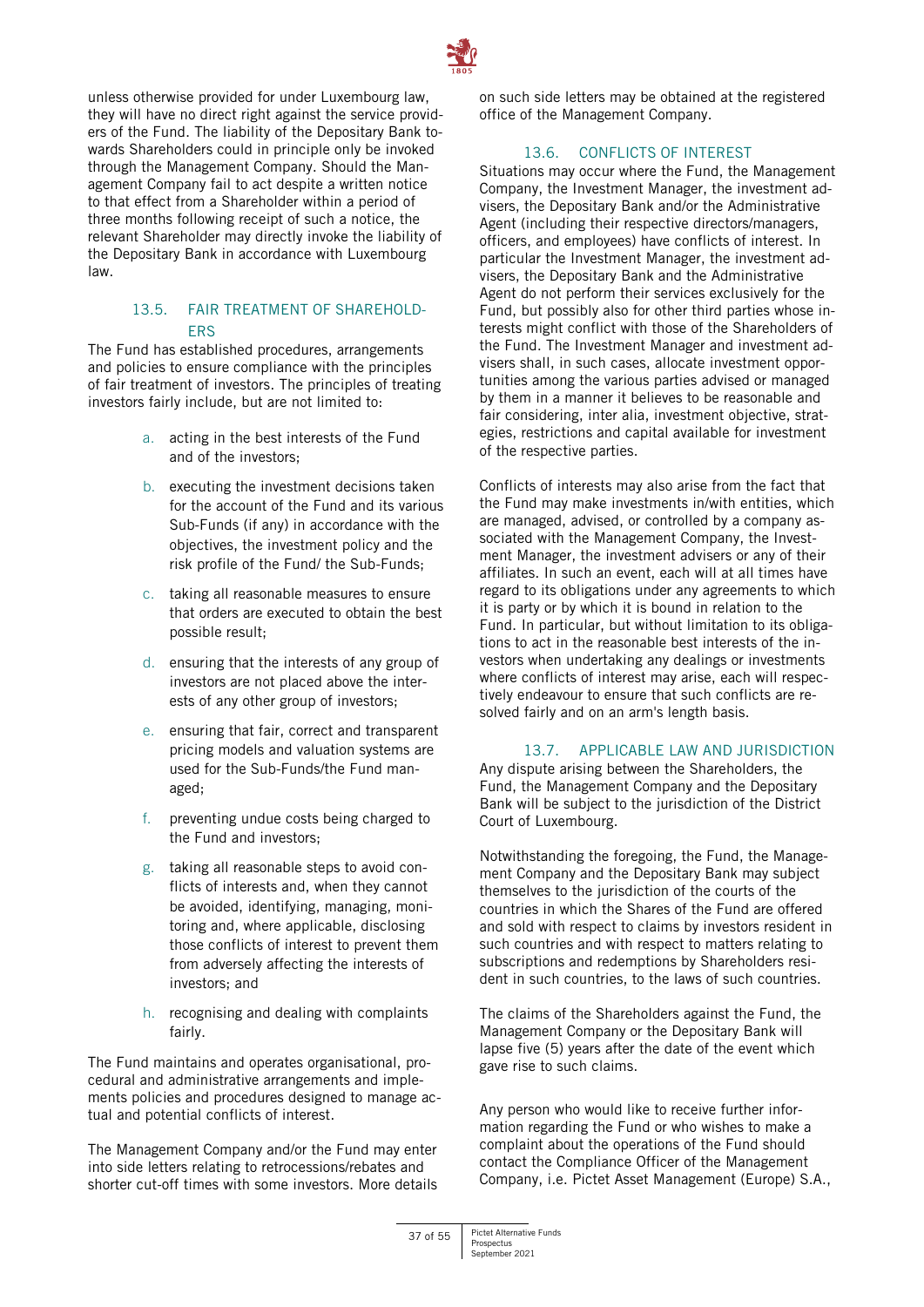

unless otherwise provided for under Luxembourg law, they will have no direct right against the service providers of the Fund. The liability of the Depositary Bank towards Shareholders could in principle only be invoked through the Management Company. Should the Management Company fail to act despite a written notice to that effect from a Shareholder within a period of three months following receipt of such a notice, the relevant Shareholder may directly invoke the liability of the Depositary Bank in accordance with Luxembourg law.

# 13.5. FAIR TREATMENT OF SHAREHOLD-ERS

The Fund has established procedures, arrangements and policies to ensure compliance with the principles of fair treatment of investors. The principles of treating investors fairly include, but are not limited to:

- a. acting in the best interests of the Fund and of the investors;
- b. executing the investment decisions taken for the account of the Fund and its various Sub-Funds (if any) in accordance with the objectives, the investment policy and the risk profile of the Fund/ the Sub-Funds;
- c. taking all reasonable measures to ensure that orders are executed to obtain the best possible result;
- d. ensuring that the interests of any group of investors are not placed above the interests of any other group of investors;
- e. ensuring that fair, correct and transparent pricing models and valuation systems are used for the Sub-Funds/the Fund managed;
- f. preventing undue costs being charged to the Fund and investors;
- g. taking all reasonable steps to avoid conflicts of interests and, when they cannot be avoided, identifying, managing, monitoring and, where applicable, disclosing those conflicts of interest to prevent them from adversely affecting the interests of investors; and
- h. recognising and dealing with complaints fairly.

The Fund maintains and operates organisational, procedural and administrative arrangements and implements policies and procedures designed to manage actual and potential conflicts of interest.

The Management Company and/or the Fund may enter into side letters relating to retrocessions/rebates and shorter cut-off times with some investors. More details on such side letters may be obtained at the registered office of the Management Company.

# 13.6. CONFLICTS OF INTEREST

Situations may occur where the Fund, the Management Company, the Investment Manager, the investment advisers, the Depositary Bank and/or the Administrative Agent (including their respective directors/managers, officers, and employees) have conflicts of interest. In particular the Investment Manager, the investment advisers, the Depositary Bank and the Administrative Agent do not perform their services exclusively for the Fund, but possibly also for other third parties whose interests might conflict with those of the Shareholders of the Fund. The Investment Manager and investment advisers shall, in such cases, allocate investment opportunities among the various parties advised or managed by them in a manner it believes to be reasonable and fair considering, inter alia, investment objective, strategies, restrictions and capital available for investment of the respective parties.

Conflicts of interests may also arise from the fact that the Fund may make investments in/with entities, which are managed, advised, or controlled by a company associated with the Management Company, the Investment Manager, the investment advisers or any of their affiliates. In such an event, each will at all times have regard to its obligations under any agreements to which it is party or by which it is bound in relation to the Fund. In particular, but without limitation to its obligations to act in the reasonable best interests of the investors when undertaking any dealings or investments where conflicts of interest may arise, each will respectively endeavour to ensure that such conflicts are resolved fairly and on an arm's length basis.

# 13.7. APPLICABLE LAW AND JURISDICTION

Any dispute arising between the Shareholders, the Fund, the Management Company and the Depositary Bank will be subject to the jurisdiction of the District Court of Luxembourg.

Notwithstanding the foregoing, the Fund, the Management Company and the Depositary Bank may subject themselves to the jurisdiction of the courts of the countries in which the Shares of the Fund are offered and sold with respect to claims by investors resident in such countries and with respect to matters relating to subscriptions and redemptions by Shareholders resident in such countries, to the laws of such countries.

The claims of the Shareholders against the Fund, the Management Company or the Depositary Bank will lapse five (5) years after the date of the event which gave rise to such claims.

Any person who would like to receive further information regarding the Fund or who wishes to make a complaint about the operations of the Fund should contact the Compliance Officer of the Management Company, i.e. Pictet Asset Management (Europe) S.A.,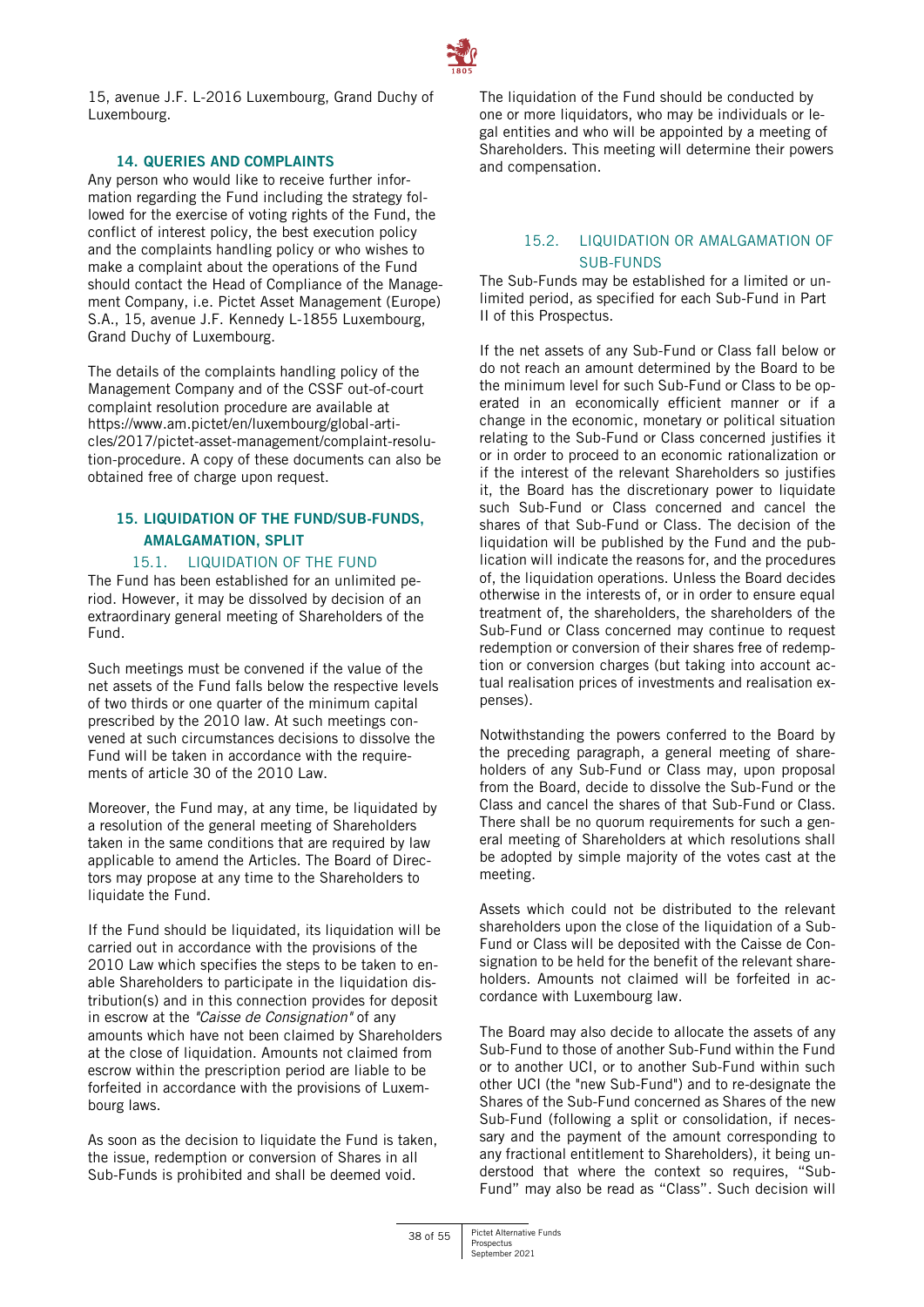

15, avenue J.F. L-2016 Luxembourg, Grand Duchy of Luxembourg.

# **14. QUERIES AND COMPLAINTS**

<span id="page-37-0"></span>Any person who would like to receive further information regarding the Fund including the strategy followed for the exercise of voting rights of the Fund, the conflict of interest policy, the best execution policy and the complaints handling policy or who wishes to make a complaint about the operations of the Fund should contact the Head of Compliance of the Management Company, i.e. Pictet Asset Management (Europe) S.A., 15, avenue J.F. Kennedy L-1855 Luxembourg, Grand Duchy of Luxembourg.

The details of the complaints handling policy of the Management Company and of the CSSF out-of-court complaint resolution procedure are available at [https://www.am.pictet/en/luxembourg/global-arti](https://www.am.pictet/en/luxembourg/global-articles/2017/pictet-asset-management/complaint-resolution-procedure)[cles/2017/pictet-asset-management/complaint-resolu](https://www.am.pictet/en/luxembourg/global-articles/2017/pictet-asset-management/complaint-resolution-procedure)[tion-procedure.](https://www.am.pictet/en/luxembourg/global-articles/2017/pictet-asset-management/complaint-resolution-procedure) A copy of these documents can also be obtained free of charge upon request.

# <span id="page-37-1"></span>**15. LIQUIDATION OF THE FUND/SUB-FUNDS, AMALGAMATION, SPLIT**

# 15.1. LIQUIDATION OF THE FUND

The Fund has been established for an unlimited period. However, it may be dissolved by decision of an extraordinary general meeting of Shareholders of the Fund.

Such meetings must be convened if the value of the net assets of the Fund falls below the respective levels of two thirds or one quarter of the minimum capital prescribed by the 2010 law. At such meetings convened at such circumstances decisions to dissolve the Fund will be taken in accordance with the requirements of article 30 of the 2010 Law.

Moreover, the Fund may, at any time, be liquidated by a resolution of the general meeting of Shareholders taken in the same conditions that are required by law applicable to amend the Articles. The Board of Directors may propose at any time to the Shareholders to liquidate the Fund.

If the Fund should be liquidated, its liquidation will be carried out in accordance with the provisions of the 2010 Law which specifies the steps to be taken to enable Shareholders to participate in the liquidation distribution(s) and in this connection provides for deposit in escrow at the *"Caisse de Consignation"* of any amounts which have not been claimed by Shareholders at the close of liquidation. Amounts not claimed from escrow within the prescription period are liable to be forfeited in accordance with the provisions of Luxembourg laws.

As soon as the decision to liquidate the Fund is taken, the issue, redemption or conversion of Shares in all Sub-Funds is prohibited and shall be deemed void.

The liquidation of the Fund should be conducted by one or more liquidators, who may be individuals or legal entities and who will be appointed by a meeting of Shareholders. This meeting will determine their powers and compensation.

# 15.2. LIQUIDATION OR AMALGAMATION OF SUB-FUNDS

The Sub-Funds may be established for a limited or unlimited period, as specified for each Sub-Fund in Part II of this Prospectus.

If the net assets of any Sub-Fund or Class fall below or do not reach an amount determined by the Board to be the minimum level for such Sub-Fund or Class to be operated in an economically efficient manner or if a change in the economic, monetary or political situation relating to the Sub-Fund or Class concerned justifies it or in order to proceed to an economic rationalization or if the interest of the relevant Shareholders so justifies it, the Board has the discretionary power to liquidate such Sub-Fund or Class concerned and cancel the shares of that Sub-Fund or Class. The decision of the liquidation will be published by the Fund and the publication will indicate the reasons for, and the procedures of, the liquidation operations. Unless the Board decides otherwise in the interests of, or in order to ensure equal treatment of, the shareholders, the shareholders of the Sub-Fund or Class concerned may continue to request redemption or conversion of their shares free of redemption or conversion charges (but taking into account actual realisation prices of investments and realisation expenses).

Notwithstanding the powers conferred to the Board by the preceding paragraph, a general meeting of shareholders of any Sub-Fund or Class may, upon proposal from the Board, decide to dissolve the Sub-Fund or the Class and cancel the shares of that Sub-Fund or Class. There shall be no quorum requirements for such a general meeting of Shareholders at which resolutions shall be adopted by simple majority of the votes cast at the meeting.

Assets which could not be distributed to the relevant shareholders upon the close of the liquidation of a Sub-Fund or Class will be deposited with the Caisse de Consignation to be held for the benefit of the relevant shareholders. Amounts not claimed will be forfeited in accordance with Luxembourg law.

The Board may also decide to allocate the assets of any Sub-Fund to those of another Sub-Fund within the Fund or to another UCI, or to another Sub-Fund within such other UCI (the "new Sub-Fund") and to re-designate the Shares of the Sub-Fund concerned as Shares of the new Sub-Fund (following a split or consolidation, if necessary and the payment of the amount corresponding to any fractional entitlement to Shareholders), it being understood that where the context so requires, "Sub-Fund" may also be read as "Class". Such decision will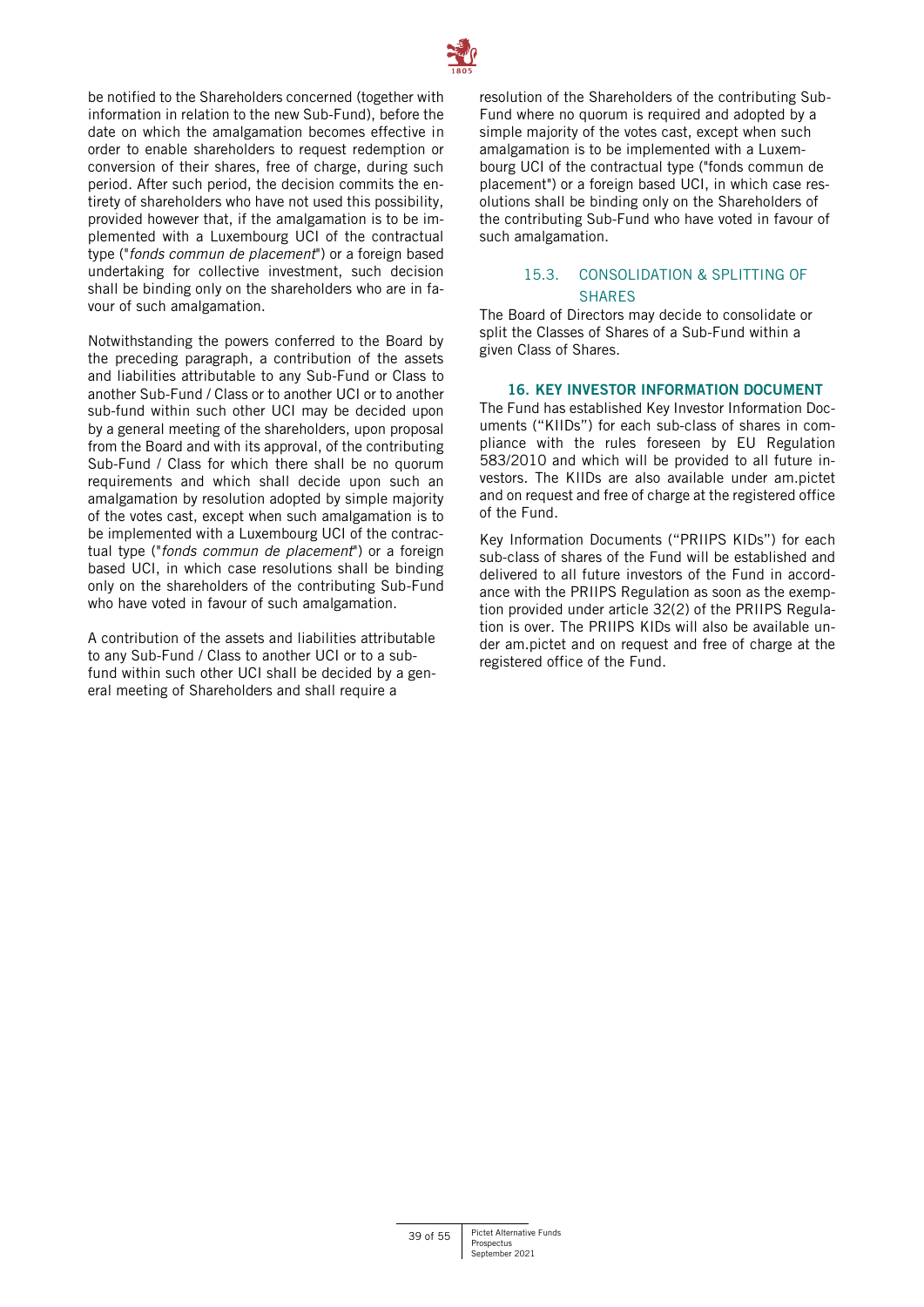

be notified to the Shareholders concerned (together with information in relation to the new Sub-Fund), before the date on which the amalgamation becomes effective in order to enable shareholders to request redemption or conversion of their shares, free of charge, during such period. After such period, the decision commits the entirety of shareholders who have not used this possibility, provided however that, if the amalgamation is to be implemented with a Luxembourg UCI of the contractual type ("*fonds commun de placement*") or a foreign based undertaking for collective investment, such decision shall be binding only on the shareholders who are in favour of such amalgamation.

Notwithstanding the powers conferred to the Board by the preceding paragraph, a contribution of the assets and liabilities attributable to any Sub-Fund or Class to another Sub-Fund / Class or to another UCI or to another sub-fund within such other UCI may be decided upon by a general meeting of the shareholders, upon proposal from the Board and with its approval, of the contributing Sub-Fund / Class for which there shall be no quorum requirements and which shall decide upon such an amalgamation by resolution adopted by simple majority of the votes cast, except when such amalgamation is to be implemented with a Luxembourg UCI of the contractual type ("*fonds commun de placement*") or a foreign based UCI, in which case resolutions shall be binding only on the shareholders of the contributing Sub-Fund who have voted in favour of such amalgamation.

A contribution of the assets and liabilities attributable to any Sub-Fund / Class to another UCI or to a subfund within such other UCI shall be decided by a general meeting of Shareholders and shall require a

resolution of the Shareholders of the contributing Sub-Fund where no quorum is required and adopted by a simple majority of the votes cast, except when such amalgamation is to be implemented with a Luxembourg UCI of the contractual type ("fonds commun de placement") or a foreign based UCI, in which case resolutions shall be binding only on the Shareholders of the contributing Sub-Fund who have voted in favour of such amalgamation.

# 15.3. CONSOLIDATION & SPLITTING OF SHARES

The Board of Directors may decide to consolidate or split the Classes of Shares of a Sub-Fund within a given Class of Shares.

# **16. KEY INVESTOR INFORMATION DOCUMENT**

<span id="page-38-0"></span>The Fund has established Key Investor Information Documents ("KIIDs") for each sub-class of shares in compliance with the rules foreseen by EU Regulation 583/2010 and which will be provided to all future investors. The KIIDs are also available under am.pictet and on request and free of charge at the registered office of the Fund.

Key Information Documents ("PRIIPS KIDs") for each sub-class of shares of the Fund will be established and delivered to all future investors of the Fund in accordance with the PRIIPS Regulation as soon as the exemption provided under article 32(2) of the PRIIPS Regulation is over. The PRIIPS KIDs will also be available under am.pictet and on request and free of charge at the registered office of the Fund.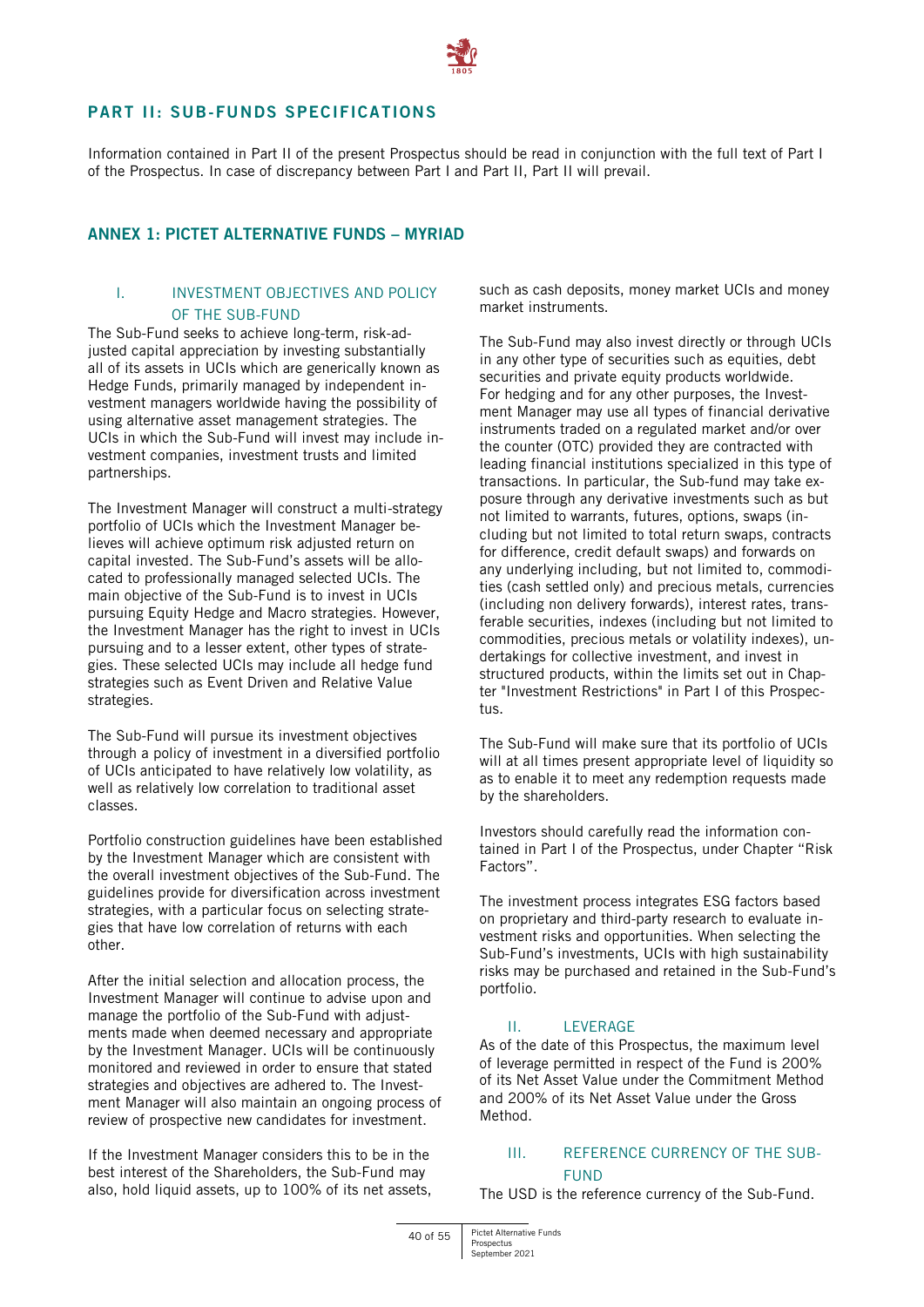

# <span id="page-39-0"></span>**PART II: SUB-FUNDS SPECIFICATIONS**

Information contained in Part II of the present Prospectus should be read in conjunction with the full text of Part I of the Prospectus. In case of discrepancy between Part I and Part II, Part II will prevail.

# <span id="page-39-1"></span>**ANNEX 1: PICTET ALTERNATIVE FUNDS – MYRIAD**

# I. INVESTMENT OBJECTIVES AND POLICY OF THE SUB-FUND

The Sub-Fund seeks to achieve long-term, risk-adjusted capital appreciation by investing substantially all of its assets in UCIs which are generically known as Hedge Funds, primarily managed by independent investment managers worldwide having the possibility of using alternative asset management strategies. The UCIs in which the Sub-Fund will invest may include investment companies, investment trusts and limited partnerships.

The Investment Manager will construct a multi-strategy portfolio of UCIs which the Investment Manager believes will achieve optimum risk adjusted return on capital invested. The Sub-Fund's assets will be allocated to professionally managed selected UCIs. The main objective of the Sub-Fund is to invest in UCIs pursuing Equity Hedge and Macro strategies. However, the Investment Manager has the right to invest in UCIs pursuing and to a lesser extent, other types of strategies. These selected UCIs may include all hedge fund strategies such as Event Driven and Relative Value strategies.

The Sub-Fund will pursue its investment objectives through a policy of investment in a diversified portfolio of UCIs anticipated to have relatively low volatility, as well as relatively low correlation to traditional asset classes.

Portfolio construction guidelines have been established by the Investment Manager which are consistent with the overall investment objectives of the Sub-Fund. The guidelines provide for diversification across investment strategies, with a particular focus on selecting strategies that have low correlation of returns with each other.

After the initial selection and allocation process, the Investment Manager will continue to advise upon and manage the portfolio of the Sub-Fund with adjustments made when deemed necessary and appropriate by the Investment Manager. UCIs will be continuously monitored and reviewed in order to ensure that stated strategies and objectives are adhered to. The Investment Manager will also maintain an ongoing process of review of prospective new candidates for investment.

If the Investment Manager considers this to be in the best interest of the Shareholders, the Sub-Fund may also, hold liquid assets, up to 100% of its net assets, such as cash deposits, money market UCIs and money market instruments.

The Sub-Fund may also invest directly or through UCIs in any other type of securities such as equities, debt securities and private equity products worldwide. For hedging and for any other purposes, the Investment Manager may use all types of financial derivative instruments traded on a regulated market and/or over the counter (OTC) provided they are contracted with leading financial institutions specialized in this type of transactions. In particular, the Sub-fund may take exposure through any derivative investments such as but not limited to warrants, futures, options, swaps (including but not limited to total return swaps, contracts for difference, credit default swaps) and forwards on any underlying including, but not limited to, commodities (cash settled only) and precious metals, currencies (including non delivery forwards), interest rates, transferable securities, indexes (including but not limited to commodities, precious metals or volatility indexes), undertakings for collective investment, and invest in structured products, within the limits set out in Chapter "Investment Restrictions" in Part I of this Prospectus.

The Sub-Fund will make sure that its portfolio of UCIs will at all times present appropriate level of liquidity so as to enable it to meet any redemption requests made by the shareholders.

Investors should carefully read the information contained in Part I of the Prospectus, under Chapter "Risk Factors".

The investment process integrates ESG factors based on proprietary and third-party research to evaluate investment risks and opportunities. When selecting the Sub-Fund's investments, UCIs with high sustainability risks may be purchased and retained in the Sub-Fund's portfolio.

# II. LEVERAGE

As of the date of this Prospectus, the maximum level of leverage permitted in respect of the Fund is 200% of its Net Asset Value under the Commitment Method and 200% of its Net Asset Value under the Gross Method.

# III. REFERENCE CURRENCY OF THE SUB-**FUND**

The USD is the reference currency of the Sub-Fund.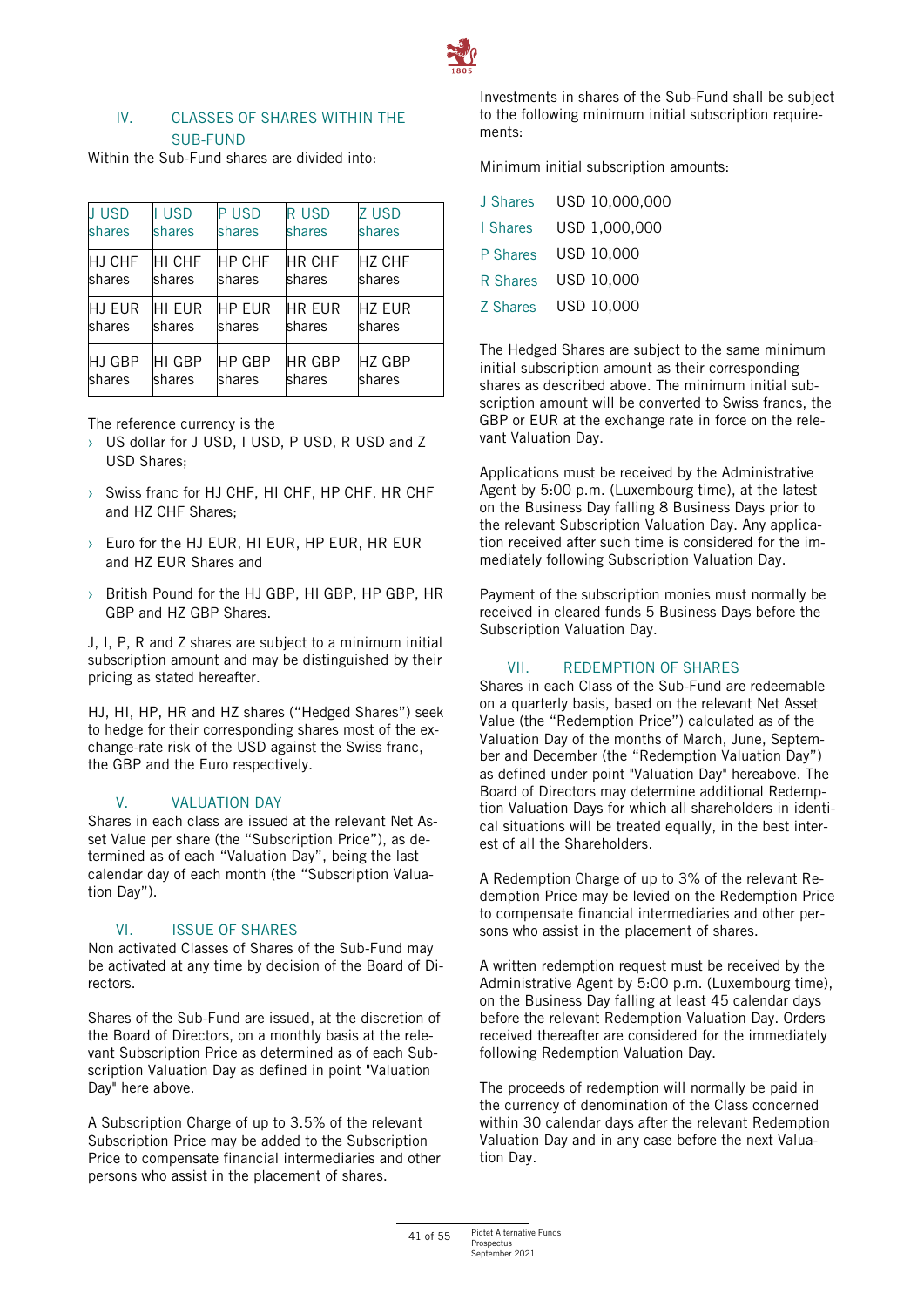

# IV. CLASSES OF SHARES WITHIN THE SUB-FUND

Within the Sub-Fund shares are divided into:

| <b>JUSD</b> | <b>USD</b>    | <b>PUSD</b>   | <b>RUSD</b>   | <b>Z USD</b>  |
|-------------|---------------|---------------|---------------|---------------|
| shares      | shares        | shares        | shares        | shares        |
| HJ CHF      | <b>HI CHF</b> | <b>HP CHF</b> | <b>HR CHF</b> | <b>HZ CHF</b> |
| shares      | shares        | shares        | shares        | shares        |
| HJ EUR      | <b>HIFUR</b>  | <b>HP EUR</b> | <b>HR EUR</b> | <b>HZ EUR</b> |
| shares      | shares        | shares        | shares        | shares        |
| HJ GBP      | HI GBP        | <b>HP GBP</b> | <b>HR GBP</b> | <b>HZ GBP</b> |
| shares      | shares        | shares        | shares        | shares        |

The reference currency is the

- › US dollar for J USD, I USD, P USD, R USD and Z USD Shares;
- › Swiss franc for HJ CHF, HI CHF, HP CHF, HR CHF and HZ CHF Shares;
- › Euro for the HJ EUR, HI EUR, HP EUR, HR EUR and HZ EUR Shares and
- › British Pound for the HJ GBP, HI GBP, HP GBP, HR GBP and HZ GBP Shares.

J, I, P, R and Z shares are subject to a minimum initial subscription amount and may be distinguished by their pricing as stated hereafter.

HJ, HI, HP, HR and HZ shares ("Hedged Shares") seek to hedge for their corresponding shares most of the exchange-rate risk of the USD against the Swiss franc, the GBP and the Euro respectively.

# V. VALUATION DAY

Shares in each class are issued at the relevant Net Asset Value per share (the "Subscription Price"), as determined as of each "Valuation Day", being the last calendar day of each month (the "Subscription Valuation Day").

# VI. ISSUE OF SHARES

Non activated Classes of Shares of the Sub-Fund may be activated at any time by decision of the Board of Directors.

Shares of the Sub-Fund are issued, at the discretion of the Board of Directors, on a monthly basis at the relevant Subscription Price as determined as of each Subscription Valuation Day as defined in point "Valuation Day" here above.

A Subscription Charge of up to 3.5% of the relevant Subscription Price may be added to the Subscription Price to compensate financial intermediaries and other persons who assist in the placement of shares.

Investments in shares of the Sub-Fund shall be subject to the following minimum initial subscription requirements:

Minimum initial subscription amounts:

| J Shares | USD 10,000,000 |
|----------|----------------|
| I Shares | USD 1,000,000  |
| P Shares | USD 10,000     |
| R Shares | USD 10,000     |
| Z Shares | USD 10,000     |

The Hedged Shares are subject to the same minimum initial subscription amount as their corresponding shares as described above. The minimum initial subscription amount will be converted to Swiss francs, the GBP or EUR at the exchange rate in force on the relevant Valuation Day.

Applications must be received by the Administrative Agent by 5:00 p.m. (Luxembourg time), at the latest on the Business Day falling 8 Business Days prior to the relevant Subscription Valuation Day. Any application received after such time is considered for the immediately following Subscription Valuation Day.

Payment of the subscription monies must normally be received in cleared funds 5 Business Days before the Subscription Valuation Day.

# VII. REDEMPTION OF SHARES

Shares in each Class of the Sub-Fund are redeemable on a quarterly basis, based on the relevant Net Asset Value (the "Redemption Price") calculated as of the Valuation Day of the months of March, June, September and December (the "Redemption Valuation Day") as defined under point "Valuation Day" hereabove. The Board of Directors may determine additional Redemption Valuation Days for which all shareholders in identical situations will be treated equally, in the best interest of all the Shareholders.

A Redemption Charge of up to 3% of the relevant Redemption Price may be levied on the Redemption Price to compensate financial intermediaries and other persons who assist in the placement of shares.

A written redemption request must be received by the Administrative Agent by 5:00 p.m. (Luxembourg time), on the Business Day falling at least 45 calendar days before the relevant Redemption Valuation Day. Orders received thereafter are considered for the immediately following Redemption Valuation Day.

The proceeds of redemption will normally be paid in the currency of denomination of the Class concerned within 30 calendar days after the relevant Redemption Valuation Day and in any case before the next Valuation Day.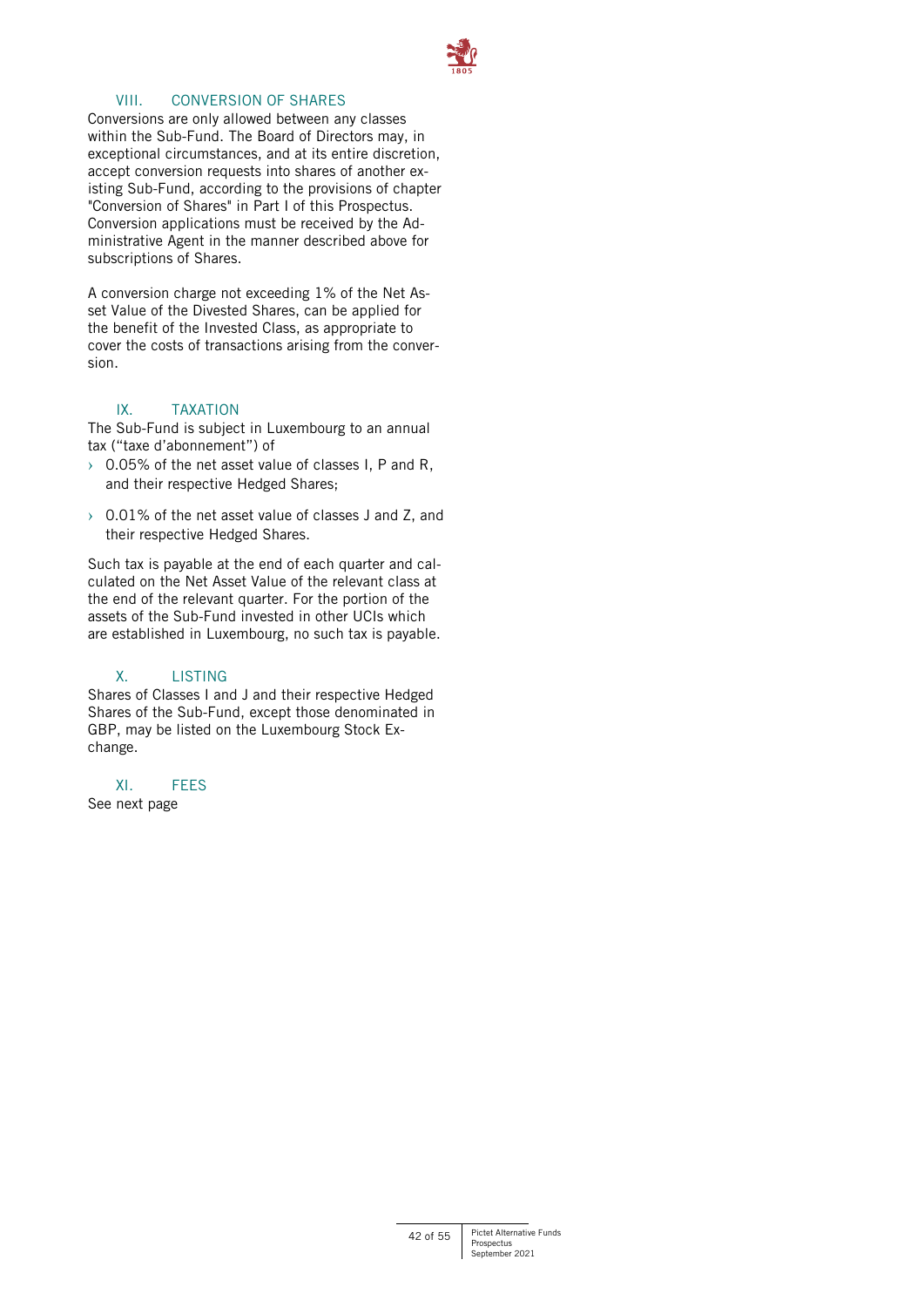

# VIII. CONVERSION OF SHARES

Conversions are only allowed between any classes within the Sub-Fund. The Board of Directors may, in exceptional circumstances, and at its entire discretion, accept conversion requests into shares of another existing Sub-Fund, according to the provisions of chapter "Conversion of Shares" in Part I of this Prospectus. Conversion applications must be received by the Administrative Agent in the manner described above for subscriptions of Shares.

A conversion charge not exceeding 1% of the Net Asset Value of the Divested Shares, can be applied for the benefit of the Invested Class, as appropriate to cover the costs of transactions arising from the conversion.

# IX. TAXATION

The Sub-Fund is subject in Luxembourg to an annual tax ("taxe d'abonnement") of

- $\rightarrow$  0.05% of the net asset value of classes I, P and R, and their respective Hedged Shares;
- $\rightarrow$  0.01% of the net asset value of classes J and Z, and their respective Hedged Shares.

Such tax is payable at the end of each quarter and calculated on the Net Asset Value of the relevant class at the end of the relevant quarter. For the portion of the assets of the Sub-Fund invested in other UCIs which are established in Luxembourg, no such tax is payable.

# X. LISTING

Shares of Classes I and J and their respective Hedged Shares of the Sub-Fund, except those denominated in GBP, may be listed on the Luxembourg Stock Exchange.

# XI. FEES

See next page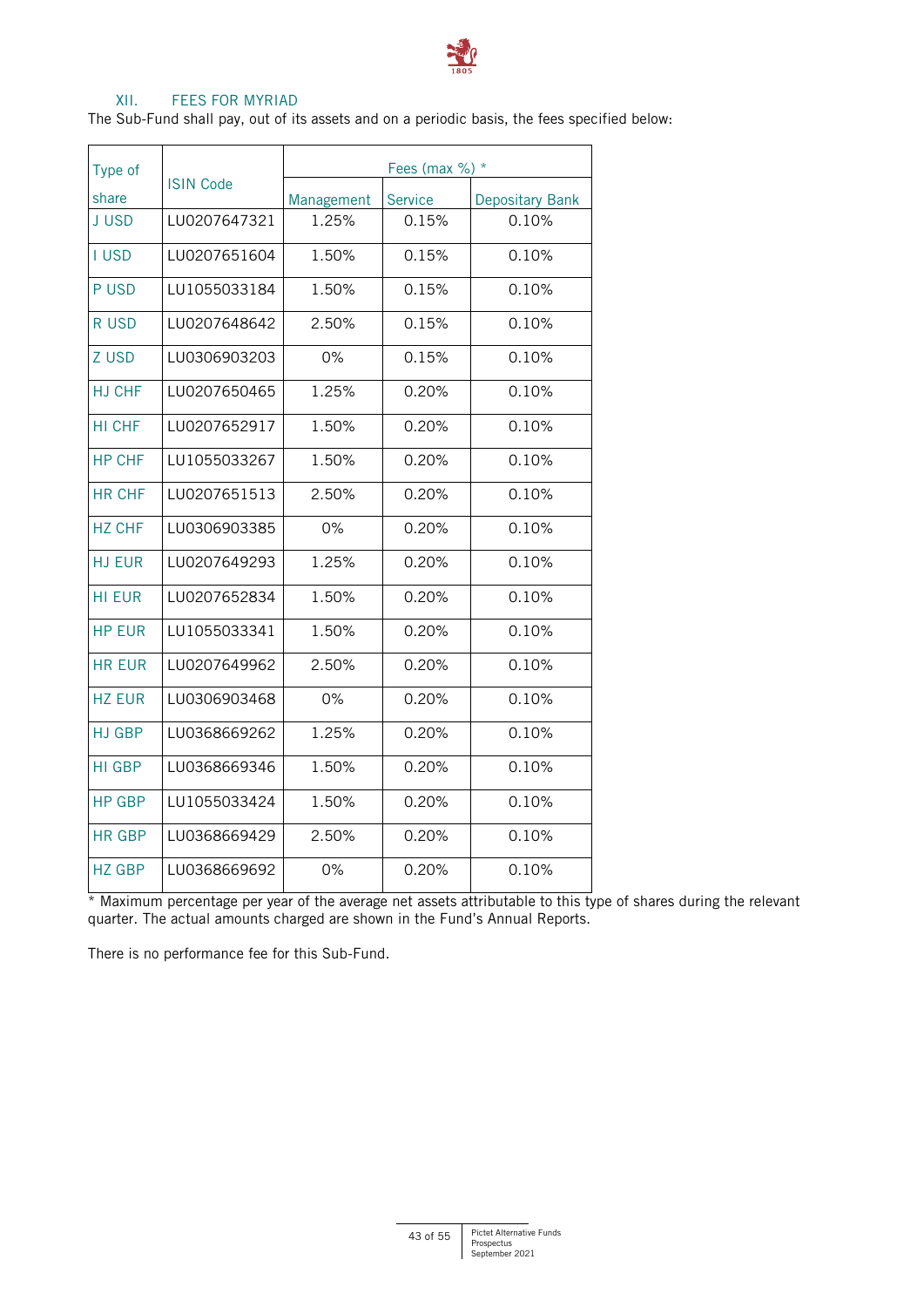

# XII. FEES FOR MYRIAD

The Sub-Fund shall pay, out of its assets and on a periodic basis, the fees specified below:

| Type of       | <b>ISIN Code</b> | Fees (max $\%$ ) $*$ |                |                        |  |
|---------------|------------------|----------------------|----------------|------------------------|--|
| share         |                  | Management           | <b>Service</b> | <b>Depositary Bank</b> |  |
| <b>JUSD</b>   | LU0207647321     | 1.25%                | 0.15%          | 0.10%                  |  |
| <b>I USD</b>  | LU0207651604     | 1.50%                | 0.15%          | 0.10%                  |  |
| P USD         | LU1055033184     | 1.50%                | 0.15%          | 0.10%                  |  |
| R USD         | LU0207648642     | 2.50%                | 0.15%          | 0.10%                  |  |
| Z USD         | LU0306903203     | 0%                   | 0.15%          | 0.10%                  |  |
| <b>HJ CHF</b> | LU0207650465     | 1.25%                | 0.20%          | 0.10%                  |  |
| HI CHF        | LU0207652917     | 1.50%                | 0.20%          | 0.10%                  |  |
| <b>HP CHF</b> | LU1055033267     | 1.50%                | 0.20%          | 0.10%                  |  |
| <b>HR CHF</b> | LU0207651513     | 2.50%                | 0.20%          | 0.10%                  |  |
| <b>HZ CHF</b> | LU0306903385     | 0%                   | 0.20%          | 0.10%                  |  |
| <b>HJ EUR</b> | LU0207649293     | 1.25%                | 0.20%          | 0.10%                  |  |
| <b>HI EUR</b> | LU0207652834     | 1.50%                | 0.20%          | 0.10%                  |  |
| <b>HP EUR</b> | LU1055033341     | 1.50%                | 0.20%          | 0.10%                  |  |
| <b>HR FUR</b> | LU0207649962     | 2.50%                | 0.20%          | 0.10%                  |  |
| <b>HZ EUR</b> | LU0306903468     | $0\%$                | 0.20%          | 0.10%                  |  |
| <b>HJ GBP</b> | LU0368669262     | 1.25%                | 0.20%          | 0.10%                  |  |
| <b>HI GBP</b> | LU0368669346     | 1.50%                | 0.20%          | 0.10%                  |  |
| <b>HP GBP</b> | LU1055033424     | 1.50%                | 0.20%          | 0.10%                  |  |
| <b>HR GBP</b> | LU0368669429     | 2.50%                | 0.20%          | 0.10%                  |  |
| <b>HZ GBP</b> | LU0368669692     | 0%                   | 0.20%          | 0.10%                  |  |

\* Maximum percentage per year of the average net assets attributable to this type of shares during the relevant quarter. The actual amounts charged are shown in the Fund's Annual Reports.

There is no performance fee for this Sub-Fund.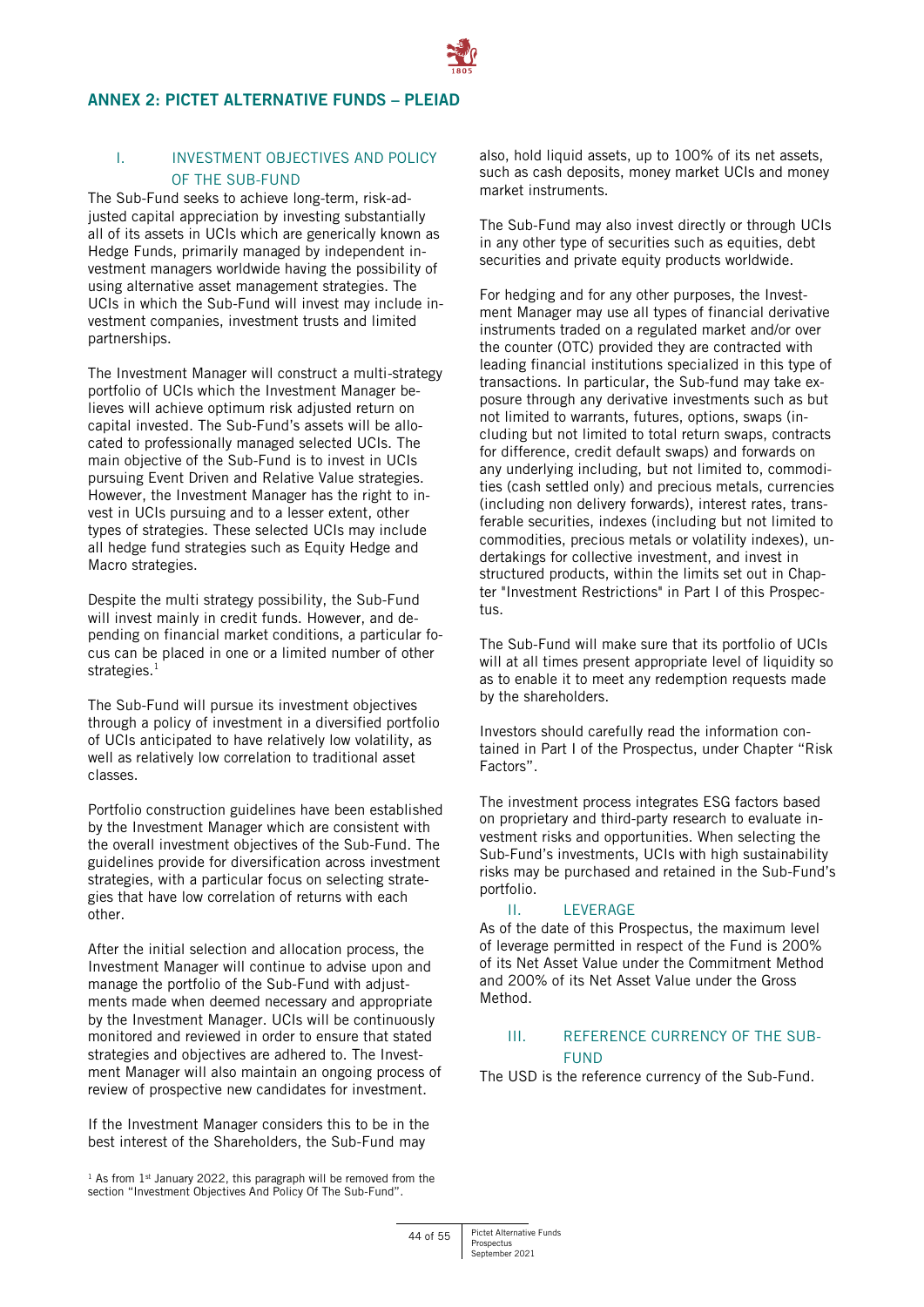# <span id="page-43-0"></span>**ANNEX 2: PICTET ALTERNATIVE FUNDS – PLEIAD**

# I. INVESTMENT OBJECTIVES AND POLICY OF THE SUB-FUND

The Sub-Fund seeks to achieve long-term, risk-adjusted capital appreciation by investing substantially all of its assets in UCIs which are generically known as Hedge Funds, primarily managed by independent investment managers worldwide having the possibility of using alternative asset management strategies. The UCIs in which the Sub-Fund will invest may include investment companies, investment trusts and limited partnerships.

The Investment Manager will construct a multi-strategy portfolio of UCIs which the Investment Manager believes will achieve optimum risk adjusted return on capital invested. The Sub-Fund's assets will be allocated to professionally managed selected UCIs. The main objective of the Sub-Fund is to invest in UCIs pursuing Event Driven and Relative Value strategies. However, the Investment Manager has the right to invest in UCIs pursuing and to a lesser extent, other types of strategies. These selected UCIs may include all hedge fund strategies such as Equity Hedge and Macro strategies.

Despite the multi strategy possibility, the Sub-Fund will invest mainly in credit funds. However, and depending on financial market conditions, a particular focus can be placed in one or a limited number of other strategies. $1$ 

The Sub-Fund will pursue its investment objectives through a policy of investment in a diversified portfolio of UCIs anticipated to have relatively low volatility, as well as relatively low correlation to traditional asset classes.

Portfolio construction guidelines have been established by the Investment Manager which are consistent with the overall investment objectives of the Sub-Fund. The guidelines provide for diversification across investment strategies, with a particular focus on selecting strategies that have low correlation of returns with each other.

After the initial selection and allocation process, the Investment Manager will continue to advise upon and manage the portfolio of the Sub-Fund with adjustments made when deemed necessary and appropriate by the Investment Manager. UCIs will be continuously monitored and reviewed in order to ensure that stated strategies and objectives are adhered to. The Investment Manager will also maintain an ongoing process of review of prospective new candidates for investment.

If the Investment Manager considers this to be in the best interest of the Shareholders, the Sub-Fund may

 $1$  As from  $1$ <sup>st</sup> January 2022, this paragraph will be removed from the section "Investment Objectives And Policy Of The Sub-Fund".

also, hold liquid assets, up to 100% of its net assets, such as cash deposits, money market UCIs and money market instruments.

The Sub-Fund may also invest directly or through UCIs in any other type of securities such as equities, debt securities and private equity products worldwide.

For hedging and for any other purposes, the Investment Manager may use all types of financial derivative instruments traded on a regulated market and/or over the counter (OTC) provided they are contracted with leading financial institutions specialized in this type of transactions. In particular, the Sub-fund may take exposure through any derivative investments such as but not limited to warrants, futures, options, swaps (including but not limited to total return swaps, contracts for difference, credit default swaps) and forwards on any underlying including, but not limited to, commodities (cash settled only) and precious metals, currencies (including non delivery forwards), interest rates, transferable securities, indexes (including but not limited to commodities, precious metals or volatility indexes), undertakings for collective investment, and invest in structured products, within the limits set out in Chapter "Investment Restrictions" in Part I of this Prospectus.

The Sub-Fund will make sure that its portfolio of UCIs will at all times present appropriate level of liquidity so as to enable it to meet any redemption requests made by the shareholders.

Investors should carefully read the information contained in Part I of the Prospectus, under Chapter "Risk Factors".

The investment process integrates ESG factors based on proprietary and third-party research to evaluate investment risks and opportunities. When selecting the Sub-Fund's investments, UCIs with high sustainability risks may be purchased and retained in the Sub-Fund's portfolio.

#### II. LEVERAGE

As of the date of this Prospectus, the maximum level of leverage permitted in respect of the Fund is 200% of its Net Asset Value under the Commitment Method and 200% of its Net Asset Value under the Gross Method.

# III. REFERENCE CURRENCY OF THE SUB-FUND

The USD is the reference currency of the Sub-Fund.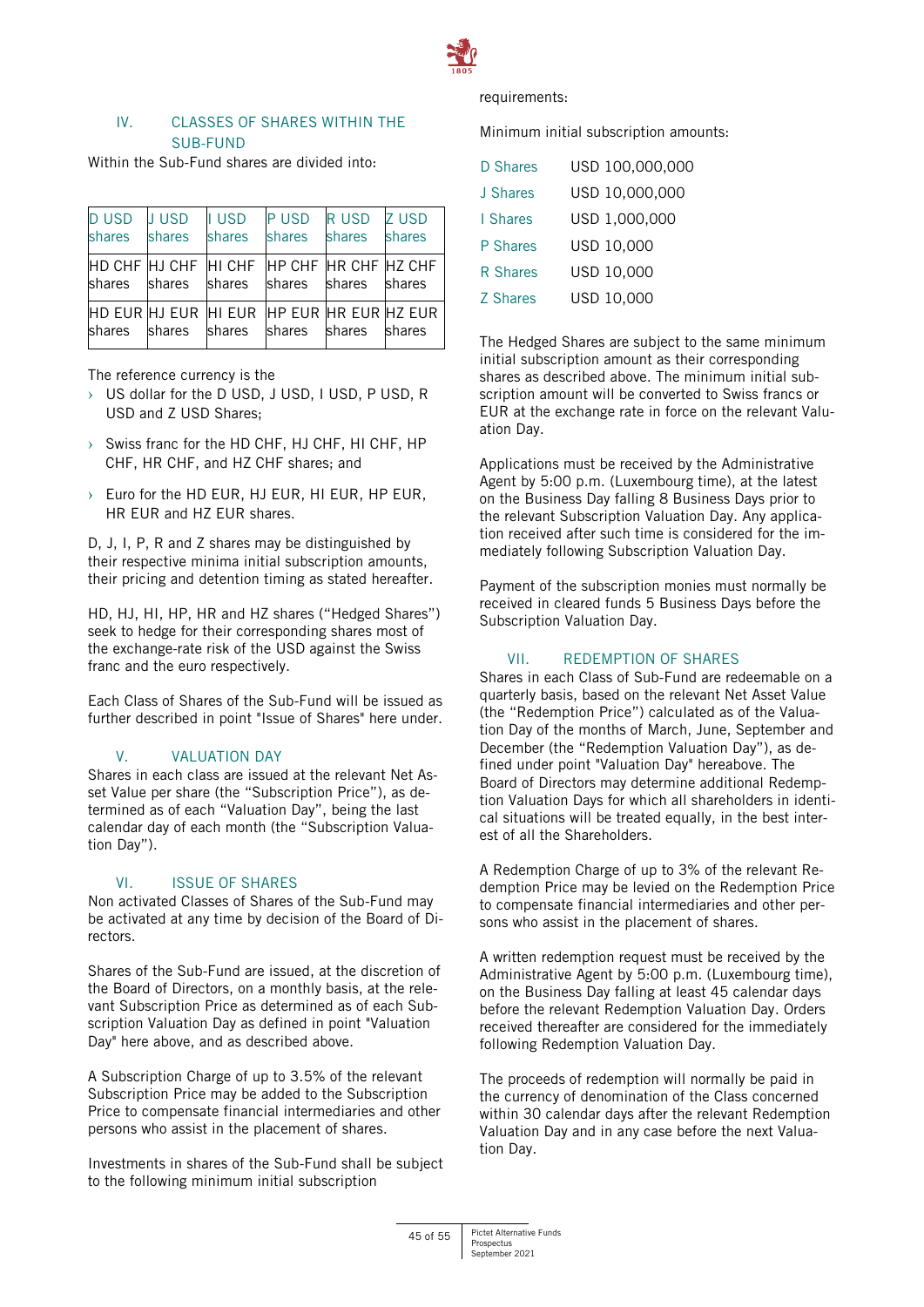

# IV. CLASSES OF SHARES WITHIN THE SUB-FUND

Within the Sub-Fund shares are divided into:

| <b>DUSD</b><br>shares                               | <b>JUSD</b><br>shares | <b>I</b> USD<br>shares | <b>PUSD</b><br>shares | R USD<br>shares | <b>Z USD</b><br>shares |
|-----------------------------------------------------|-----------------------|------------------------|-----------------------|-----------------|------------------------|
| HD CHF HJ CHF HI CHF HP CHF HR CHF HZ CHF<br>shares | shares                | shares                 | shares shares         |                 | shares                 |
| HD EUR HJ EUR HI EUR HP EUR HR EUR HZ EUR<br>shares | shares                | shares                 | shares shares         |                 | shares                 |

The reference currency is the

- › US dollar for the D USD, J USD, I USD, P USD, R USD and Z USD Shares;
- › Swiss franc for the HD CHF, HJ CHF, HI CHF, HP CHF, HR CHF, and HZ CHF shares; and
- › Euro for the HD EUR, HJ EUR, HI EUR, HP EUR, HR EUR and HZ EUR shares.

D, J, I, P, R and Z shares may be distinguished by their respective minima initial subscription amounts, their pricing and detention timing as stated hereafter.

HD, HJ, HI, HP, HR and HZ shares ("Hedged Shares") seek to hedge for their corresponding shares most of the exchange-rate risk of the USD against the Swiss franc and the euro respectively.

Each Class of Shares of the Sub-Fund will be issued as further described in point "Issue of Shares" here under.

#### V. VALUATION DAY

Shares in each class are issued at the relevant Net Asset Value per share (the "Subscription Price"), as determined as of each "Valuation Day", being the last calendar day of each month (the "Subscription Valuation Day").

# VI. ISSUE OF SHARES

Non activated Classes of Shares of the Sub-Fund may be activated at any time by decision of the Board of Directors.

Shares of the Sub-Fund are issued, at the discretion of the Board of Directors, on a monthly basis, at the relevant Subscription Price as determined as of each Subscription Valuation Day as defined in point "Valuation Day" here above, and as described above.

A Subscription Charge of up to 3.5% of the relevant Subscription Price may be added to the Subscription Price to compensate financial intermediaries and other persons who assist in the placement of shares.

Investments in shares of the Sub-Fund shall be subject to the following minimum initial subscription

requirements:

Minimum initial subscription amounts:

| D Shares        | USD 100,000,000 |
|-----------------|-----------------|
| J Shares        | USD 10,000,000  |
| I Shares        | USD 1,000,000   |
| P Shares        | USD 10,000      |
| R Shares        | USD 10,000      |
| <b>Z</b> Shares | USD 10,000      |
|                 |                 |

The Hedged Shares are subject to the same minimum initial subscription amount as their corresponding shares as described above. The minimum initial subscription amount will be converted to Swiss francs or EUR at the exchange rate in force on the relevant Valuation Day.

Applications must be received by the Administrative Agent by 5:00 p.m. (Luxembourg time), at the latest on the Business Day falling 8 Business Days prior to the relevant Subscription Valuation Day. Any application received after such time is considered for the immediately following Subscription Valuation Day.

Payment of the subscription monies must normally be received in cleared funds 5 Business Days before the Subscription Valuation Day.

# VII. REDEMPTION OF SHARES

Shares in each Class of Sub-Fund are redeemable on a quarterly basis, based on the relevant Net Asset Value (the "Redemption Price") calculated as of the Valuation Day of the months of March, June, September and December (the "Redemption Valuation Day"), as defined under point "Valuation Day" hereabove. The Board of Directors may determine additional Redemption Valuation Days for which all shareholders in identical situations will be treated equally, in the best interest of all the Shareholders.

A Redemption Charge of up to 3% of the relevant Redemption Price may be levied on the Redemption Price to compensate financial intermediaries and other persons who assist in the placement of shares.

A written redemption request must be received by the Administrative Agent by 5:00 p.m. (Luxembourg time), on the Business Day falling at least 45 calendar days before the relevant Redemption Valuation Day. Orders received thereafter are considered for the immediately following Redemption Valuation Day.

The proceeds of redemption will normally be paid in the currency of denomination of the Class concerned within 30 calendar days after the relevant Redemption Valuation Day and in any case before the next Valuation Day.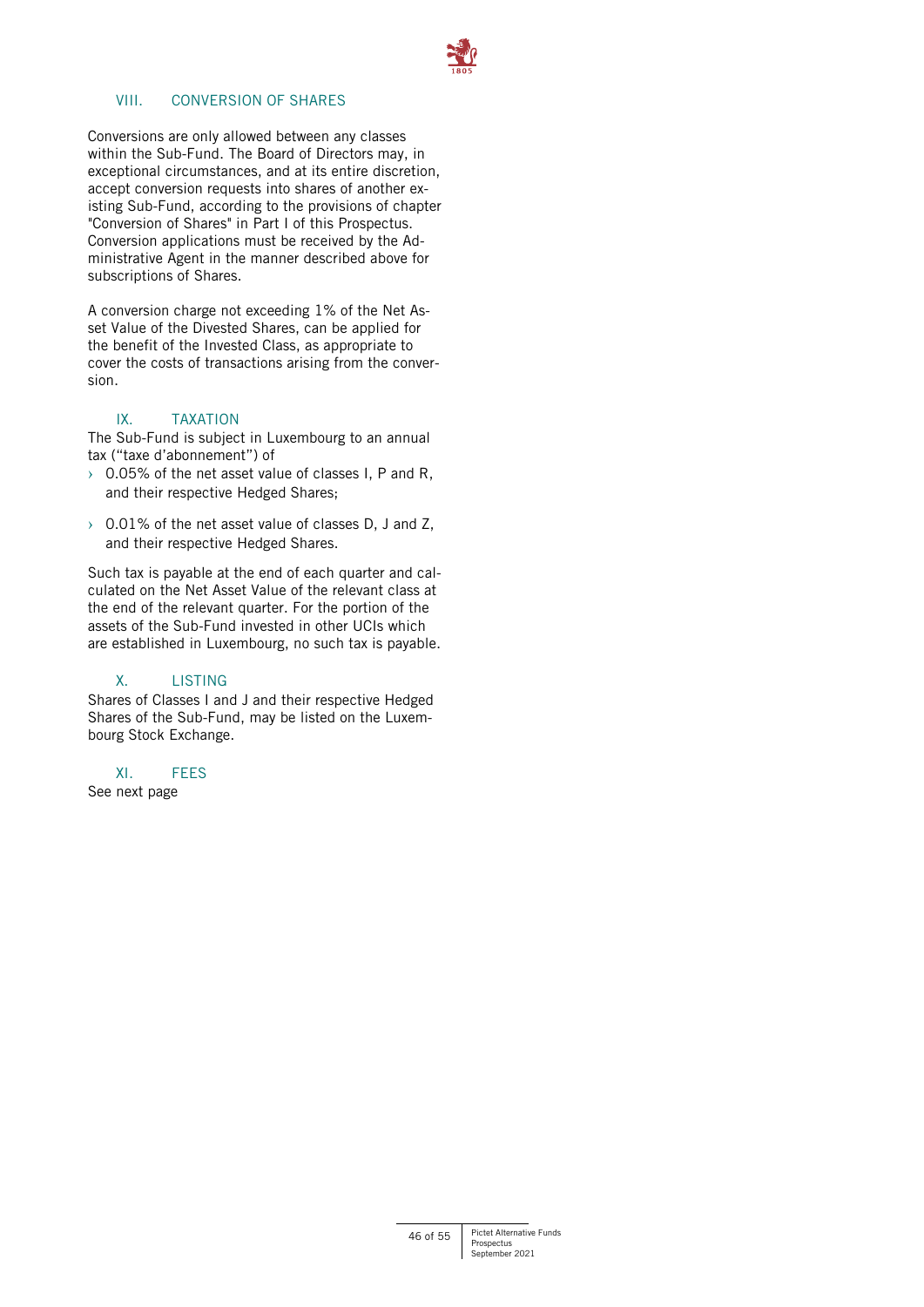

# VIII. CONVERSION OF SHARES

Conversions are only allowed between any classes within the Sub-Fund. The Board of Directors may, in exceptional circumstances, and at its entire discretion, accept conversion requests into shares of another existing Sub-Fund, according to the provisions of chapter "Conversion of Shares" in Part I of this Prospectus. Conversion applications must be received by the Administrative Agent in the manner described above for subscriptions of Shares.

A conversion charge not exceeding 1% of the Net Asset Value of the Divested Shares, can be applied for the benefit of the Invested Class, as appropriate to cover the costs of transactions arising from the conversion.

# IX. TAXATION

The Sub-Fund is subject in Luxembourg to an annual tax ("taxe d'abonnement") of

- $\rightarrow$  0.05% of the net asset value of classes I, P and R, and their respective Hedged Shares;
- $\rightarrow$  0.01% of the net asset value of classes D, J and Z, and their respective Hedged Shares.

Such tax is payable at the end of each quarter and calculated on the Net Asset Value of the relevant class at the end of the relevant quarter. For the portion of the assets of the Sub-Fund invested in other UCIs which are established in Luxembourg, no such tax is payable.

# X. LISTING

Shares of Classes I and J and their respective Hedged Shares of the Sub-Fund, may be listed on the Luxembourg Stock Exchange.

# XI. FEES

See next page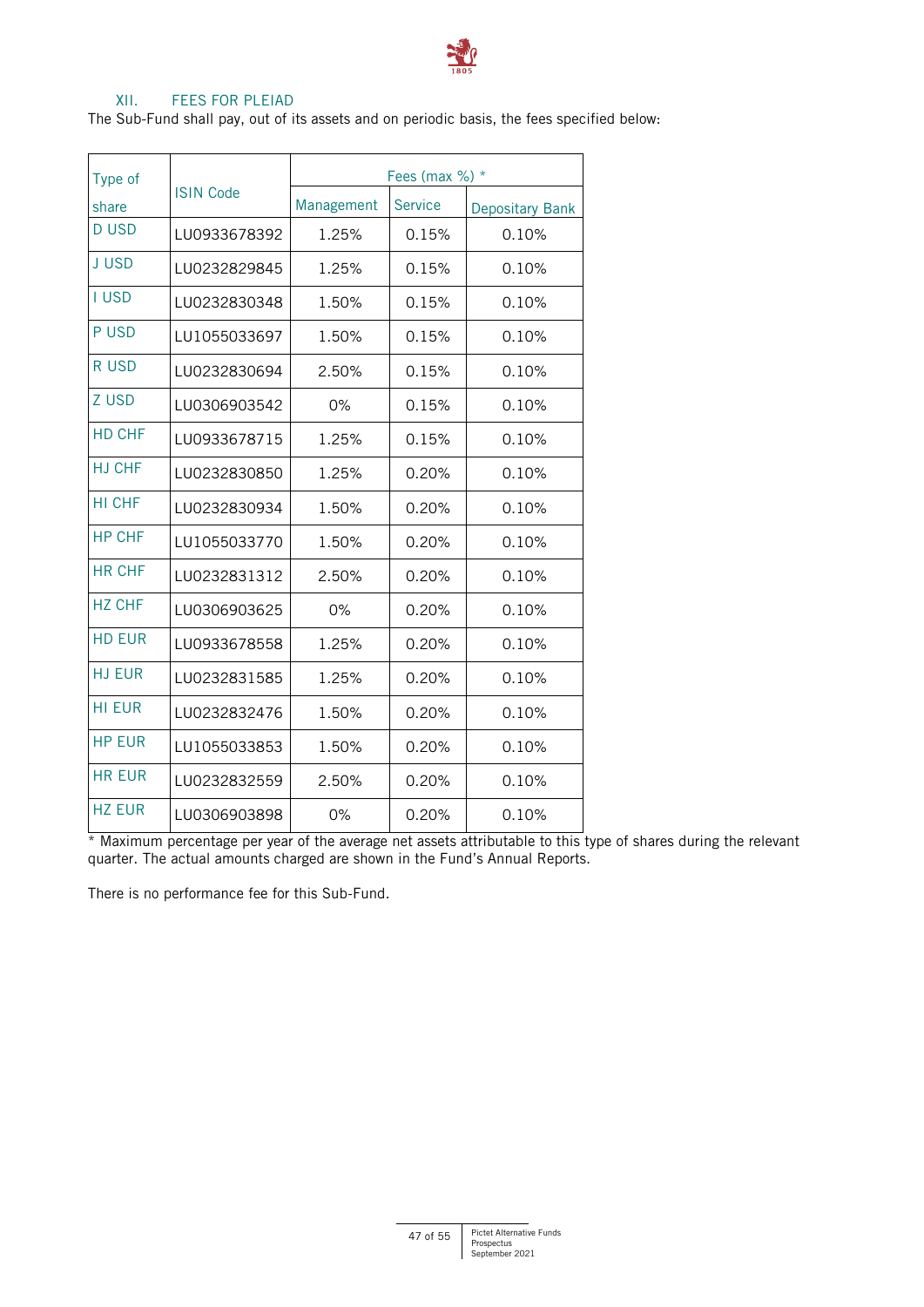

# XII. FEES FOR PLEIAD

The Sub-Fund shall pay, out of its assets and on periodic basis, the fees specified below:

| Type of       |                  | Fees (max $\%$ ) $*$ |                |                        |
|---------------|------------------|----------------------|----------------|------------------------|
| share         | <b>ISIN Code</b> | Management           | <b>Service</b> | <b>Depositary Bank</b> |
| <b>DUSD</b>   | LU0933678392     | 1.25%                | 0.15%          | 0.10%                  |
| <b>JUSD</b>   | LU0232829845     | 1.25%                | 0.15%          | 0.10%                  |
| <b>I USD</b>  | LU0232830348     | 1.50%                | 0.15%          | 0.10%                  |
| P USD         | LU1055033697     | 1.50%                | 0.15%          | 0.10%                  |
| R USD         | LU0232830694     | 2.50%                | 0.15%          | 0.10%                  |
| Z USD         | LU0306903542     | 0%                   | 0.15%          | 0.10%                  |
| HD CHF        | LU0933678715     | 1.25%                | 0.15%          | 0.10%                  |
| <b>HJ CHF</b> | LU0232830850     | 1.25%                | 0.20%          | 0.10%                  |
| HI CHF        | LU0232830934     | 1.50%                | 0.20%          | 0.10%                  |
| <b>HP CHF</b> | LU1055033770     | 1.50%                | 0.20%          | 0.10%                  |
| HR CHF        | LU0232831312     | 2.50%                | 0.20%          | 0.10%                  |
| <b>HZ CHF</b> | LU0306903625     | 0%                   | 0.20%          | 0.10%                  |
| <b>HD EUR</b> | LU0933678558     | 1.25%                | 0.20%          | 0.10%                  |
| <b>HJ EUR</b> | LU0232831585     | 1.25%                | 0.20%          | 0.10%                  |
| <b>HI EUR</b> | LU0232832476     | 1.50%                | 0.20%          | 0.10%                  |
| <b>HP EUR</b> | LU1055033853     | 1.50%                | 0.20%          | 0.10%                  |
| <b>HR EUR</b> | LU0232832559     | 2.50%                | 0.20%          | 0.10%                  |
| <b>HZ EUR</b> | LU0306903898     | 0%                   | 0.20%          | 0.10%                  |

\* Maximum percentage per year of the average net assets attributable to this type of shares during the relevant quarter. The actual amounts charged are shown in the Fund's Annual Reports.

There is no performance fee for this Sub-Fund.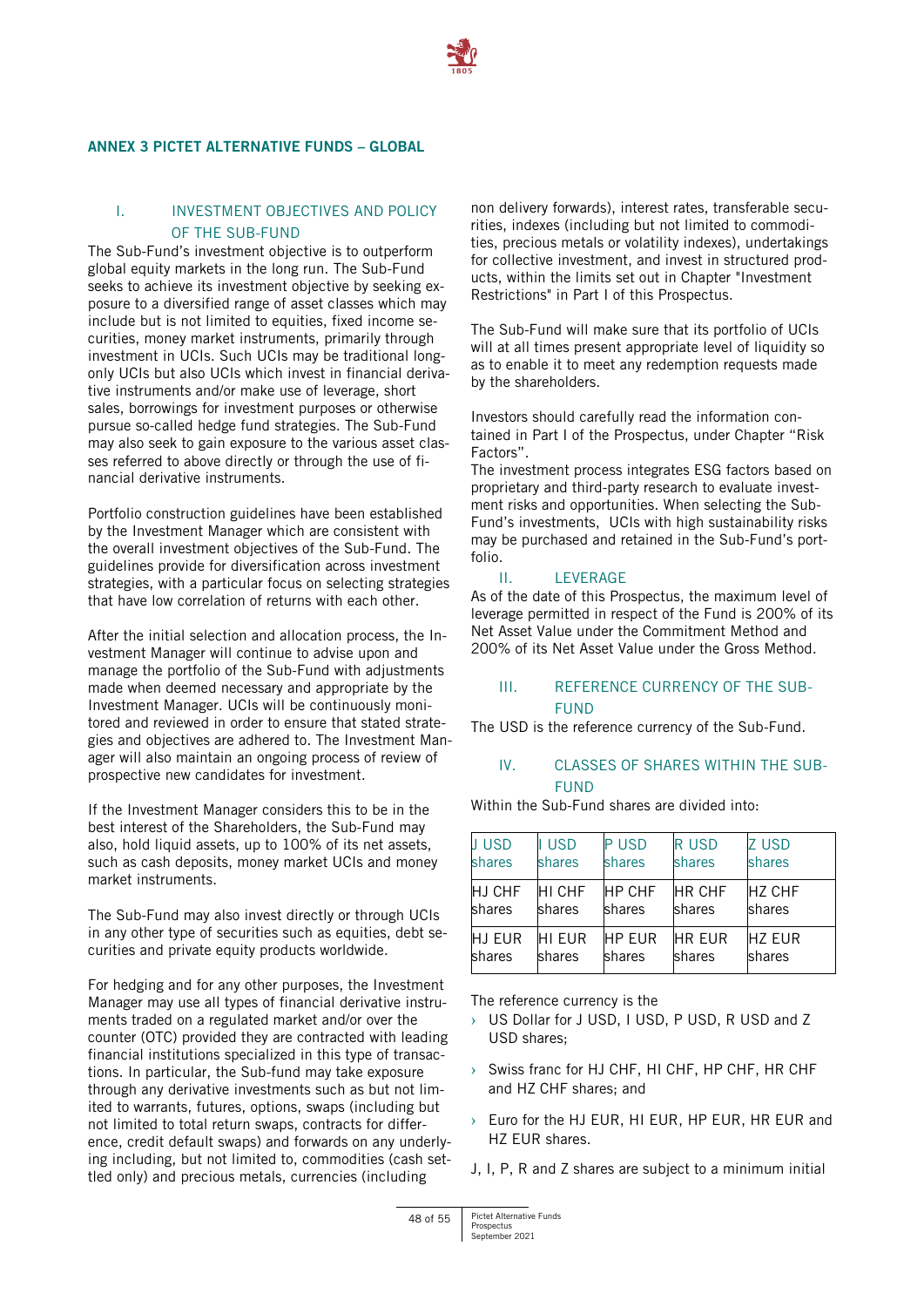

#### <span id="page-47-0"></span>**ANNEX 3 PICTET ALTERNATIVE FUNDS – GLOBAL**

# I. INVESTMENT OBJECTIVES AND POLICY OF THE SUB-FUND

The Sub-Fund's investment objective is to outperform global equity markets in the long run. The Sub-Fund seeks to achieve its investment objective by seeking exposure to a diversified range of asset classes which may include but is not limited to equities, fixed income securities, money market instruments, primarily through investment in UCIs. Such UCIs may be traditional longonly UCIs but also UCIs which invest in financial derivative instruments and/or make use of leverage, short sales, borrowings for investment purposes or otherwise pursue so-called hedge fund strategies. The Sub-Fund may also seek to gain exposure to the various asset classes referred to above directly or through the use of financial derivative instruments.

Portfolio construction guidelines have been established by the Investment Manager which are consistent with the overall investment objectives of the Sub-Fund. The guidelines provide for diversification across investment strategies, with a particular focus on selecting strategies that have low correlation of returns with each other.

After the initial selection and allocation process, the Investment Manager will continue to advise upon and manage the portfolio of the Sub-Fund with adjustments made when deemed necessary and appropriate by the Investment Manager. UCIs will be continuously monitored and reviewed in order to ensure that stated strategies and objectives are adhered to. The Investment Manager will also maintain an ongoing process of review of prospective new candidates for investment.

If the Investment Manager considers this to be in the best interest of the Shareholders, the Sub-Fund may also, hold liquid assets, up to 100% of its net assets, such as cash deposits, money market UCIs and money market instruments.

The Sub-Fund may also invest directly or through UCIs in any other type of securities such as equities, debt securities and private equity products worldwide.

For hedging and for any other purposes, the Investment Manager may use all types of financial derivative instruments traded on a regulated market and/or over the counter (OTC) provided they are contracted with leading financial institutions specialized in this type of transactions. In particular, the Sub-fund may take exposure through any derivative investments such as but not limited to warrants, futures, options, swaps (including but not limited to total return swaps, contracts for difference, credit default swaps) and forwards on any underlying including, but not limited to, commodities (cash settled only) and precious metals, currencies (including

non delivery forwards), interest rates, transferable securities, indexes (including but not limited to commodities, precious metals or volatility indexes), undertakings for collective investment, and invest in structured products, within the limits set out in Chapter "Investment Restrictions" in Part I of this Prospectus.

The Sub-Fund will make sure that its portfolio of UCIs will at all times present appropriate level of liquidity so as to enable it to meet any redemption requests made by the shareholders.

Investors should carefully read the information contained in Part I of the Prospectus, under Chapter "Risk Factors".

The investment process integrates ESG factors based on proprietary and third-party research to evaluate investment risks and opportunities. When selecting the Sub-Fund's investments, UCIs with high sustainability risks may be purchased and retained in the Sub-Fund's portfolio.

#### II. IFVERAGE

As of the date of this Prospectus, the maximum level of leverage permitted in respect of the Fund is 200% of its Net Asset Value under the Commitment Method and 200% of its Net Asset Value under the Gross Method.

#### III. REFERENCE CURRENCY OF THE SUB-**FUND**

The USD is the reference currency of the Sub-Fund.

# IV. CLASSES OF SHARES WITHIN THE SUB-FUND

Within the Sub-Fund shares are divided into:

| <b>JUSD</b> | I USD  | <b>PUSD</b>   | <b>RUSD</b>   | <b>ZUSD</b>    |
|-------------|--------|---------------|---------------|----------------|
| shares      | shares | shares        | shares        | shares         |
| HJ CHF      | HI CHF | <b>HP CHF</b> | <b>HR CHF</b> | <b>HZ CHF</b>  |
| shares      | shares | shares        | shares        | shares         |
| HJ EUR      | HI EUR | <b>HP EUR</b> | <b>HR EUR</b> | <b>IHZ EUR</b> |
| shares      | shares | shares        | shares        | shares         |

The reference currency is the

- › US Dollar for J USD, I USD, P USD, R USD and Z USD shares;
- › Swiss franc for HJ CHF, HI CHF, HP CHF, HR CHF and HZ CHF shares; and
- › Euro for the HJ EUR, HI EUR, HP EUR, HR EUR and HZ EUR shares.
- J, I, P, R and Z shares are subject to a minimum initial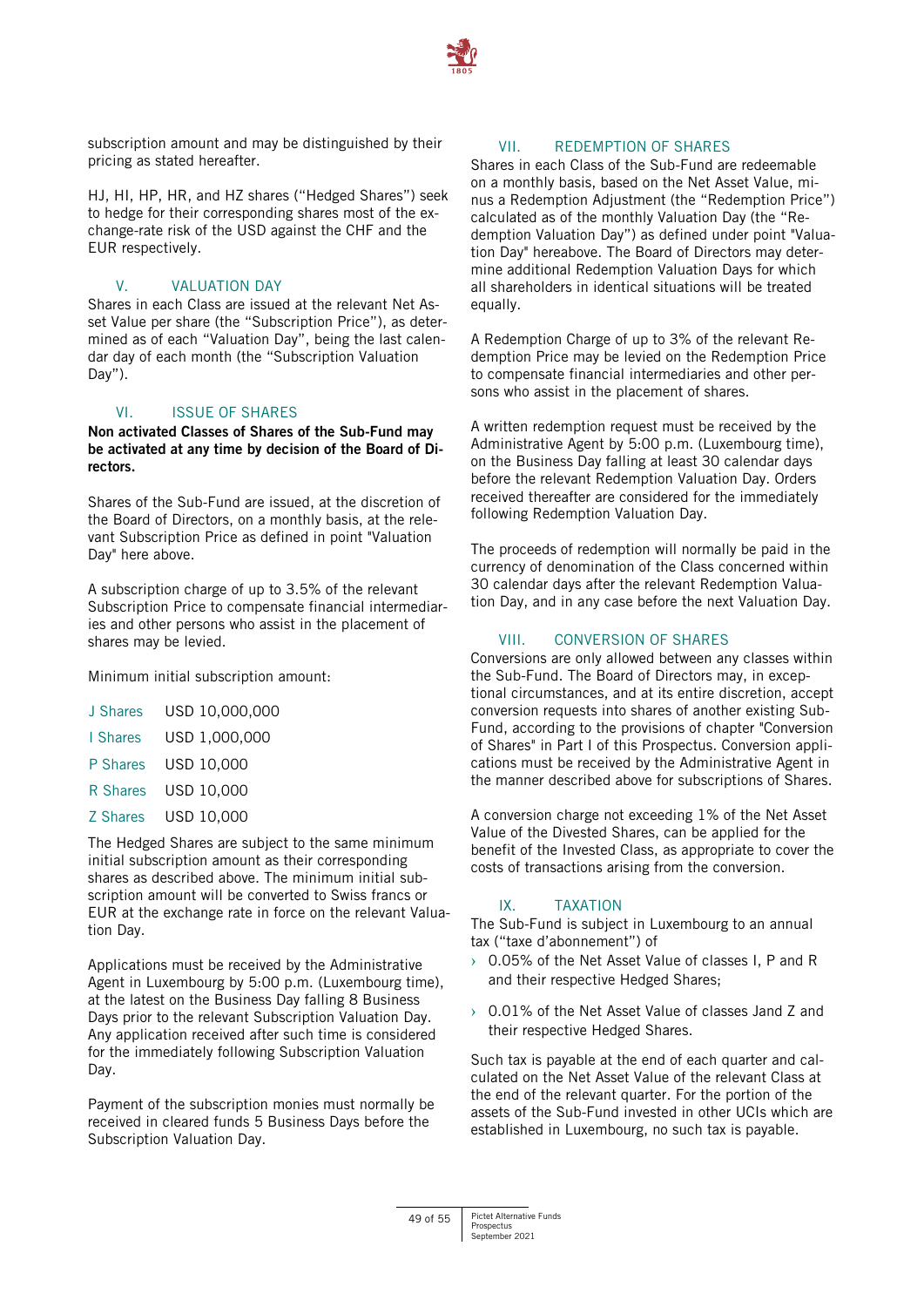

subscription amount and may be distinguished by their pricing as stated hereafter.

HJ, HI, HP, HR, and HZ shares ("Hedged Shares") seek to hedge for their corresponding shares most of the exchange-rate risk of the USD against the CHF and the EUR respectively.

# V. VALUATION DAY

Shares in each Class are issued at the relevant Net Asset Value per share (the "Subscription Price"), as determined as of each "Valuation Day", being the last calendar day of each month (the "Subscription Valuation Day").

# VI. ISSUE OF SHARES

**Non activated Classes of Shares of the Sub-Fund may be activated at any time by decision of the Board of Directors.**

Shares of the Sub-Fund are issued, at the discretion of the Board of Directors, on a monthly basis, at the relevant Subscription Price as defined in point "Valuation Day" here above.

A subscription charge of up to 3.5% of the relevant Subscription Price to compensate financial intermediaries and other persons who assist in the placement of shares may be levied.

Minimum initial subscription amount:

| J Shares | USD 10,000,000 |
|----------|----------------|
| I Shares | USD 1,000,000  |
| P Shares | USD 10,000     |
| R Shares | USD 10,000     |
| Z Shares | USD 10,000     |
|          |                |

The Hedged Shares are subject to the same minimum initial subscription amount as their corresponding shares as described above. The minimum initial subscription amount will be converted to Swiss francs or EUR at the exchange rate in force on the relevant Valuation Day.

Applications must be received by the Administrative Agent in Luxembourg by 5:00 p.m. (Luxembourg time), at the latest on the Business Day falling 8 Business Days prior to the relevant Subscription Valuation Day. Any application received after such time is considered for the immediately following Subscription Valuation Day.

Payment of the subscription monies must normally be received in cleared funds 5 Business Days before the Subscription Valuation Day.

# VII. REDEMPTION OF SHARES

Shares in each Class of the Sub-Fund are redeemable on a monthly basis, based on the Net Asset Value, minus a Redemption Adjustment (the "Redemption Price") calculated as of the monthly Valuation Day (the "Redemption Valuation Day") as defined under point "Valuation Day" hereabove. The Board of Directors may determine additional Redemption Valuation Days for which all shareholders in identical situations will be treated equally.

A Redemption Charge of up to 3% of the relevant Redemption Price may be levied on the Redemption Price to compensate financial intermediaries and other persons who assist in the placement of shares.

A written redemption request must be received by the Administrative Agent by 5:00 p.m. (Luxembourg time), on the Business Day falling at least 30 calendar days before the relevant Redemption Valuation Day. Orders received thereafter are considered for the immediately following Redemption Valuation Day.

The proceeds of redemption will normally be paid in the currency of denomination of the Class concerned within 30 calendar days after the relevant Redemption Valuation Day, and in any case before the next Valuation Day.

# VIII. CONVERSION OF SHARES

Conversions are only allowed between any classes within the Sub-Fund. The Board of Directors may, in exceptional circumstances, and at its entire discretion, accept conversion requests into shares of another existing Sub-Fund, according to the provisions of chapter "Conversion of Shares" in Part I of this Prospectus. Conversion applications must be received by the Administrative Agent in the manner described above for subscriptions of Shares.

A conversion charge not exceeding 1% of the Net Asset Value of the Divested Shares, can be applied for the benefit of the Invested Class, as appropriate to cover the costs of transactions arising from the conversion.

# IX. TAXATION

The Sub-Fund is subject in Luxembourg to an annual tax ("taxe d'abonnement") of

- › 0.05% of the Net Asset Value of classes I, P and R and their respective Hedged Shares;
- › 0.01% of the Net Asset Value of classes Jand Z and their respective Hedged Shares.

Such tax is payable at the end of each quarter and calculated on the Net Asset Value of the relevant Class at the end of the relevant quarter. For the portion of the assets of the Sub-Fund invested in other UCIs which are established in Luxembourg, no such tax is payable.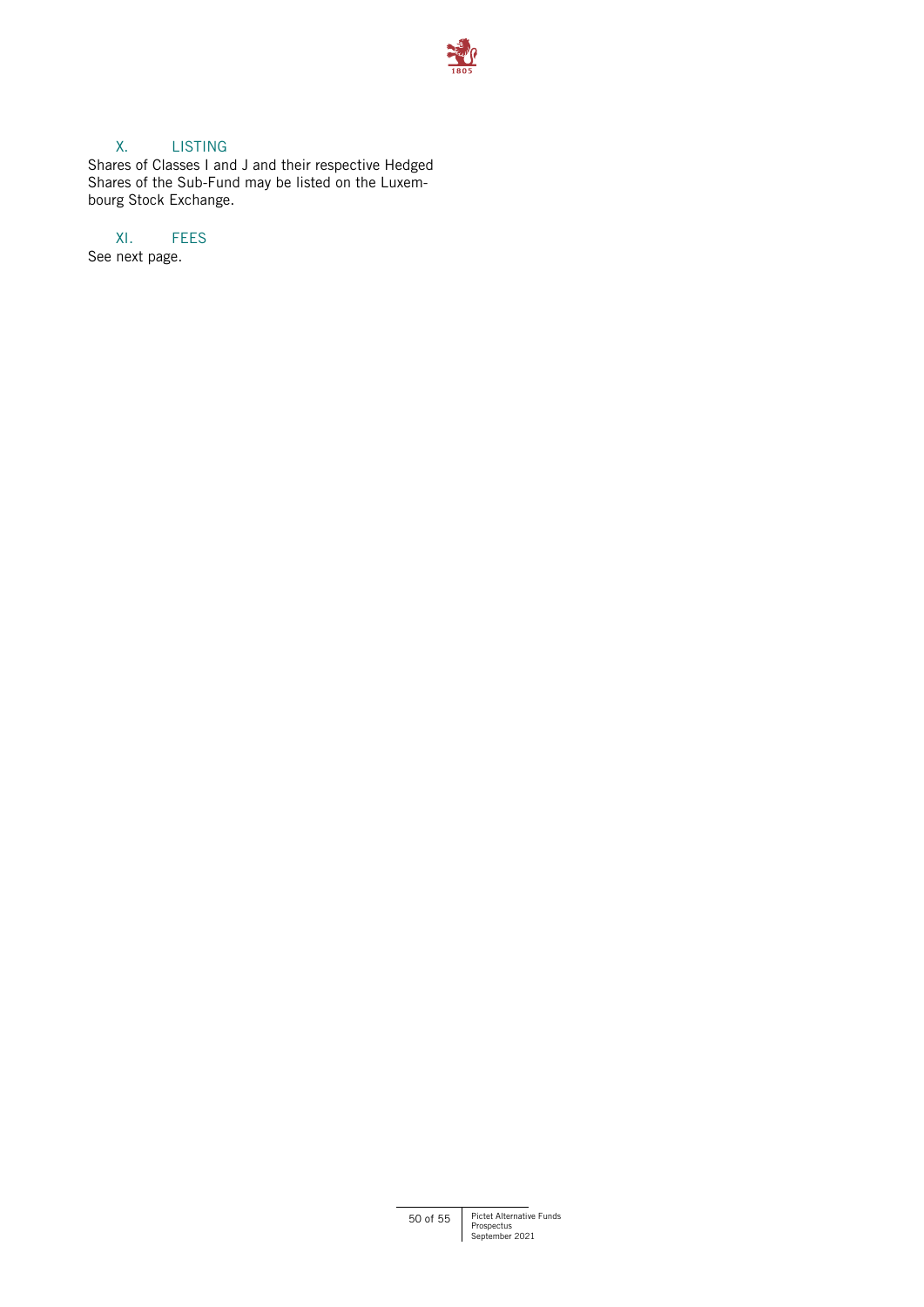

# X. LISTING

Shares of Classes I and J and their respective Hedged Shares of the Sub-Fund may be listed on the Luxembourg Stock Exchange.

# XI. FEES

See next page.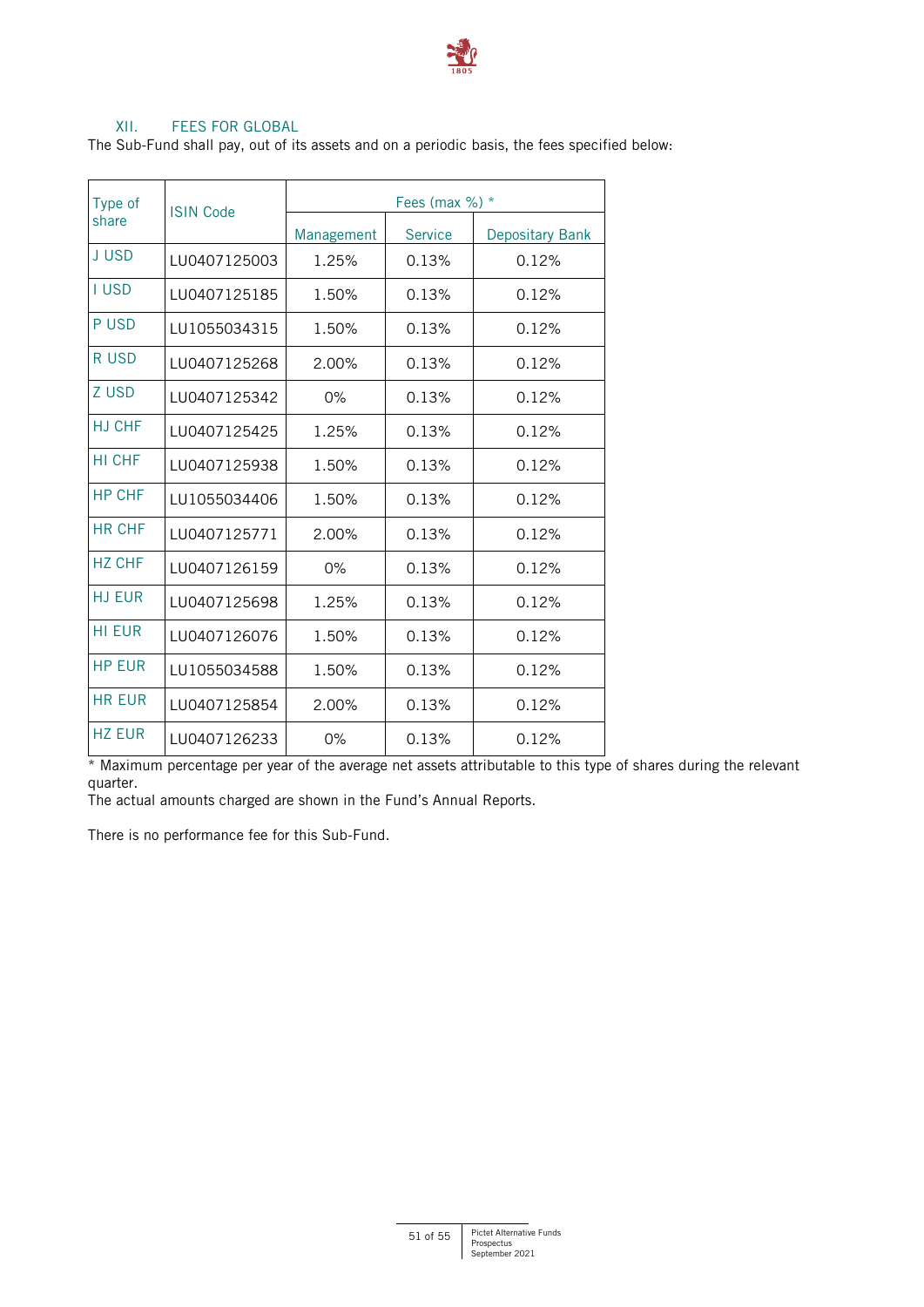

# XII. FEES FOR GLOBAL

The Sub-Fund shall pay, out of its assets and on a periodic basis, the fees specified below:

| Type of<br>share | <b>ISIN Code</b> |            | Fees (max $\%$ ) * |                                                                                                                             |  |  |
|------------------|------------------|------------|--------------------|-----------------------------------------------------------------------------------------------------------------------------|--|--|
|                  |                  | Management | <b>Service</b>     | Depositary Bank<br>0.12%<br>0.12%<br>0.12%<br>0.12%<br>0.12%<br>0.12%<br>0.12%<br>0.12%<br>0.12%<br>0.12%<br>0.12%<br>0.12% |  |  |
| <b>JUSD</b>      | LU0407125003     | 1.25%      | 0.13%              |                                                                                                                             |  |  |
| <b>I USD</b>     | LU0407125185     | 1.50%      | 0.13%              |                                                                                                                             |  |  |
| P USD            | LU1055034315     | 1.50%      | 0.13%              |                                                                                                                             |  |  |
| R USD            | LU0407125268     | 2.00%      | 0.13%              |                                                                                                                             |  |  |
| Z USD            | LU0407125342     | $0\%$      | 0.13%              |                                                                                                                             |  |  |
| H.I CHF          | LU0407125425     | 1.25%      | 0.13%              |                                                                                                                             |  |  |
| HI CHF           | LU0407125938     | 1.50%      | 0.13%              |                                                                                                                             |  |  |
| <b>HP CHF</b>    | LU1055034406     | 1.50%      | 0.13%              |                                                                                                                             |  |  |
| <b>HR CHF</b>    | LU0407125771     | 2.00%      | 0.13%              |                                                                                                                             |  |  |
| <b>HZ CHF</b>    | LU0407126159     | $0\%$      | 0.13%              |                                                                                                                             |  |  |
| <b>HJ EUR</b>    | LU0407125698     | 1.25%      | 0.13%              |                                                                                                                             |  |  |
| <b>HI EUR</b>    | LU0407126076     | 1.50%      | 0.13%              |                                                                                                                             |  |  |
| <b>HP EUR</b>    | LU1055034588     | 1.50%      | 0.13%              | 0.12%                                                                                                                       |  |  |
| <b>HR EUR</b>    | LU0407125854     | 2.00%      | 0.13%              | 0.12%                                                                                                                       |  |  |
| <b>HZ EUR</b>    | LU0407126233     | 0%         | 0.13%              | 0.12%                                                                                                                       |  |  |

\* Maximum percentage per year of the average net assets attributable to this type of shares during the relevant quarter.

The actual amounts charged are shown in the Fund's Annual Reports.

There is no performance fee for this Sub-Fund.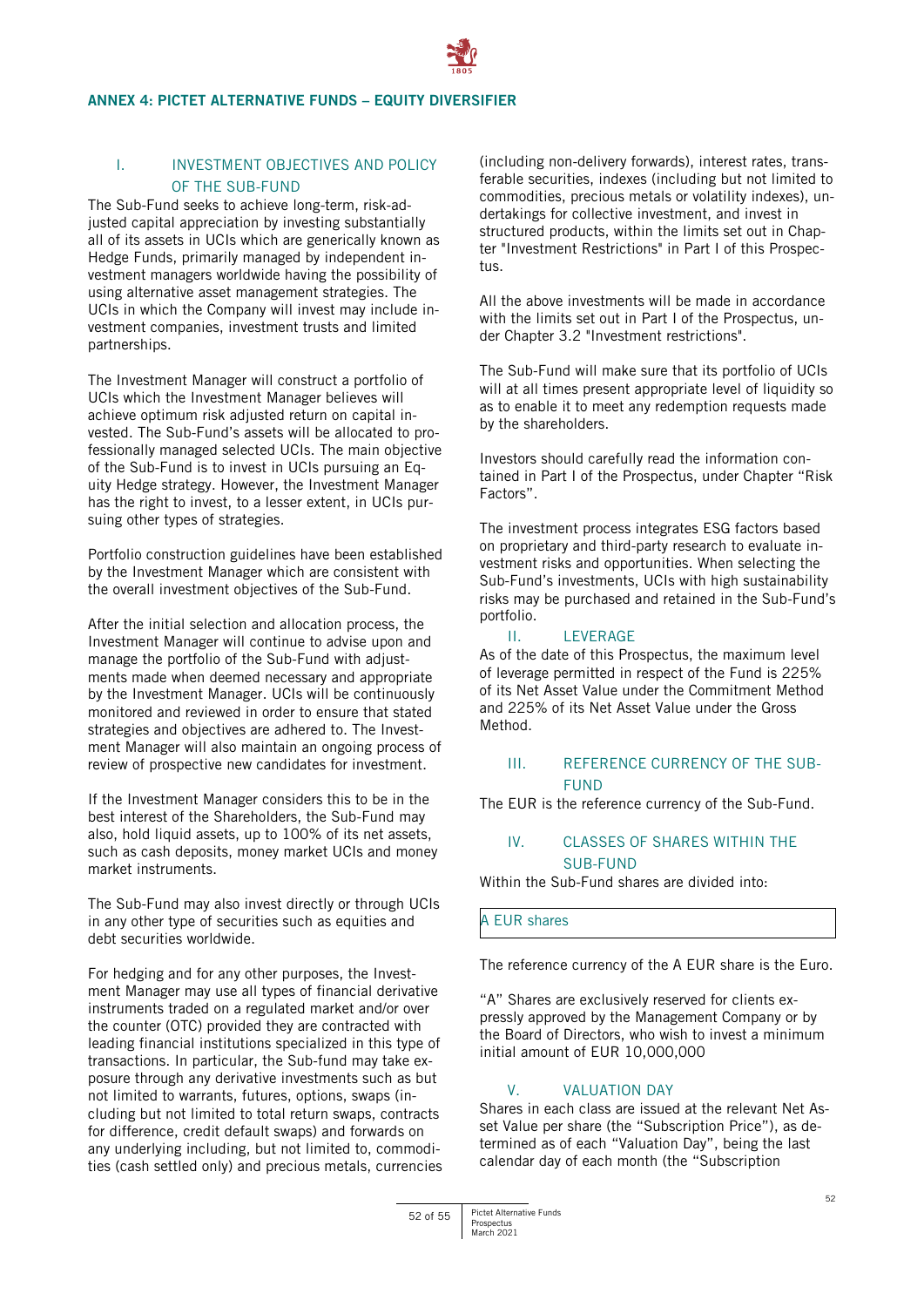#### <span id="page-51-0"></span>**ANNEX 4: PICTET ALTERNATIVE FUNDS – EQUITY DIVERSIFIER**

# I. INVESTMENT OBJECTIVES AND POLICY OF THE SUB-FUND

The Sub-Fund seeks to achieve long-term, risk-adjusted capital appreciation by investing substantially all of its assets in UCIs which are generically known as Hedge Funds, primarily managed by independent investment managers worldwide having the possibility of using alternative asset management strategies. The UCIs in which the Company will invest may include investment companies, investment trusts and limited partnerships.

The Investment Manager will construct a portfolio of UCIs which the Investment Manager believes will achieve optimum risk adjusted return on capital invested. The Sub-Fund's assets will be allocated to professionally managed selected UCIs. The main objective of the Sub-Fund is to invest in UCIs pursuing an Equity Hedge strategy. However, the Investment Manager has the right to invest, to a lesser extent, in UCIs pursuing other types of strategies.

Portfolio construction guidelines have been established by the Investment Manager which are consistent with the overall investment objectives of the Sub-Fund.

After the initial selection and allocation process, the Investment Manager will continue to advise upon and manage the portfolio of the Sub-Fund with adjustments made when deemed necessary and appropriate by the Investment Manager. UCIs will be continuously monitored and reviewed in order to ensure that stated strategies and objectives are adhered to. The Investment Manager will also maintain an ongoing process of review of prospective new candidates for investment.

If the Investment Manager considers this to be in the best interest of the Shareholders, the Sub-Fund may also, hold liquid assets, up to 100% of its net assets, such as cash deposits, money market UCIs and money market instruments.

The Sub-Fund may also invest directly or through UCIs in any other type of securities such as equities and debt securities worldwide.

For hedging and for any other purposes, the Investment Manager may use all types of financial derivative instruments traded on a regulated market and/or over the counter (OTC) provided they are contracted with leading financial institutions specialized in this type of transactions. In particular, the Sub-fund may take exposure through any derivative investments such as but not limited to warrants, futures, options, swaps (including but not limited to total return swaps, contracts for difference, credit default swaps) and forwards on any underlying including, but not limited to, commodities (cash settled only) and precious metals, currencies

(including non-delivery forwards), interest rates, transferable securities, indexes (including but not limited to commodities, precious metals or volatility indexes), undertakings for collective investment, and invest in structured products, within the limits set out in Chapter "Investment Restrictions" in Part I of this Prospectus.

All the above investments will be made in accordance with the limits set out in Part I of the Prospectus, under Chapter 3.2 "Investment restrictions".

The Sub-Fund will make sure that its portfolio of UCIs will at all times present appropriate level of liquidity so as to enable it to meet any redemption requests made by the shareholders.

Investors should carefully read the information contained in Part I of the Prospectus, under Chapter "Risk Factors".

The investment process integrates ESG factors based on proprietary and third-party research to evaluate investment risks and opportunities. When selecting the Sub-Fund's investments, UCIs with high sustainability risks may be purchased and retained in the Sub-Fund's portfolio.

# II. LEVERAGE

As of the date of this Prospectus, the maximum level of leverage permitted in respect of the Fund is 225% of its Net Asset Value under the Commitment Method and 225% of its Net Asset Value under the Gross Method.

# III. REFERENCE CURRENCY OF THE SUB-**FUND**

The EUR is the reference currency of the Sub-Fund.

# IV. CLASSES OF SHARES WITHIN THE SUB-FUND

Within the Sub-Fund shares are divided into:

A EUR shares

The reference currency of the A EUR share is the Euro.

"A" Shares are exclusively reserved for clients expressly approved by the Management Company or by the Board of Directors, who wish to invest a minimum initial amount of EUR 10,000,000

# V. VALUATION DAY

Shares in each class are issued at the relevant Net Asset Value per share (the "Subscription Price"), as determined as of each "Valuation Day", being the last calendar day of each month (the "Subscription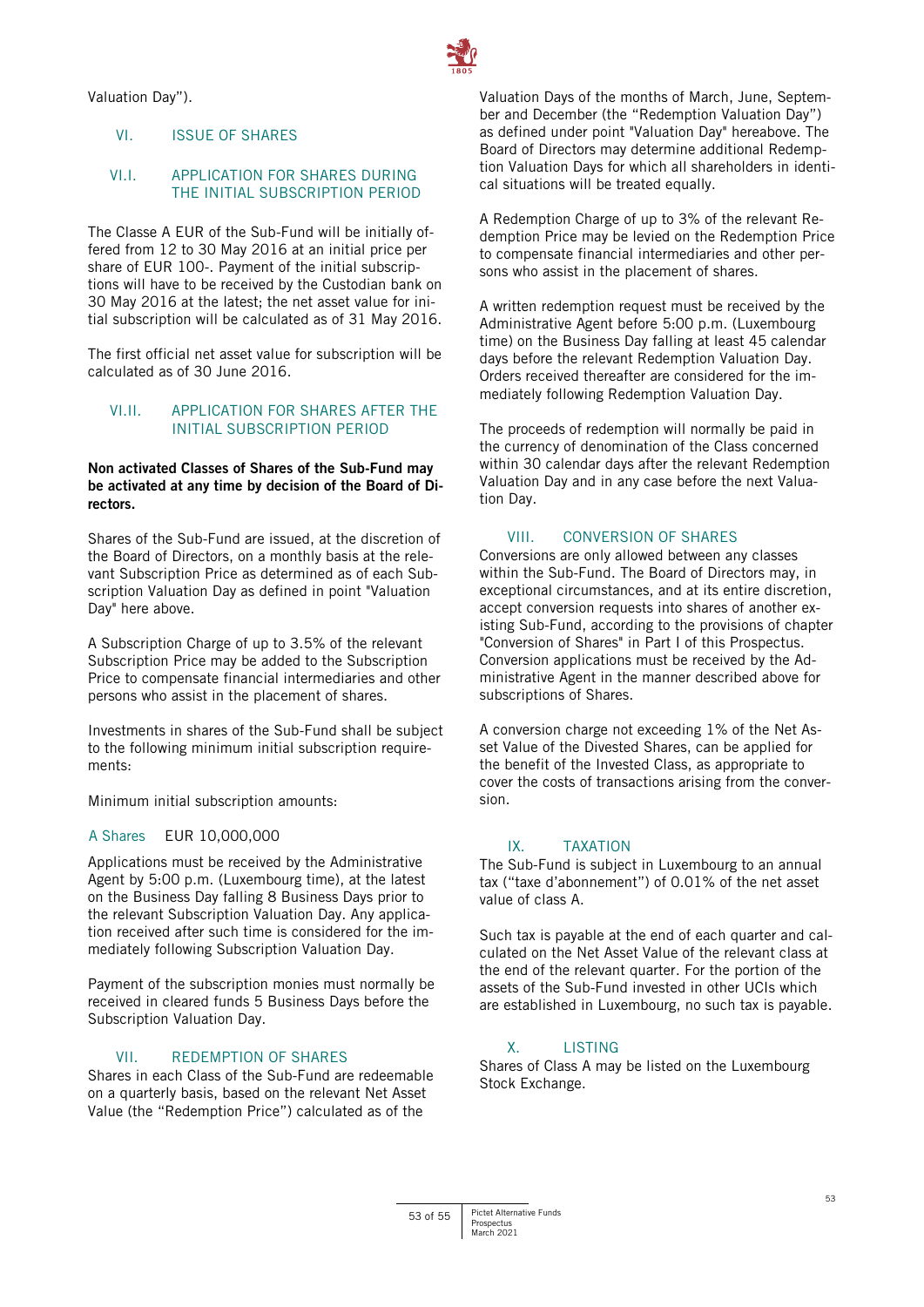Valuation Day").

# VI. ISSUE OF SHARES

#### VI.I. APPLICATION FOR SHARES DURING THE INITIAL SUBSCRIPTION PERIOD

The Classe A EUR of the Sub-Fund will be initially offered from 12 to 30 May 2016 at an initial price per share of EUR 100-. Payment of the initial subscriptions will have to be received by the Custodian bank on 30 May 2016 at the latest; the net asset value for initial subscription will be calculated as of 31 May 2016.

The first official net asset value for subscription will be calculated as of 30 June 2016.

# VI.II. APPLICATION FOR SHARES AFTER THE INITIAL SUBSCRIPTION PERIOD

# **Non activated Classes of Shares of the Sub-Fund may be activated at any time by decision of the Board of Directors.**

Shares of the Sub-Fund are issued, at the discretion of the Board of Directors, on a monthly basis at the relevant Subscription Price as determined as of each Subscription Valuation Day as defined in point "Valuation Day" here above.

A Subscription Charge of up to 3.5% of the relevant Subscription Price may be added to the Subscription Price to compensate financial intermediaries and other persons who assist in the placement of shares.

Investments in shares of the Sub-Fund shall be subject to the following minimum initial subscription requirements:

Minimum initial subscription amounts:

# A Shares EUR 10,000,000

Applications must be received by the Administrative Agent by 5:00 p.m. (Luxembourg time), at the latest on the Business Day falling 8 Business Days prior to the relevant Subscription Valuation Day. Any application received after such time is considered for the immediately following Subscription Valuation Day.

Payment of the subscription monies must normally be received in cleared funds 5 Business Days before the Subscription Valuation Day.

# VII. REDEMPTION OF SHARES

Shares in each Class of the Sub-Fund are redeemable on a quarterly basis, based on the relevant Net Asset Value (the "Redemption Price") calculated as of the

Valuation Days of the months of March, June, September and December (the "Redemption Valuation Day") as defined under point "Valuation Day" hereabove. The Board of Directors may determine additional Redemption Valuation Days for which all shareholders in identical situations will be treated equally.

A Redemption Charge of up to 3% of the relevant Redemption Price may be levied on the Redemption Price to compensate financial intermediaries and other persons who assist in the placement of shares.

A written redemption request must be received by the Administrative Agent before 5:00 p.m. (Luxembourg time) on the Business Day falling at least 45 calendar days before the relevant Redemption Valuation Day. Orders received thereafter are considered for the immediately following Redemption Valuation Day.

The proceeds of redemption will normally be paid in the currency of denomination of the Class concerned within 30 calendar days after the relevant Redemption Valuation Day and in any case before the next Valuation Day.

# VIII. CONVERSION OF SHARES

Conversions are only allowed between any classes within the Sub-Fund. The Board of Directors may, in exceptional circumstances, and at its entire discretion, accept conversion requests into shares of another existing Sub-Fund, according to the provisions of chapter "Conversion of Shares" in Part I of this Prospectus. Conversion applications must be received by the Administrative Agent in the manner described above for subscriptions of Shares.

A conversion charge not exceeding 1% of the Net Asset Value of the Divested Shares, can be applied for the benefit of the Invested Class, as appropriate to cover the costs of transactions arising from the conversion.

# IX. TAXATION

The Sub-Fund is subject in Luxembourg to an annual tax ("taxe d'abonnement") of 0.01% of the net asset value of class A.

Such tax is payable at the end of each quarter and calculated on the Net Asset Value of the relevant class at the end of the relevant quarter. For the portion of the assets of the Sub-Fund invested in other UCIs which are established in Luxembourg, no such tax is payable.

# X. **LISTING**

Shares of Class A may be listed on the Luxembourg Stock Exchange.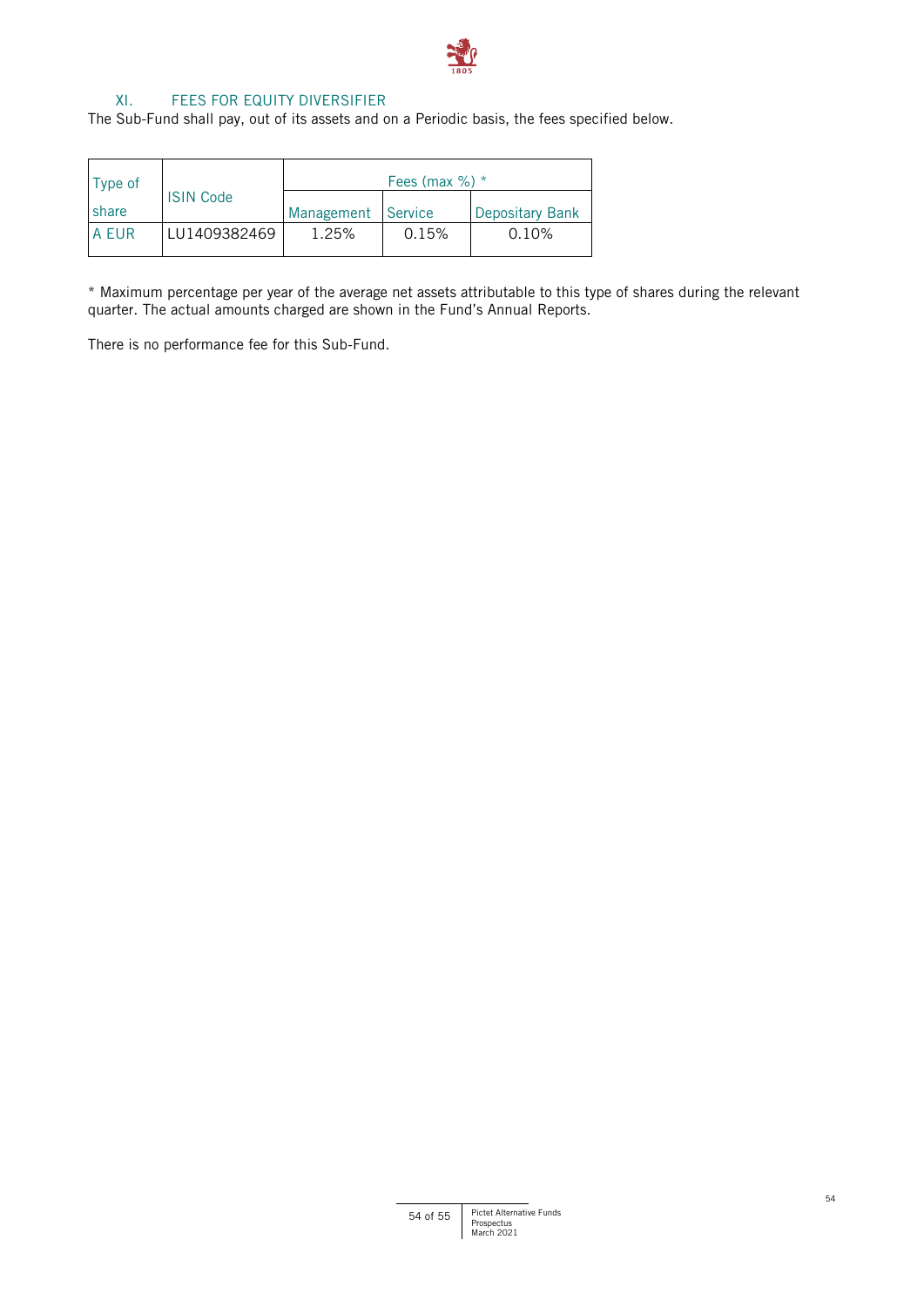

# XI. FEES FOR EQUITY DIVERSIFIER

The Sub-Fund shall pay, out of its assets and on a Periodic basis, the fees specified below.

| Type of |                  | Fees (max $\%$ ) * |       |                 |
|---------|------------------|--------------------|-------|-----------------|
| share   | <b>ISIN Code</b> | Management Service |       | Depositary Bank |
| A EUR   | LU1409382469     | 1.25%              | 0.15% | 0.10%           |

\* Maximum percentage per year of the average net assets attributable to this type of shares during the relevant quarter. The actual amounts charged are shown in the Fund's Annual Reports.

There is no performance fee for this Sub-Fund.